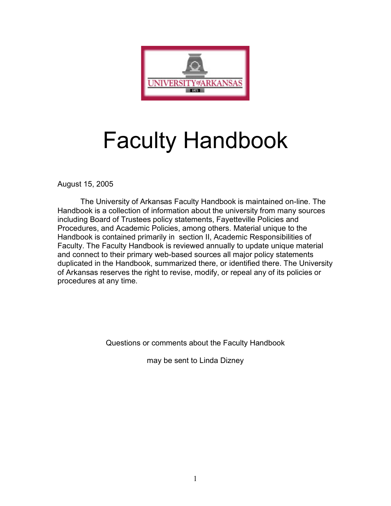

# Faculty Handbook

August 15, 2005

The University of Arkansas Faculty Handbook is maintained on-line. The Handbook is a collection of information about the university from many sources including Board of Trustees policy statements, Fayetteville Policies and Procedures, and Academic Policies, among others. Material unique to the Handbook is contained primarily in section II, Academic Responsibilities of Faculty. The Faculty Handbook is reviewed annually to update unique material and connect to their primary web-based sources all major policy statements duplicated in the Handbook, summarized there, or identified there. The University of Arkansas reserves the right to revise, modify, or repeal any of its policies or procedures at any time.

Questions or comments about the Faculty Handbook

may be sent to Linda Dizney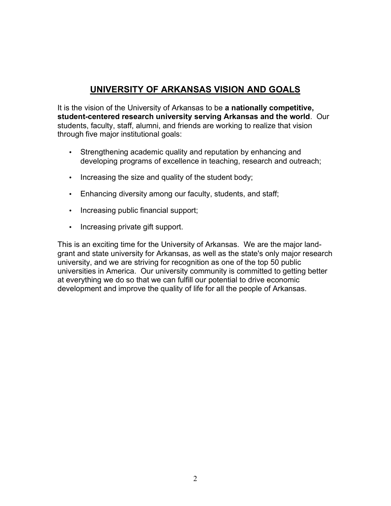# **UNIVERSITY OF ARKANSAS VISION AND GOALS**

It is the vision of the University of Arkansas to be **a nationally competitive, student-centered research university serving Arkansas and the world**. Our students, faculty, staff, alumni, and friends are working to realize that vision through five major institutional goals:

- Strengthening academic quality and reputation by enhancing and developing programs of excellence in teaching, research and outreach;
- Increasing the size and quality of the student body;
- Enhancing diversity among our faculty, students, and staff;
- Increasing public financial support;
- Increasing private gift support.

This is an exciting time for the University of Arkansas. We are the major landgrant and state university for Arkansas, as well as the state's only major research university, and we are striving for recognition as one of the top 50 public universities in America. Our university community is committed to getting better at everything we do so that we can fulfill our potential to drive economic development and improve the quality of life for all the people of Arkansas.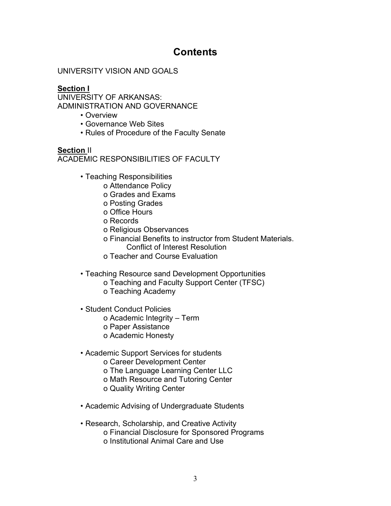# **Contents**

## UNIVERSITY VISION AND GOALS

## **Section I**

UNIVERSITY OF ARKANSAS: ADMINISTRATION AND GOVERNANCE

- Overview
- Governance Web Sites
- Rules of Procedure of the Faculty Senate

**Section** II ACADEMIC RESPONSIBILITIES OF FACULTY

- Teaching Responsibilities
	- o Attendance Policy
	- o Grades and Exams
	- o Posting Grades
	- o Office Hours
	- o Records
	- o Religious Observances
	- o Financial Benefits to instructor from Student Materials. Conflict of Interest Resolution
	- o Teacher and Course Evaluation
- Teaching Resource sand Development Opportunities
	- o Teaching and Faculty Support Center (TFSC)
		- o Teaching Academy
- Student Conduct Policies
	- o Academic Integrity Term
	- o Paper Assistance
	- o Academic Honesty
- Academic Support Services for students
	- o Career Development Center
	- o The Language Learning Center LLC
	- o Math Resource and Tutoring Center
	- o Quality Writing Center
- Academic Advising of Undergraduate Students
- Research, Scholarship, and Creative Activity o Financial Disclosure for Sponsored Programs o Institutional Animal Care and Use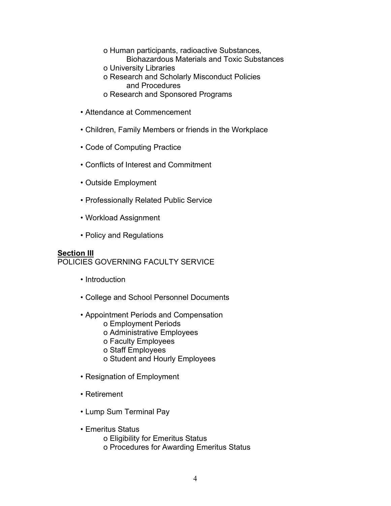- o Human participants, radioactive Substances, Biohazardous Materials and Toxic Substances
- o University Libraries
- o Research and Scholarly Misconduct Policies and Procedures
- o Research and Sponsored Programs
- Attendance at Commencement
- Children, Family Members or friends in the Workplace
- Code of Computing Practice
- Conflicts of Interest and Commitment
- Outside Employment
- Professionally Related Public Service
- Workload Assignment
- Policy and Regulations

## **Section III**

POLICIES GOVERNING FACULTY SERVICE

- Introduction
- College and School Personnel Documents
- Appointment Periods and Compensation
	- o Employment Periods
	- o Administrative Employees
	- o Faculty Employees
	- o Staff Employees
	- o Student and Hourly Employees
- Resignation of Employment
- Retirement
- Lump Sum Terminal Pay
- Emeritus Status o Eligibility for Emeritus Status
	- o Procedures for Awarding Emeritus Status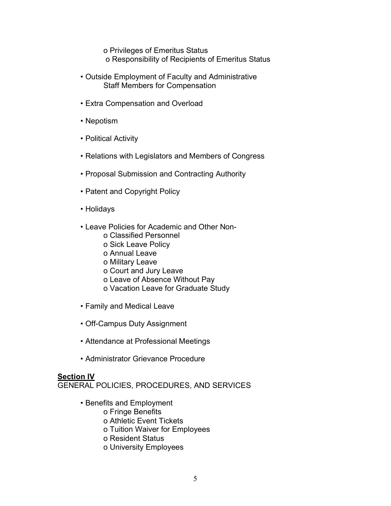o Privileges of Emeritus Status o Responsibility of Recipients of Emeritus Status

- Outside Employment of Faculty and Administrative Staff Members for Compensation
- Extra Compensation and Overload
- Nepotism
- Political Activity
- Relations with Legislators and Members of Congress
- Proposal Submission and Contracting Authority
- Patent and Copyright Policy
- Holidays
- Leave Policies for Academic and Other Non
	- o Classified Personnel
	- o Sick Leave Policy
	- o Annual Leave
	- o Military Leave
	- o Court and Jury Leave
	- o Leave of Absence Without Pay
	- o Vacation Leave for Graduate Study
- Family and Medical Leave
- Off-Campus Duty Assignment
- Attendance at Professional Meetings
- Administrator Grievance Procedure

#### **Section IV**

GENERAL POLICIES, PROCEDURES, AND SERVICES

- Benefits and Employment
	- o Fringe Benefits
	- o Athletic Event Tickets
	- o Tuition Waiver for Employees
	- o Resident Status
	- o University Employees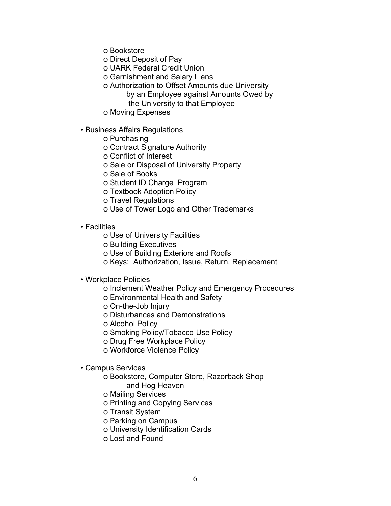o Bookstore

o Direct Deposit of Pay

o UARK Federal Credit Union

- o Garnishment and Salary Liens
- o Authorization to Offset Amounts due University
	- by an Employee against Amounts Owed by
		- the University to that Employee
- o Moving Expenses

## • Business Affairs Regulations

- o Purchasing
- o Contract Signature Authority
- o Conflict of Interest
- o Sale or Disposal of University Property
- o Sale of Books
- o Student ID Charge Program
- o Textbook Adoption Policy
- o Travel Regulations
- o Use of Tower Logo and Other Trademarks

#### • Facilities

- o Use of University Facilities
- o Building Executives
- o Use of Building Exteriors and Roofs
- o Keys: Authorization, Issue, Return, Replacement
- Workplace Policies
	- o Inclement Weather Policy and Emergency Procedures
	- o Environmental Health and Safety
	- o On-the-Job Injury
	- o Disturbances and Demonstrations
	- o Alcohol Policy
	- o Smoking Policy/Tobacco Use Policy
	- o Drug Free Workplace Policy
	- o Workforce Violence Policy

## • Campus Services

- o Bookstore, Computer Store, Razorback Shop and Hog Heaven
- o Mailing Services
- o Printing and Copying Services
- o Transit System
- o Parking on Campus
- o University Identification Cards
- o Lost and Found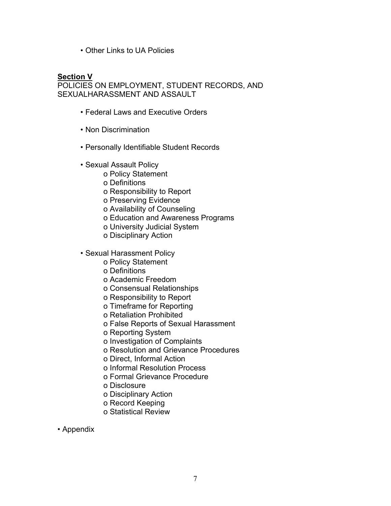• Other Links to UA Policies

#### **Section V**

POLICIES ON EMPLOYMENT, STUDENT RECORDS, AND SEXUALHARASSMENT AND ASSAULT

- Federal Laws and Executive Orders
- Non Discrimination
- Personally Identifiable Student Records
- Sexual Assault Policy
	- o Policy Statement
	- o Definitions
	- o Responsibility to Report
	- o Preserving Evidence
	- o Availability of Counseling
	- o Education and Awareness Programs
	- o University Judicial System
	- o Disciplinary Action
- Sexual Harassment Policy
	- o Policy Statement
	- o Definitions
	- o Academic Freedom
	- o Consensual Relationships
	- o Responsibility to Report
	- o Timeframe for Reporting
	- o Retaliation Prohibited
	- o False Reports of Sexual Harassment
	- o Reporting System
	- o Investigation of Complaints
	- o Resolution and Grievance Procedures
	- o Direct, Informal Action
	- o Informal Resolution Process
	- o Formal Grievance Procedure
	- o Disclosure
	- o Disciplinary Action
	- o Record Keeping
	- o Statistical Review

#### • Appendix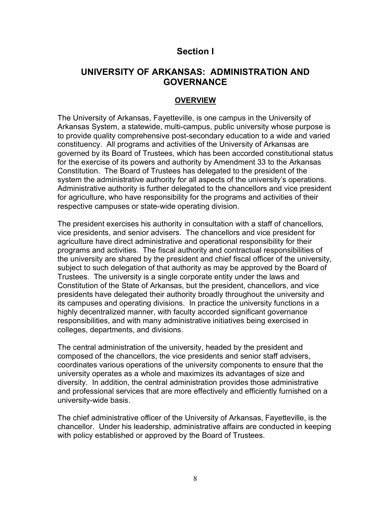# **Section I**

# **UNIVERSITY OF ARKANSAS: ADMINISTRATION AND GOVERNANCE**

## **OVERVIEW**

The University of Arkansas, Fayetteville, is one campus in the University of Arkansas System, a statewide, multi-campus, public university whose purpose is to provide quality comprehensive post-secondary education to a wide and varied constituency. All programs and activities of the University of Arkansas are governed by its Board of Trustees, which has been accorded constitutional status for the exercise of its powers and authority by Amendment 33 to the Arkansas Constitution. The Board of Trustees has delegated to the president of the system the administrative authority for all aspects of the university's operations. Administrative authority is further delegated to the chancellors and vice president for agriculture, who have responsibility for the programs and activities of their respective campuses or state-wide operating division.

The president exercises his authority in consultation with a staff of chancellors, vice presidents, and senior advisers. The chancellors and vice president for agriculture have direct administrative and operational responsibility for their programs and activities. The fiscal authority and contractual responsibilities of the university are shared by the president and chief fiscal officer of the university, subject to such delegation of that authority as may be approved by the Board of Trustees. The university is a single corporate entity under the laws and Constitution of the State of Arkansas, but the president, chancellors, and vice presidents have delegated their authority broadly throughout the university and its campuses and operating divisions. In practice the university functions in a highly decentralized manner, with faculty accorded significant governance responsibilities, and with many administrative initiatives being exercised in colleges, departments, and divisions.

The central administration of the university, headed by the president and composed of the chancellors, the vice presidents and senior staff advisers, coordinates various operations of the university components to ensure that the university operates as a whole and maximizes its advantages of size and diversity. In addition, the central administration provides those administrative and professional services that are more effectively and efficiently furnished on a university-wide basis.

The chief administrative officer of the University of Arkansas, Fayetteville, is the chancellor. Under his leadership, administrative affairs are conducted in keeping with policy established or approved by the Board of Trustees.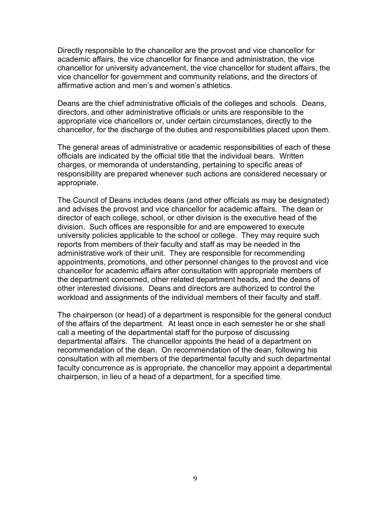Directly responsible to the chancellor are the provost and vice chancellor for academic affairs, the vice chancellor for finance and administration, the vice chancellor for university advancement, the vice chancellor for student affairs, the vice chancellor for government and community relations, and the directors of affirmative action and men's and women's athletics.

Deans are the chief administrative officials of the colleges and schools. Deans, directors, and other administrative officials or units are responsible to the appropriate vice chancellors or, under certain circumstances, directly to the chancellor, for the discharge of the duties and responsibilities placed upon them.

The general areas of administrative or academic responsibilities of each of these officials are indicated by the official title that the individual bears. Written charges, or memoranda of understanding, pertaining to specific areas of responsibility are prepared whenever such actions are considered necessary or appropriate.

The Council of Deans includes deans (and other officials as may be designated) and advises the provost and vice chancellor for academic affairs. The dean or director of each college, school, or other division is the executive head of the division. Such offices are responsible for and are empowered to execute university policies applicable to the school or college. They may require such reports from members of their faculty and staff as may be needed in the administrative work of their unit. They are responsible for recommending appointments, promotions, and other personnel changes to the provost and vice chancellor for academic affairs after consultation with appropriate members of the department concerned, other related department heads, and the deans of other interested divisions. Deans and directors are authorized to control the workload and assignments of the individual members of their faculty and staff.

The chairperson (or head) of a department is responsible for the general conduct of the affairs of the department. At least once in each semester he or she shall call a meeting of the departmental staff for the purpose of discussing departmental affairs. The chancellor appoints the head of a department on recommendation of the dean. On recommendation of the dean, following his consultation with all members of the departmental faculty and such departmental faculty concurrence as is appropriate, the chancellor may appoint a departmental chairperson, in lieu of a head of a department, for a specified time.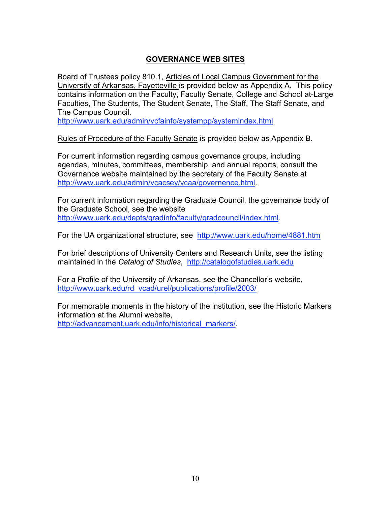## **GOVERNANCE WEB SITES**

Board of Trustees policy 810.1, Articles of Local Campus Government for the University of Arkansas, Fayetteville is provided below as Appendix A. This policy contains information on the Faculty, Faculty Senate, College and School at-Large Faculties, The Students, The Student Senate, The Staff, The Staff Senate, and The Campus Council.

http://www.uark.edu/admin/vcfainfo/systempp/systemindex.html

Rules of Procedure of the Faculty Senate is provided below as Appendix B.

For current information regarding campus governance groups, including agendas, minutes, committees, membership, and annual reports, consult the Governance website maintained by the secretary of the Faculty Senate at http://www.uark.edu/admin/vcacsey/vcaa/governence.html.

For current information regarding the Graduate Council, the governance body of the Graduate School, see the website http://www.uark.edu/depts/gradinfo/faculty/gradcouncil/index.html.

For the UA organizational structure, see http://www.uark.edu/home/4881.htm

For brief descriptions of University Centers and Research Units, see the listing maintained in the *Catalog of Studies*, http://catalogofstudies.uark.edu

For a Profile of the University of Arkansas, see the Chancellor's website, http://www.uark.edu/rd\_vcad/urel/publications/profile/2003/

For memorable moments in the history of the institution, see the Historic Markers information at the Alumni website, http://advancement.uark.edu/info/historical\_markers/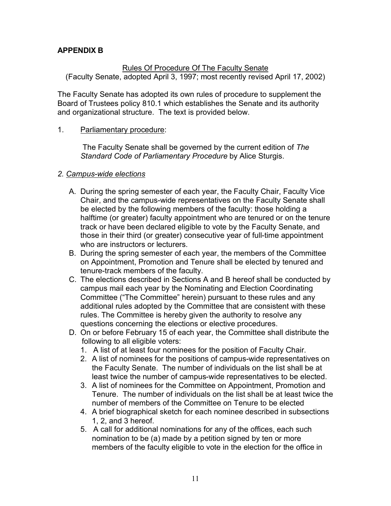## **APPENDIX B**

### Rules Of Procedure Of The Faculty Senate

(Faculty Senate, adopted April 3, 1997; most recently revised April 17, 2002)

The Faculty Senate has adopted its own rules of procedure to supplement the Board of Trustees policy 810.1 which establishes the Senate and its authority and organizational structure. The text is provided below.

#### 1. Parliamentary procedure:

The Faculty Senate shall be governed by the current edition of *The Standard Code of Parliamentary Procedure* by Alice Sturgis.

## *2. Campus-wide elections*

- A. During the spring semester of each year, the Faculty Chair, Faculty Vice Chair, and the campus-wide representatives on the Faculty Senate shall be elected by the following members of the faculty: those holding a halftime (or greater) faculty appointment who are tenured or on the tenure track or have been declared eligible to vote by the Faculty Senate, and those in their third (or greater) consecutive year of full-time appointment who are instructors or lecturers.
- B. During the spring semester of each year, the members of the Committee on Appointment, Promotion and Tenure shall be elected by tenured and tenure-track members of the faculty.
- C. The elections described in Sections A and B hereof shall be conducted by campus mail each year by the Nominating and Election Coordinating Committee ("The Committee" herein) pursuant to these rules and any additional rules adopted by the Committee that are consistent with these rules. The Committee is hereby given the authority to resolve any questions concerning the elections or elective procedures.
- D. On or before February 15 of each year, the Committee shall distribute the following to all eligible voters:
	- 1. A list of at least four nominees for the position of Faculty Chair.
	- 2. A list of nominees for the positions of campus-wide representatives on the Faculty Senate. The number of individuals on the list shall be at least twice the number of campus-wide representatives to be elected.
	- 3. A list of nominees for the Committee on Appointment, Promotion and Tenure. The number of individuals on the list shall be at least twice the number of members of the Committee on Tenure to be elected
	- 4. A brief biographical sketch for each nominee described in subsections 1, 2, and 3 hereof.
	- 5. A call for additional nominations for any of the offices, each such nomination to be (a) made by a petition signed by ten or more members of the faculty eligible to vote in the election for the office in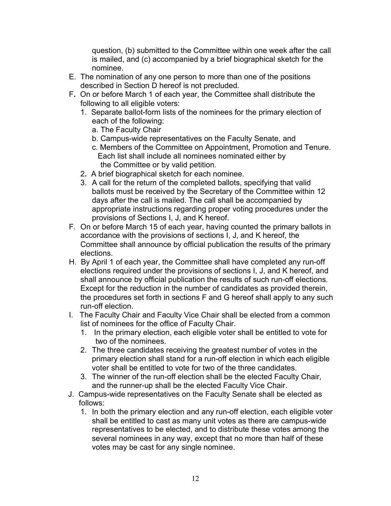question, (b) submitted to the Committee within one week after the call is mailed, and (c) accompanied by a brief biographical sketch for the nominee.

- E. The nomination of any one person to more than one of the positions described in Section D hereof is not precluded.
- F**.** On or before March 1 of each year, the Committee shall distribute the following to all eligible voters:
	- 1. Separate ballot-form lists of the nominees for the primary election of each of the following:
		- a. The Faculty Chair
		- b. Campus-wide representatives on the Faculty Senate, and
		- c. Members of the Committee on Appointment, Promotion and Tenure. Each list shall include all nominees nominated either by the Committee or by valid petition.
	- 2**.** A brief biographical sketch for each nominee.
	- 3. A call for the return of the completed ballots, specifying that valid ballots must be received by the Secretary of the Committee within 12 days after the call is mailed. The call shall be accompanied by appropriate instructions regarding proper voting procedures under the provisions of Sections I, J, and K hereof.
- F. On or before March 15 of each year, having counted the primary ballots in accordance with the provisions of sections I, J, and K hereof, the Committee shall announce by official publication the results of the primary elections.
- H. By April 1 of each year, the Committee shall have completed any run-off elections required under the provisions of sections I, J, and K hereof, and shall announce by official publication the results of such run-off elections. Except for the reduction in the number of candidates as provided therein, the procedures set forth in sections F and G hereof shall apply to any such run-off election.
- I. The Faculty Chair and Faculty Vice Chair shall be elected from a common list of nominees for the office of Faculty Chair.
	- 1. In the primary election, each eligible voter shall be entitled to vote for two of the nominees.
	- 2. The three candidates receiving the greatest number of votes in the primary election shall stand for a run-off election in which each eligible voter shall be entitled to vote for two of the three candidates.
	- 3. The winner of the run-off election shall be the elected Faculty Chair, and the runner-up shall be the elected Faculty Vice Chair.
- J. Campus-wide representatives on the Faculty Senate shall be elected as follows:
	- 1. In both the primary election and any run-off election, each eligible voter shall be entitled to cast as many unit votes as there are campus-wide representatives to be elected, and to distribute these votes among the several nominees in any way, except that no more than half of these votes may be cast for any single nominee.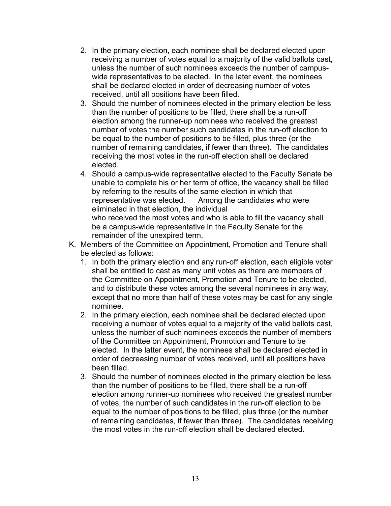- 2. In the primary election, each nominee shall be declared elected upon receiving a number of votes equal to a majority of the valid ballots cast, unless the number of such nominees exceeds the number of campuswide representatives to be elected. In the later event, the nominees shall be declared elected in order of decreasing number of votes received, until all positions have been filled.
- 3. Should the number of nominees elected in the primary election be less than the number of positions to be filled, there shall be a run-off election among the runner-up nominees who received the greatest number of votes the number such candidates in the run-off election to be equal to the number of positions to be filled, plus three (or the number of remaining candidates, if fewer than three). The candidates receiving the most votes in the run-off election shall be declared elected.
- 4. Should a campus-wide representative elected to the Faculty Senate be unable to complete his or her term of office, the vacancy shall be filled by referring to the results of the same election in which that representative was elected. Among the candidates who were eliminated in that election, the individual who received the most votes and who is able to fill the vacancy shall be a campus-wide representative in the Faculty Senate for the remainder of the unexpired term.
- K. Members of the Committee on Appointment, Promotion and Tenure shall be elected as follows:
	- 1. In both the primary election and any run-off election, each eligible voter shall be entitled to cast as many unit votes as there are members of the Committee on Appointment, Promotion and Tenure to be elected, and to distribute these votes among the several nominees in any way, except that no more than half of these votes may be cast for any single nominee.
	- 2. In the primary election, each nominee shall be declared elected upon receiving a number of votes equal to a majority of the valid ballots cast, unless the number of such nominees exceeds the number of members of the Committee on Appointment, Promotion and Tenure to be elected. In the latter event, the nominees shall be declared elected in order of decreasing number of votes received, until all positions have been filled.
	- 3. Should the number of nominees elected in the primary election be less than the number of positions to be filled, there shall be a run-off election among runner-up nominees who received the greatest number of votes, the number of such candidates in the run-off election to be equal to the number of positions to be filled, plus three (or the number of remaining candidates, if fewer than three). The candidates receiving the most votes in the run-off election shall be declared elected.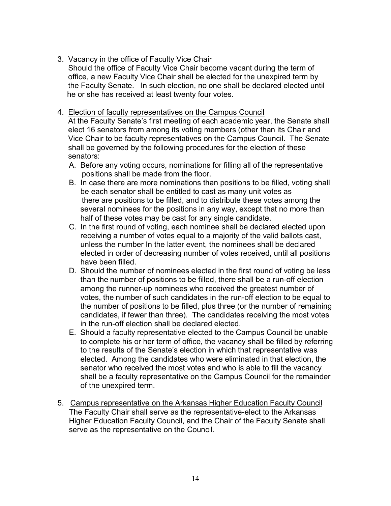## 3. Vacancy in the office of Faculty Vice Chair

Should the office of Faculty Vice Chair become vacant during the term of office, a new Faculty Vice Chair shall be elected for the unexpired term by the Faculty Senate. In such election, no one shall be declared elected until he or she has received at least twenty four votes.

## 4. Election of faculty representatives on the Campus Council

At the Faculty Senate's first meeting of each academic year, the Senate shall elect 16 senators from among its voting members (other than its Chair and Vice Chair to be faculty representatives on the Campus Council. The Senate shall be governed by the following procedures for the election of these senators:

- A. Before any voting occurs, nominations for filling all of the representative positions shall be made from the floor.
- B. In case there are more nominations than positions to be filled, voting shall be each senator shall be entitled to cast as many unit votes as there are positions to be filled, and to distribute these votes among the several nominees for the positions in any way, except that no more than half of these votes may be cast for any single candidate.
- C. In the first round of voting, each nominee shall be declared elected upon receiving a number of votes equal to a majority of the valid ballots cast, unless the number In the latter event, the nominees shall be declared elected in order of decreasing number of votes received, until all positions have been filled.
- D. Should the number of nominees elected in the first round of voting be less than the number of positions to be filled, there shall be a run-off election among the runner-up nominees who received the greatest number of votes, the number of such candidates in the run-off election to be equal to the number of positions to be filled, plus three (or the number of remaining candidates, if fewer than three). The candidates receiving the most votes in the run-off election shall be declared elected.
- E. Should a faculty representative elected to the Campus Council be unable to complete his or her term of office, the vacancy shall be filled by referring to the results of the Senate's election in which that representative was elected. Among the candidates who were eliminated in that election, the senator who received the most votes and who is able to fill the vacancy shall be a faculty representative on the Campus Council for the remainder of the unexpired term.
- 5. Campus representative on the Arkansas Higher Education Faculty Council The Faculty Chair shall serve as the representative-elect to the Arkansas Higher Education Faculty Council, and the Chair of the Faculty Senate shall serve as the representative on the Council.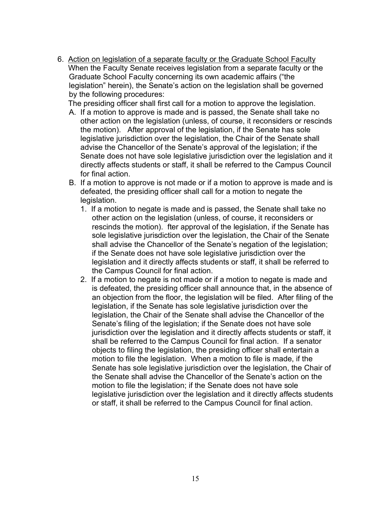6. Action on legislation of a separate faculty or the Graduate School Faculty When the Faculty Senate receives legislation from a separate faculty or the Graduate School Faculty concerning its own academic affairs ("the legislation" herein), the Senate's action on the legislation shall be governed by the following procedures:

The presiding officer shall first call for a motion to approve the legislation.

- A. If a motion to approve is made and is passed, the Senate shall take no other action on the legislation (unless, of course, it reconsiders or rescinds the motion). After approval of the legislation, if the Senate has sole legislative jurisdiction over the legislation, the Chair of the Senate shall advise the Chancellor of the Senate's approval of the legislation; if the Senate does not have sole legislative jurisdiction over the legislation and it directly affects students or staff, it shall be referred to the Campus Council for final action.
- B. If a motion to approve is not made or if a motion to approve is made and is defeated, the presiding officer shall call for a motion to negate the legislation.
	- 1. If a motion to negate is made and is passed, the Senate shall take no other action on the legislation (unless, of course, it reconsiders or rescinds the motion). fter approval of the legislation, if the Senate has sole legislative jurisdiction over the legislation, the Chair of the Senate shall advise the Chancellor of the Senate's negation of the legislation; if the Senate does not have sole legislative jurisdiction over the legislation and it directly affects students or staff, it shall be referred to the Campus Council for final action.
	- 2. If a motion to negate is not made or if a motion to negate is made and is defeated, the presiding officer shall announce that, in the absence of an objection from the floor, the legislation will be filed. After filing of the legislation, if the Senate has sole legislative jurisdiction over the legislation, the Chair of the Senate shall advise the Chancellor of the Senate's filing of the legislation; if the Senate does not have sole jurisdiction over the legislation and it directly affects students or staff, it shall be referred to the Campus Council for final action. If a senator objects to filing the legislation, the presiding officer shall entertain a motion to file the legislation. When a motion to file is made, if the Senate has sole legislative jurisdiction over the legislation, the Chair of the Senate shall advise the Chancellor of the Senate's action on the motion to file the legislation; if the Senate does not have sole legislative jurisdiction over the legislation and it directly affects students or staff, it shall be referred to the Campus Council for final action.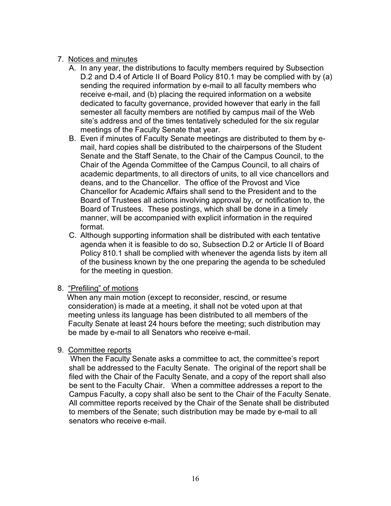## 7. Notices and minutes

- A. In any year, the distributions to faculty members required by Subsection D.2 and D.4 of Article II of Board Policy 810.1 may be complied with by (a) sending the required information by e-mail to all faculty members who receive e-mail, and (b) placing the required information on a website dedicated to faculty governance, provided however that early in the fall semester all faculty members are notified by campus mail of the Web site's address and of the times tentatively scheduled for the six regular meetings of the Faculty Senate that year.
- B. Even if minutes of Faculty Senate meetings are distributed to them by email, hard copies shall be distributed to the chairpersons of the Student Senate and the Staff Senate, to the Chair of the Campus Council, to the Chair of the Agenda Committee of the Campus Council, to all chairs of academic departments, to all directors of units, to all vice chancellors and deans, and to the Chancellor. The office of the Provost and Vice Chancellor for Academic Affairs shall send to the President and to the Board of Trustees all actions involving approval by, or notification to, the Board of Trustees. These postings, which shall be done in a timely manner, will be accompanied with explicit information in the required format.
- C. Although supporting information shall be distributed with each tentative agenda when it is feasible to do so, Subsection D.2 or Article II of Board Policy 810.1 shall be complied with whenever the agenda lists by item all of the business known by the one preparing the agenda to be scheduled for the meeting in question.

#### 8. "Prefiling" of motions

When any main motion (except to reconsider, rescind, or resume consideration) is made at a meeting, it shall not be voted upon at that meeting unless its language has been distributed to all members of the Faculty Senate at least 24 hours before the meeting; such distribution may be made by e-mail to all Senators who receive e-mail.

#### 9. Committee reports

When the Faculty Senate asks a committee to act, the committee's report shall be addressed to the Faculty Senate. The original of the report shall be filed with the Chair of the Faculty Senate, and a copy of the report shall also be sent to the Faculty Chair. When a committee addresses a report to the Campus Faculty, a copy shall also be sent to the Chair of the Faculty Senate. All committee reports received by the Chair of the Senate shall be distributed to members of the Senate; such distribution may be made by e-mail to all senators who receive e-mail.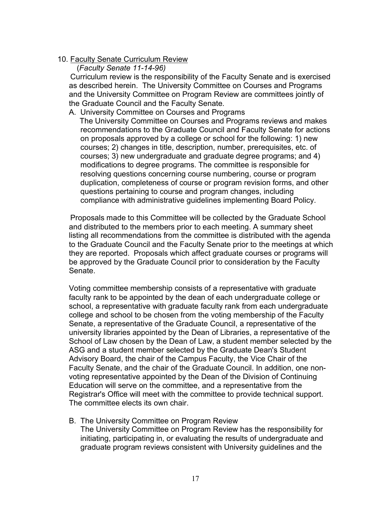### 10. Faculty Senate Curriculum Review

## (*Faculty Senate 11-14-96)*

Curriculum review is the responsibility of the Faculty Senate and is exercised as described herein. The University Committee on Courses and Programs and the University Committee on Program Review are committees jointly of the Graduate Council and the Faculty Senate.

#### A. University Committee on Courses and Programs

The University Committee on Courses and Programs reviews and makes recommendations to the Graduate Council and Faculty Senate for actions on proposals approved by a college or school for the following: 1) new courses; 2) changes in title, description, number, prerequisites, etc. of courses; 3) new undergraduate and graduate degree programs; and 4) modifications to degree programs. The committee is responsible for resolving questions concerning course numbering, course or program duplication, completeness of course or program revision forms, and other questions pertaining to course and program changes, including compliance with administrative guidelines implementing Board Policy.

Proposals made to this Committee will be collected by the Graduate School and distributed to the members prior to each meeting. A summary sheet listing all recommendations from the committee is distributed with the agenda to the Graduate Council and the Faculty Senate prior to the meetings at which they are reported. Proposals which affect graduate courses or programs will be approved by the Graduate Council prior to consideration by the Faculty Senate.

Voting committee membership consists of a representative with graduate faculty rank to be appointed by the dean of each undergraduate college or school, a representative with graduate faculty rank from each undergraduate college and school to be chosen from the voting membership of the Faculty Senate, a representative of the Graduate Council, a representative of the university libraries appointed by the Dean of Libraries, a representative of the School of Law chosen by the Dean of Law, a student member selected by the ASG and a student member selected by the Graduate Dean's Student Advisory Board, the chair of the Campus Faculty, the Vice Chair of the Faculty Senate, and the chair of the Graduate Council. In addition, one nonvoting representative appointed by the Dean of the Division of Continuing Education will serve on the committee, and a representative from the Registrar's Office will meet with the committee to provide technical support. The committee elects its own chair.

B. The University Committee on Program Review The University Committee on Program Review has the responsibility for initiating, participating in, or evaluating the results of undergraduate and graduate program reviews consistent with University guidelines and the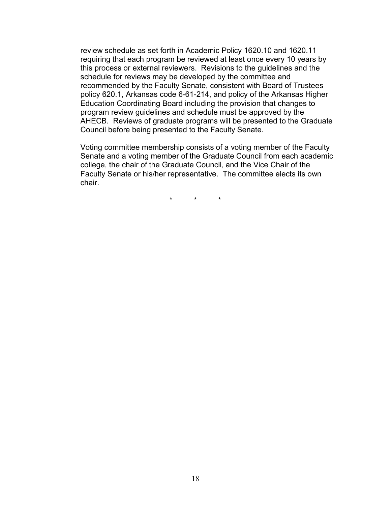review schedule as set forth in Academic Policy 1620.10 and 1620.11 requiring that each program be reviewed at least once every 10 years by this process or external reviewers. Revisions to the guidelines and the schedule for reviews may be developed by the committee and recommended by the Faculty Senate, consistent with Board of Trustees policy 620.1, Arkansas code 6-61-214, and policy of the Arkansas Higher Education Coordinating Board including the provision that changes to program review guidelines and schedule must be approved by the AHECB. Reviews of graduate programs will be presented to the Graduate Council before being presented to the Faculty Senate.

Voting committee membership consists of a voting member of the Faculty Senate and a voting member of the Graduate Council from each academic college, the chair of the Graduate Council, and the Vice Chair of the Faculty Senate or his/her representative. The committee elects its own chair.

\* \* \*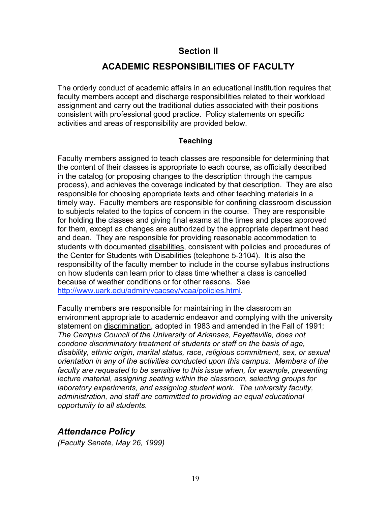# **Section II**

# **ACADEMIC RESPONSIBILITIES OF FACULTY**

The orderly conduct of academic affairs in an educational institution requires that faculty members accept and discharge responsibilities related to their workload assignment and carry out the traditional duties associated with their positions consistent with professional good practice. Policy statements on specific activities and areas of responsibility are provided below.

## **Teaching**

Faculty members assigned to teach classes are responsible for determining that the content of their classes is appropriate to each course, as officially described in the catalog (or proposing changes to the description through the campus process), and achieves the coverage indicated by that description. They are also responsible for choosing appropriate texts and other teaching materials in a timely way. Faculty members are responsible for confining classroom discussion to subjects related to the topics of concern in the course. They are responsible for holding the classes and giving final exams at the times and places approved for them, except as changes are authorized by the appropriate department head and dean. They are responsible for providing reasonable accommodation to students with documented disabilities, consistent with policies and procedures of the Center for Students with Disabilities (telephone 5-3104). It is also the responsibility of the faculty member to include in the course syllabus instructions on how students can learn prior to class time whether a class is cancelled because of weather conditions or for other reasons. See http://www.uark.edu/admin/vcacsey/vcaa/policies.html.

Faculty members are responsible for maintaining in the classroom an environment appropriate to academic endeavor and complying with the university statement on discrimination, adopted in 1983 and amended in the Fall of 1991: *The Campus Council of the University of Arkansas, Fayetteville, does not condone discriminatory treatment of students or staff on the basis of age, disability, ethnic origin, marital status, race, religious commitment, sex, or sexual orientation in any of the activities conducted upon this campus. Members of the faculty are requested to be sensitive to this issue when, for example, presenting lecture material, assigning seating within the classroom, selecting groups for laboratory experiments, and assigning student work. The university faculty, administration, and staff are committed to providing an equal educational opportunity to all students.*

# *Attendance Policy*

*(Faculty Senate, May 26, 1999)*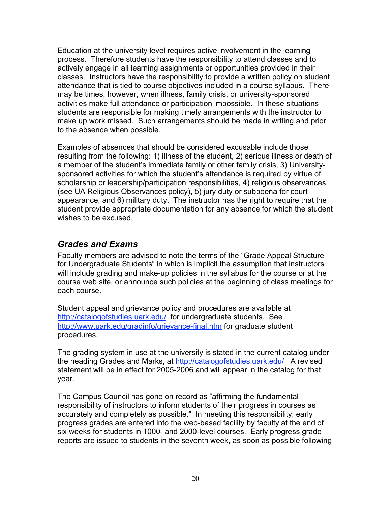Education at the university level requires active involvement in the learning process. Therefore students have the responsibility to attend classes and to actively engage in all learning assignments or opportunities provided in their classes. Instructors have the responsibility to provide a written policy on student attendance that is tied to course objectives included in a course syllabus. There may be times, however, when illness, family crisis, or university-sponsored activities make full attendance or participation impossible. In these situations students are responsible for making timely arrangements with the instructor to make up work missed. Such arrangements should be made in writing and prior to the absence when possible.

Examples of absences that should be considered excusable include those resulting from the following: 1) illness of the student, 2) serious illness or death of a member of the student's immediate family or other family crisis, 3) Universitysponsored activities for which the student's attendance is required by virtue of scholarship or leadership/participation responsibilities, 4) religious observances (see UA Religious Observances policy), 5) jury duty or subpoena for court appearance, and 6) military duty. The instructor has the right to require that the student provide appropriate documentation for any absence for which the student wishes to be excused.

# *Grades and Exams*

Faculty members are advised to note the terms of the "Grade Appeal Structure for Undergraduate Students" in which is implicit the assumption that instructors will include grading and make-up policies in the syllabus for the course or at the course web site, or announce such policies at the beginning of class meetings for each course.

Student appeal and grievance policy and procedures are available at http://catalogofstudies.uark.edu/ for undergraduate students. See http://www.uark.edu/gradinfo/grievance-final.htm for graduate student procedures.

The grading system in use at the university is stated in the current catalog under the heading Grades and Marks, at http://catalogofstudies.uark.edu/ A revised statement will be in effect for 2005-2006 and will appear in the catalog for that year.

The Campus Council has gone on record as "affirming the fundamental responsibility of instructors to inform students of their progress in courses as accurately and completely as possible." In meeting this responsibility, early progress grades are entered into the web-based facility by faculty at the end of six weeks for students in 1000- and 2000-level courses. Early progress grade reports are issued to students in the seventh week, as soon as possible following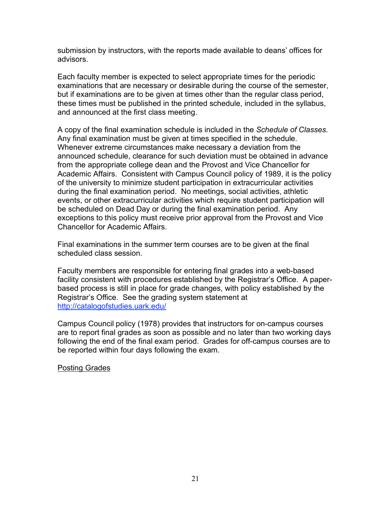submission by instructors, with the reports made available to deans' offices for advisors.

Each faculty member is expected to select appropriate times for the periodic examinations that are necessary or desirable during the course of the semester, but if examinations are to be given at times other than the regular class period, these times must be published in the printed schedule, included in the syllabus, and announced at the first class meeting.

A copy of the final examination schedule is included in the *Schedule of Classes*. Any final examination must be given at times specified in the schedule. Whenever extreme circumstances make necessary a deviation from the announced schedule, clearance for such deviation must be obtained in advance from the appropriate college dean and the Provost and Vice Chancellor for Academic Affairs. Consistent with Campus Council policy of 1989, it is the policy of the university to minimize student participation in extracurricular activities during the final examination period. No meetings, social activities, athletic events, or other extracurricular activities which require student participation will be scheduled on Dead Day or during the final examination period. Any exceptions to this policy must receive prior approval from the Provost and Vice Chancellor for Academic Affairs.

Final examinations in the summer term courses are to be given at the final scheduled class session.

Faculty members are responsible for entering final grades into a web-based facility consistent with procedures established by the Registrar's Office. A paperbased process is still in place for grade changes, with policy established by the Registrar's Office. See the grading system statement at http://catalogofstudies.uark.edu/

Campus Council policy (1978) provides that instructors for on-campus courses are to report final grades as soon as possible and no later than two working days following the end of the final exam period. Grades for off-campus courses are to be reported within four days following the exam.

Posting Grades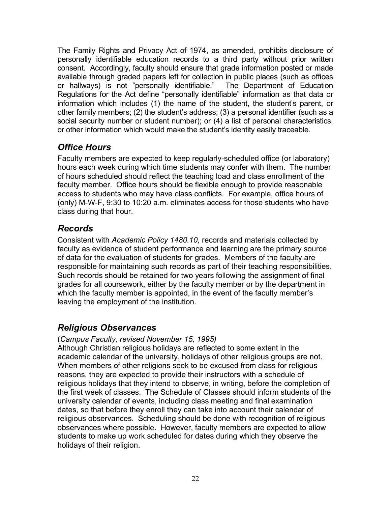The Family Rights and Privacy Act of 1974, as amended, prohibits disclosure of personally identifiable education records to a third party without prior written consent. Accordingly, faculty should ensure that grade information posted or made available through graded papers left for collection in public places (such as offices or hallways) is not "personally identifiable." The Department of Education Regulations for the Act define "personally identifiable" information as that data or information which includes (1) the name of the student, the student's parent, or other family members; (2) the student's address; (3) a personal identifier (such as a social security number or student number); or (4) a list of personal characteristics, or other information which would make the student's identity easily traceable.

# *Office Hours*

Faculty members are expected to keep regularly-scheduled office (or laboratory) hours each week during which time students may confer with them. The number of hours scheduled should reflect the teaching load and class enrollment of the faculty member. Office hours should be flexible enough to provide reasonable access to students who may have class conflicts. For example, office hours of (only) M-W-F, 9:30 to 10:20 a.m. eliminates access for those students who have class during that hour.

# *Records*

Consistent with *Academic Policy 1480.10,* records and materials collected by faculty as evidence of student performance and learning are the primary source of data for the evaluation of students for grades. Members of the faculty are responsible for maintaining such records as part of their teaching responsibilities. Such records should be retained for two years following the assignment of final grades for all coursework, either by the faculty member or by the department in which the faculty member is appointed, in the event of the faculty member's leaving the employment of the institution.

# *Religious Observances*

## (*Campus Faculty, revised November 15, 1995)*

Although Christian religious holidays are reflected to some extent in the academic calendar of the university, holidays of other religious groups are not. When members of other religions seek to be excused from class for religious reasons, they are expected to provide their instructors with a schedule of religious holidays that they intend to observe, in writing, before the completion of the first week of classes. The Schedule of Classes should inform students of the university calendar of events, including class meeting and final examination dates, so that before they enroll they can take into account their calendar of religious observances. Scheduling should be done with recognition of religious observances where possible. However, faculty members are expected to allow students to make up work scheduled for dates during which they observe the holidays of their religion.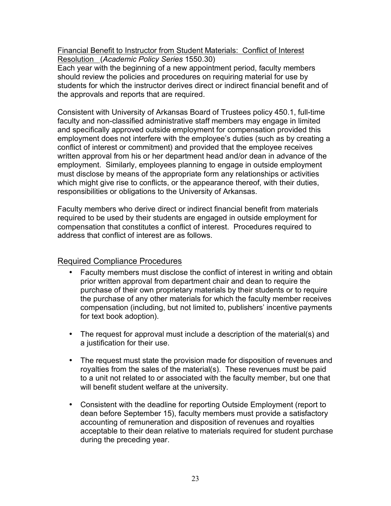Financial Benefit to Instructor from Student Materials: Conflict of Interest Resolution (*Academic Policy Series* 1550.30)

Each year with the beginning of a new appointment period, faculty members should review the policies and procedures on requiring material for use by students for which the instructor derives direct or indirect financial benefit and of the approvals and reports that are required.

Consistent with University of Arkansas Board of Trustees policy 450.1, full-time faculty and non-classified administrative staff members may engage in limited and specifically approved outside employment for compensation provided this employment does not interfere with the employee's duties (such as by creating a conflict of interest or commitment) and provided that the employee receives written approval from his or her department head and/or dean in advance of the employment. Similarly, employees planning to engage in outside employment must disclose by means of the appropriate form any relationships or activities which might give rise to conflicts, or the appearance thereof, with their duties, responsibilities or obligations to the University of Arkansas.

Faculty members who derive direct or indirect financial benefit from materials required to be used by their students are engaged in outside employment for compensation that constitutes a conflict of interest. Procedures required to address that conflict of interest are as follows.

## Required Compliance Procedures

- Faculty members must disclose the conflict of interest in writing and obtain prior written approval from department chair and dean to require the purchase of their own proprietary materials by their students or to require the purchase of any other materials for which the faculty member receives compensation (including, but not limited to, publishers' incentive payments for text book adoption).
- The request for approval must include a description of the material(s) and a justification for their use.
- The request must state the provision made for disposition of revenues and royalties from the sales of the material(s). These revenues must be paid to a unit not related to or associated with the faculty member, but one that will benefit student welfare at the university.
- Consistent with the deadline for reporting Outside Employment (report to dean before September 15), faculty members must provide a satisfactory accounting of remuneration and disposition of revenues and royalties acceptable to their dean relative to materials required for student purchase during the preceding year.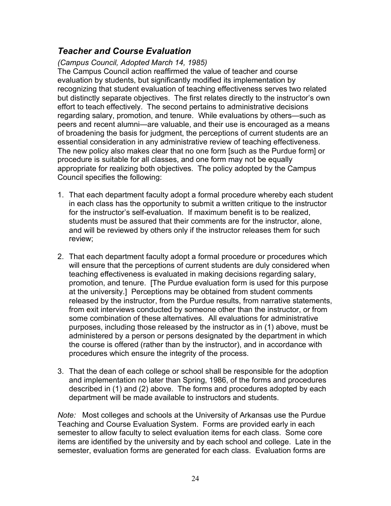# *Teacher and Course Evaluation*

*(Campus Council, Adopted March 14, 1985)*

The Campus Council action reaffirmed the value of teacher and course evaluation by students, but significantly modified its implementation by recognizing that student evaluation of teaching effectiveness serves two related but distinctly separate objectives. The first relates directly to the instructor's own effort to teach effectively. The second pertains to administrative decisions regarding salary, promotion, and tenure. While evaluations by others—such as peers and recent alumni—are valuable, and their use is encouraged as a means of broadening the basis for judgment, the perceptions of current students are an essential consideration in any administrative review of teaching effectiveness. The new policy also makes clear that no one form [such as the Purdue form] or procedure is suitable for all classes, and one form may not be equally appropriate for realizing both objectives. The policy adopted by the Campus Council specifies the following:

- 1. That each department faculty adopt a formal procedure whereby each student in each class has the opportunity to submit a written critique to the instructor for the instructor's self-evaluation. If maximum benefit is to be realized, students must be assured that their comments are for the instructor, alone, and will be reviewed by others only if the instructor releases them for such review;
- 2. That each department faculty adopt a formal procedure or procedures which will ensure that the perceptions of current students are duly considered when teaching effectiveness is evaluated in making decisions regarding salary, promotion, and tenure. [The Purdue evaluation form is used for this purpose at the university.] Perceptions may be obtained from student comments released by the instructor, from the Purdue results, from narrative statements, from exit interviews conducted by someone other than the instructor, or from some combination of these alternatives. All evaluations for administrative purposes, including those released by the instructor as in (1) above, must be administered by a person or persons designated by the department in which the course is offered (rather than by the instructor), and in accordance with procedures which ensure the integrity of the process.
- 3. That the dean of each college or school shall be responsible for the adoption and implementation no later than Spring, 1986, of the forms and procedures described in (1) and (2) above. The forms and procedures adopted by each department will be made available to instructors and students.

*Note:* Most colleges and schools at the University of Arkansas use the Purdue Teaching and Course Evaluation System. Forms are provided early in each semester to allow faculty to select evaluation items for each class. Some core items are identified by the university and by each school and college. Late in the semester, evaluation forms are generated for each class. Evaluation forms are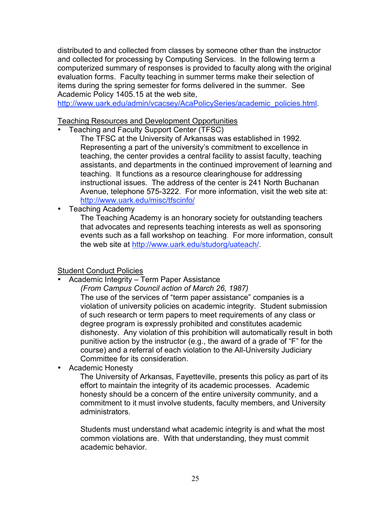distributed to and collected from classes by someone other than the instructor and collected for processing by Computing Services. In the following term a computerized summary of responses is provided to faculty along with the original evaluation forms. Faculty teaching in summer terms make their selection of items during the spring semester for forms delivered in the summer. See Academic Policy 1405.15 at the web site,

http://www.uark.edu/admin/vcacsey/AcaPolicySeries/academic\_policies.html.

## Teaching Resources and Development Opportunities

• Teaching and Faculty Support Center (TFSC)

The TFSC at the University of Arkansas was established in 1992. Representing a part of the university's commitment to excellence in teaching, the center provides a central facility to assist faculty, teaching assistants, and departments in the continued improvement of learning and teaching. It functions as a resource clearinghouse for addressing instructional issues. The address of the center is 241 North Buchanan Avenue, telephone 575-3222. For more information, visit the web site at: http://www.uark.edu/misc/tfscinfo/

• Teaching Academy

The Teaching Academy is an honorary society for outstanding teachers that advocates and represents teaching interests as well as sponsoring events such as a fall workshop on teaching. For more information, consult the web site at http://www.uark.edu/studorg/uateach/.

## Student Conduct Policies

• Academic Integrity – Term Paper Assistance

*(From Campus Council action of March 26, 1987)*

The use of the services of "term paper assistance" companies is a violation of university policies on academic integrity. Student submission of such research or term papers to meet requirements of any class or degree program is expressly prohibited and constitutes academic dishonesty. Any violation of this prohibition will automatically result in both punitive action by the instructor (e.g., the award of a grade of "F" for the course) and a referral of each violation to the All-University Judiciary Committee for its consideration.

• Academic Honesty

The University of Arkansas, Fayetteville, presents this policy as part of its effort to maintain the integrity of its academic processes. Academic honesty should be a concern of the entire university community, and a commitment to it must involve students, faculty members, and University administrators.

Students must understand what academic integrity is and what the most common violations are. With that understanding, they must commit academic behavior.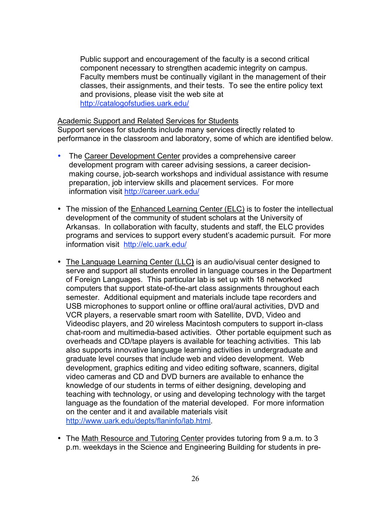Public support and encouragement of the faculty is a second critical component necessary to strengthen academic integrity on campus. Faculty members must be continually vigilant in the management of their classes, their assignments, and their tests. To see the entire policy text and provisions, please visit the web site at http://catalogofstudies.uark.edu/

#### Academic Support and Related Services for Students

Support services for students include many services directly related to performance in the classroom and laboratory, some of which are identified below.

- The Career Development Center provides a comprehensive career development program with career advising sessions, a career decisionmaking course, job-search workshops and individual assistance with resume preparation, job interview skills and placement services. For more information visit http://career.uark.edu/
- The mission of the Enhanced Learning Center (ELC) is to foster the intellectual development of the community of student scholars at the University of Arkansas. In collaboration with faculty, students and staff, the ELC provides programs and services to support every student's academic pursuit. For more information visit http://elc.uark.edu/
- The Language Learning Center (LLC**)** is an audio/visual center designed to serve and support all students enrolled in language courses in the Department of Foreign Languages. This particular lab is set up with 18 networked computers that support state-of-the-art class assignments throughout each semester. Additional equipment and materials include tape recorders and USB microphones to support online or offline oral/aural activities, DVD and VCR players, a reservable smart room with Satellite, DVD, Video and Videodisc players, and 20 wireless Macintosh computers to support in-class chat-room and multimedia-based activities. Other portable equipment such as overheads and CD/tape players is available for teaching activities. This lab also supports innovative language learning activities in undergraduate and graduate level courses that include web and video development. Web development, graphics editing and video editing software, scanners, digital video cameras and CD and DVD burners are available to enhance the knowledge of our students in terms of either designing, developing and teaching with technology, or using and developing technology with the target language as the foundation of the material developed. For more information on the center and it and available materials visit http://www.uark.edu/depts/flaninfo/lab.html.
- The Math Resource and Tutoring Center provides tutoring from 9 a.m. to 3 p.m. weekdays in the Science and Engineering Building for students in pre-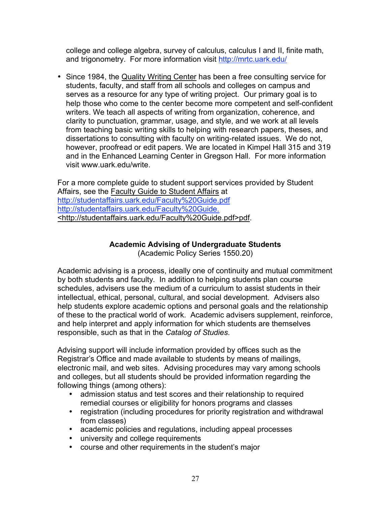college and college algebra, survey of calculus, calculus I and II, finite math, and trigonometry. For more information visit http://mrtc.uark.edu/

• Since 1984, the Quality Writing Center has been a fre*e* consulting service for students, faculty, and staff from all schools and colleges on campus and serves as a resource for any type of writing project. Our primary goal is to help those who come to the center become more competent and self-confident writers. We teach all aspects of writing from organization, coherence, and clarity to punctuation, grammar, usage, and style, and we work at all levels from teaching basic writing skills to helping with research papers, theses, and dissertations to consulting with faculty on writing-related issues. We do not, however, proofread or edit papers. We are located in Kimpel Hall 315 and 319 and in the Enhanced Learning Center in Gregson Hall. For more information visit www.uark.edu/write.

For a more complete guide to student support services provided by Student Affairs, see the Faculty Guide to Student Affairs at http://studentaffairs.uark.edu/Faculty%20Guide.pdf http://studentaffairs.uark.edu/Faculty%20Guide. <http://studentaffairs.uark.edu/Faculty%20Guide.pdf>pdf.

## **Academic Advising of Undergraduate Students**

(Academic Policy Series 1550.20)

Academic advising is a process, ideally one of continuity and mutual commitment by both students and faculty. In addition to helping students plan course schedules, advisers use the medium of a curriculum to assist students in their intellectual, ethical, personal, cultural, and social development. Advisers also help students explore academic options and personal goals and the relationship of these to the practical world of work. Academic advisers supplement, reinforce, and help interpret and apply information for which students are themselves responsible, such as that in the *Catalog of Studies*.

Advising support will include information provided by offices such as the Registrar's Office and made available to students by means of mailings, electronic mail, and web sites. Advising procedures may vary among schools and colleges, but all students should be provided information regarding the following things (among others):

- admission status and test scores and their relationship to required remedial courses or eligibility for honors programs and classes
- registration (including procedures for priority registration and withdrawal from classes)
- academic policies and regulations, including appeal processes
- university and college requirements
- course and other requirements in the student's major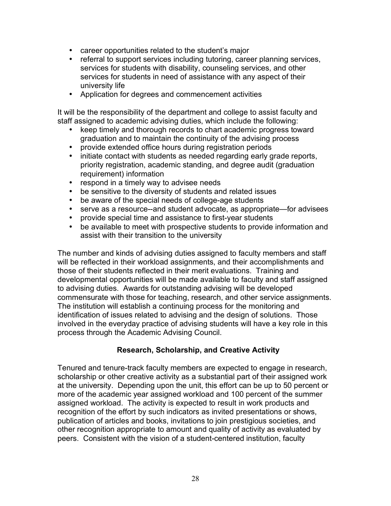- career opportunities related to the student's major
- referral to support services including tutoring, career planning services, services for students with disability, counseling services, and other services for students in need of assistance with any aspect of their university life
- Application for degrees and commencement activities

It will be the responsibility of the department and college to assist faculty and staff assigned to academic advising duties, which include the following:

- keep timely and thorough records to chart academic progress toward graduation and to maintain the continuity of the advising process
- provide extended office hours during registration periods
- initiate contact with students as needed regarding early grade reports, priority registration, academic standing, and degree audit (graduation requirement) information
- respond in a timely way to advisee needs
- be sensitive to the diversity of students and related issues
- be aware of the special needs of college-age students
- serve as a resource--and student advocate, as appropriate—for advisees
- provide special time and assistance to first-year students
- be available to meet with prospective students to provide information and assist with their transition to the university

The number and kinds of advising duties assigned to faculty members and staff will be reflected in their workload assignments, and their accomplishments and those of their students reflected in their merit evaluations. Training and developmental opportunities will be made available to faculty and staff assigned to advising duties. Awards for outstanding advising will be developed commensurate with those for teaching, research, and other service assignments. The institution will establish a continuing process for the monitoring and identification of issues related to advising and the design of solutions. Those involved in the everyday practice of advising students will have a key role in this process through the Academic Advising Council.

## **Research, Scholarship, and Creative Activity**

Tenured and tenure-track faculty members are expected to engage in research, scholarship or other creative activity as a substantial part of their assigned work at the university. Depending upon the unit, this effort can be up to 50 percent or more of the academic year assigned workload and 100 percent of the summer assigned workload. The activity is expected to result in work products and recognition of the effort by such indicators as invited presentations or shows, publication of articles and books, invitations to join prestigious societies, and other recognition appropriate to amount and quality of activity as evaluated by peers. Consistent with the vision of a student-centered institution, faculty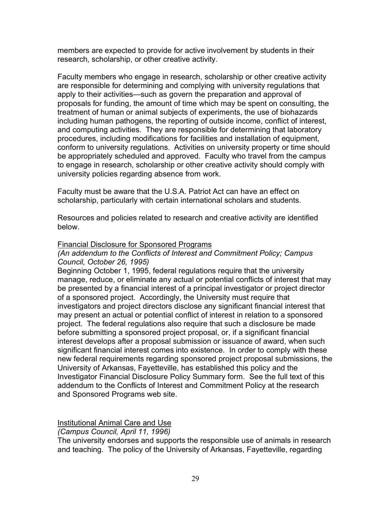members are expected to provide for active involvement by students in their research, scholarship, or other creative activity.

Faculty members who engage in research, scholarship or other creative activity are responsible for determining and complying with university regulations that apply to their activities—such as govern the preparation and approval of proposals for funding, the amount of time which may be spent on consulting, the treatment of human or animal subjects of experiments, the use of biohazards including human pathogens, the reporting of outside income, conflict of interest, and computing activities. They are responsible for determining that laboratory procedures, including modifications for facilities and installation of equipment, conform to university regulations. Activities on university property or time should be appropriately scheduled and approved. Faculty who travel from the campus to engage in research, scholarship or other creative activity should comply with university policies regarding absence from work.

Faculty must be aware that the U.S.A. Patriot Act can have an effect on scholarship, particularly with certain international scholars and students.

Resources and policies related to research and creative activity are identified below.

#### Financial Disclosure for Sponsored Programs

#### *(An addendum to the Conflicts of Interest and Commitment Policy; Campus Council, October 26, 1995)*

Beginning October 1, 1995, federal regulations require that the university manage, reduce, or eliminate any actual or potential conflicts of interest that may be presented by a financial interest of a principal investigator or project director of a sponsored project. Accordingly, the University must require that investigators and project directors disclose any significant financial interest that may present an actual or potential conflict of interest in relation to a sponsored project. The federal regulations also require that such a disclosure be made before submitting a sponsored project proposal, or, if a significant financial interest develops after a proposal submission or issuance of award, when such significant financial interest comes into existence. In order to comply with these new federal requirements regarding sponsored project proposal submissions, the University of Arkansas, Fayetteville, has established this policy and the Investigator Financial Disclosure Policy Summary form. See the full text of this addendum to the Conflicts of Interest and Commitment Policy at the research and Sponsored Programs web site.

Institutional Animal Care and Use

*(Campus Council, April 11, 1996)*

The university endorses and supports the responsible use of animals in research and teaching. The policy of the University of Arkansas, Fayetteville, regarding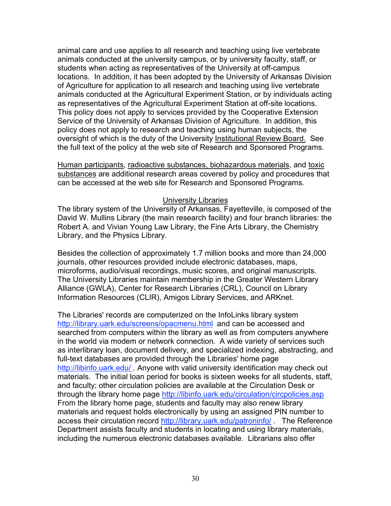animal care and use applies to all research and teaching using live vertebrate animals conducted at the university campus, or by university faculty, staff, or students when acting as representatives of the University at off-campus locations. In addition, it has been adopted by the University of Arkansas Division of Agriculture for application to all research and teaching using live vertebrate animals conducted at the Agricultural Experiment Station, or by individuals acting as representatives of the Agricultural Experiment Station at off-site locations. This policy does not apply to services provided by the Cooperative Extension Service of the University of Arkansas Division of Agriculture. In addition, this policy does not apply to research and teaching using human subjects, the oversight of which is the duty of the University Institutional Review Board. See the full text of the policy at the web site of Research and Sponsored Programs.

Human participants, radioactive substances, biohazardous materials, and toxic substances are additional research areas covered by policy and procedures that can be accessed at the web site for Research and Sponsored Programs.

#### University Libraries

The library system of the University of Arkansas, Fayetteville, is composed of the David W. Mullins Library (the main research facility) and four branch libraries: the Robert A. and Vivian Young Law Library, the Fine Arts Library, the Chemistry Library, and the Physics Library.

Besides the collection of approximately 1.7 million books and more than 24,000 journals, other resources provided include electronic databases, maps, microforms, audio/visual recordings, music scores, and original manuscripts. The University Libraries maintain membership in the Greater Western Library Alliance (GWLA), Center for Research Libraries (CRL), Council on Library Information Resources (CLIR), Amigos Library Services, and ARKnet.

The Libraries' records are computerized on the InfoLinks library system http://library.uark.edu/screens/opacmenu.html and can be accessed and searched from computers within the library as well as from computers anywhere in the world via modem or network connection. A wide variety of services such as interlibrary loan, document delivery, and specialized indexing, abstracting, and full-text databases are provided through the Libraries' home page http://libinfo.uark.edu/ . Anyone with valid university identification may check out materials. The initial loan period for books is sixteen weeks for all students, staff, and faculty; other circulation policies are available at the Circulation Desk or through the library home page http://libinfo.uark.edu/circulation/circpolicies.asp From the library home page, students and faculty may also renew library materials and request holds electronically by using an assigned PIN number to access their circulation record http://library.uark.edu/patroninfo/ . The Reference Department assists faculty and students in locating and using library materials, including the numerous electronic databases available. Librarians also offer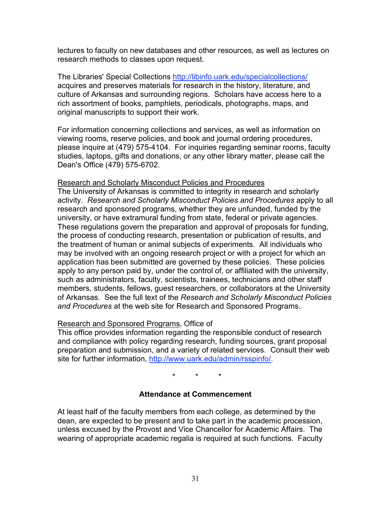lectures to faculty on new databases and other resources, as well as lectures on research methods to classes upon request.

The Libraries' Special Collections http://libinfo.uark.edu/specialcollections/ acquires and preserves materials for research in the history, literature, and culture of Arkansas and surrounding regions. Scholars have access here to a rich assortment of books, pamphlets, periodicals, photographs, maps, and original manuscripts to support their work.

For information concerning collections and services, as well as information on viewing rooms, reserve policies, and book and journal ordering procedures, please inquire at (479) 575-4104. For inquiries regarding seminar rooms, faculty studies, laptops, gifts and donations, or any other library matter, please call the Dean's Office (479) 575-6702.

#### Research and Scholarly Misconduct Policies and Procedures

The University of Arkansas is committed to integrity in research and scholarly activity. *Research and Scholarly Misconduct Policies and Procedures* apply to all research and sponsored programs, whether they are unfunded, funded by the university, or have extramural funding from state, federal or private agencies. These regulations govern the preparation and approval of proposals for funding, the process of conducting research, presentation or publication of results, and the treatment of human or animal subjects of experiments. All individuals who may be involved with an ongoing research project or with a project for which an application has been submitted are governed by these policies. These policies apply to any person paid by, under the control of, or affiliated with the university, such as administrators, faculty, scientists, trainees, technicians and other staff members, students, fellows, guest researchers, or collaborators at the University of Arkansas. See the full text of the *Research and Scholarly Misconduct Policies and Procedures* at the web site for Research and Sponsored Programs.

#### Research and Sponsored Programs, Office of

This office provides information regarding the responsible conduct of research and compliance with policy regarding research, funding sources, grant proposal preparation and submission, and a variety of related services. Consult their web site for further information, http://www.uark.edu/admin/rsspinfo/.

\* \* \*

## **Attendance at Commencement**

At least half of the faculty members from each college, as determined by the dean, are expected to be present and to take part in the academic procession, unless excused by the Provost and Vice Chancellor for Academic Affairs. The wearing of appropriate academic regalia is required at such functions. Faculty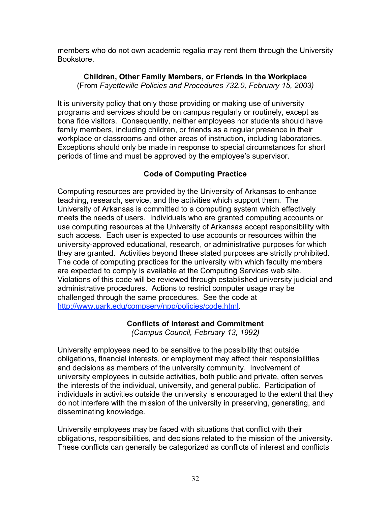members who do not own academic regalia may rent them through the University Bookstore.

**Children, Other Family Members, or Friends in the Workplace** (From *Fayetteville Policies and Procedures 732.0, February 15, 2003)*

It is university policy that only those providing or making use of university programs and services should be on campus regularly or routinely, except as bona fide visitors. Consequently, neither employees nor students should have family members, including children, or friends as a regular presence in their workplace or classrooms and other areas of instruction, including laboratories. Exceptions should only be made in response to special circumstances for short periods of time and must be approved by the employee's supervisor.

## **Code of Computing Practice**

Computing resources are provided by the University of Arkansas to enhance teaching, research, service, and the activities which support them. The University of Arkansas is committed to a computing system which effectively meets the needs of users. Individuals who are granted computing accounts or use computing resources at the University of Arkansas accept responsibility with such access. Each user is expected to use accounts or resources within the university-approved educational, research, or administrative purposes for which they are granted. Activities beyond these stated purposes are strictly prohibited. The code of computing practices for the university with which faculty members are expected to comply is available at the Computing Services web site. Violations of this code will be reviewed through established university judicial and administrative procedures. Actions to restrict computer usage may be challenged through the same procedures. See the code at http://www.uark.edu/compserv/npp/policies/code.html.

## **Conflicts of Interest and Commitment**

*(Campus Council, February 13, 1992)*

University employees need to be sensitive to the possibility that outside obligations, financial interests, or employment may affect their responsibilities and decisions as members of the university community. Involvement of university employees in outside activities, both public and private, often serves the interests of the individual, university, and general public. Participation of individuals in activities outside the university is encouraged to the extent that they do not interfere with the mission of the university in preserving, generating, and disseminating knowledge.

University employees may be faced with situations that conflict with their obligations, responsibilities, and decisions related to the mission of the university. These conflicts can generally be categorized as conflicts of interest and conflicts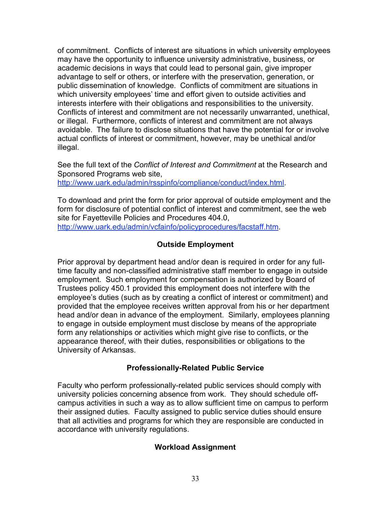of commitment. Conflicts of interest are situations in which university employees may have the opportunity to influence university administrative, business, or academic decisions in ways that could lead to personal gain, give improper advantage to self or others, or interfere with the preservation, generation, or public dissemination of knowledge. Conflicts of commitment are situations in which university employees' time and effort given to outside activities and interests interfere with their obligations and responsibilities to the university. Conflicts of interest and commitment are not necessarily unwarranted, unethical, or illegal. Furthermore, conflicts of interest and commitment are not always avoidable. The failure to disclose situations that have the potential for or involve actual conflicts of interest or commitment, however, may be unethical and/or illegal.

See the full text of the *Conflict of Interest and Commitment* at the Research and Sponsored Programs web site, http://www.uark.edu/admin/rsspinfo/compliance/conduct/index.html.

To download and print the form for prior approval of outside employment and the form for disclosure of potential conflict of interest and commitment, see the web site for Fayetteville Policies and Procedures 404.0, http://www.uark.edu/admin/vcfainfo/policyprocedures/facstaff.htm.

## **Outside Employment**

Prior approval by department head and/or dean is required in order for any fulltime faculty and non-classified administrative staff member to engage in outside employment. Such employment for compensation is authorized by Board of Trustees policy 450.1 provided this employment does not interfere with the employee's duties (such as by creating a conflict of interest or commitment) and provided that the employee receives written approval from his or her department head and/or dean in advance of the employment. Similarly, employees planning to engage in outside employment must disclose by means of the appropriate form any relationships or activities which might give rise to conflicts, or the appearance thereof, with their duties, responsibilities or obligations to the University of Arkansas.

## **Professionally-Related Public Service**

Faculty who perform professionally-related public services should comply with university policies concerning absence from work. They should schedule offcampus activities in such a way as to allow sufficient time on campus to perform their assigned duties. Faculty assigned to public service duties should ensure that all activities and programs for which they are responsible are conducted in accordance with university regulations.

## **Workload Assignment**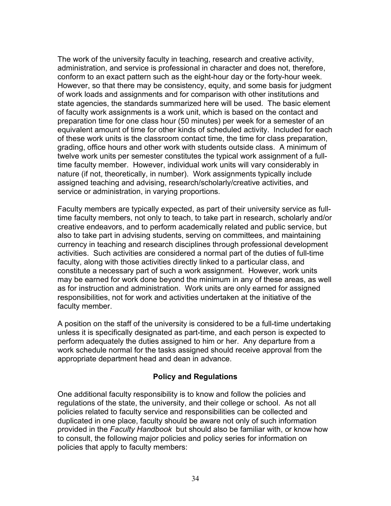The work of the university faculty in teaching, research and creative activity, administration, and service is professional in character and does not, therefore, conform to an exact pattern such as the eight-hour day or the forty-hour week. However, so that there may be consistency, equity, and some basis for judgment of work loads and assignments and for comparison with other institutions and state agencies, the standards summarized here will be used. The basic element of faculty work assignments is a work unit, which is based on the contact and preparation time for one class hour (50 minutes) per week for a semester of an equivalent amount of time for other kinds of scheduled activity. Included for each of these work units is the classroom contact time, the time for class preparation, grading, office hours and other work with students outside class. A minimum of twelve work units per semester constitutes the typical work assignment of a fulltime faculty member. However, individual work units will vary considerably in nature (if not, theoretically, in number). Work assignments typically include assigned teaching and advising, research/scholarly/creative activities, and service or administration, in varying proportions.

Faculty members are typically expected, as part of their university service as fulltime faculty members, not only to teach, to take part in research, scholarly and/or creative endeavors, and to perform academically related and public service, but also to take part in advising students, serving on committees, and maintaining currency in teaching and research disciplines through professional development activities. Such activities are considered a normal part of the duties of full-time faculty, along with those activities directly linked to a particular class, and constitute a necessary part of such a work assignment. However, work units may be earned for work done beyond the minimum in any of these areas, as well as for instruction and administration. Work units are only earned for assigned responsibilities, not for work and activities undertaken at the initiative of the faculty member.

A position on the staff of the university is considered to be a full-time undertaking unless it is specifically designated as part-time, and each person is expected to perform adequately the duties assigned to him or her. Any departure from a work schedule normal for the tasks assigned should receive approval from the appropriate department head and dean in advance.

## **Policy and Regulations**

One additional faculty responsibility is to know and follow the policies and regulations of the state, the university, and their college or school. As not all policies related to faculty service and responsibilities can be collected and duplicated in one place, faculty should be aware not only of such information provided in the *Faculty Handbook* but should also be familiar with, or know how to consult, the following major policies and policy series for information on policies that apply to faculty members: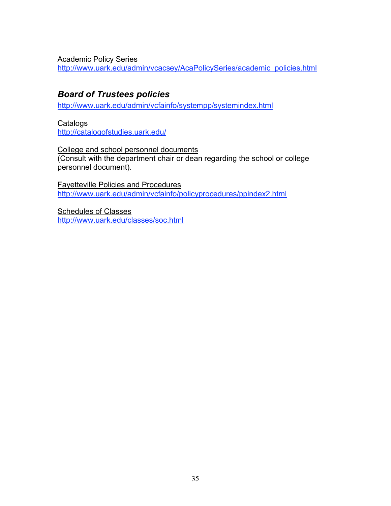Academic Policy Series

http://www.uark.edu/admin/vcacsey/AcaPolicySeries/academic\_policies.html

# *Board of Trustees policies*

http://www.uark.edu/admin/vcfainfo/systempp/systemindex.html

**Catalogs** 

http://catalogofstudies.uark.edu/

College and school personnel documents (Consult with the department chair or dean regarding the school or college personnel document).

Fayetteville Policies and Procedures http://www.uark.edu/admin/vcfainfo/policyprocedures/ppindex2.html

Schedules of Classes http://www.uark.edu/classes/soc.html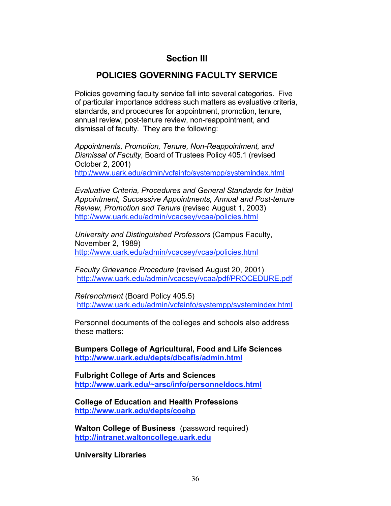# **Section III**

# **POLICIES GOVERNING FACULTY SERVICE**

Policies governing faculty service fall into several categories. Five of particular importance address such matters as evaluative criteria, standards, and procedures for appointment, promotion, tenure, annual review, post-tenure review, non-reappointment, and dismissal of faculty. They are the following:

*Appointments, Promotion, Tenure, Non-Reappointment, and Dismissal of Faculty*, Board of Trustees Policy 405.1 (revised October 2, 2001) http://www.uark.edu/admin/vcfainfo/systempp/systemindex.html

*Evaluative Criteria, Procedures and General Standards for Initial Appointment, Successive Appointments, Annual and Post-tenure Review, Promotion and Tenure* (revised August 1, 2003) http://www.uark.edu/admin/vcacsey/vcaa/policies.html

*University and Distinguished Professors* (Campus Faculty, November 2, 1989) http://www.uark.edu/admin/vcacsey/vcaa/policies.html

*Faculty Grievance Procedure* (revised August 20, 2001) http://www.uark.edu/admin/vcacsey/vcaa/pdf/PROCEDURE.pdf

*Retrenchment* (Board Policy 405.5) http://www.uark.edu/admin/vcfainfo/systempp/systemindex.html

Personnel documents of the colleges and schools also address these matters:

**Bumpers College of Agricultural, Food and Life Sciences http://www.uark.edu/depts/dbcafls/admin.html**

**Fulbright College of Arts and Sciences http://www.uark.edu/~arsc/info/personneldocs.html**

**College of Education and Health Professions http://www.uark.edu/depts/coehp**

**Walton College of Business** (password required) **http://intranet.waltoncollege.uark.edu**

**University Libraries**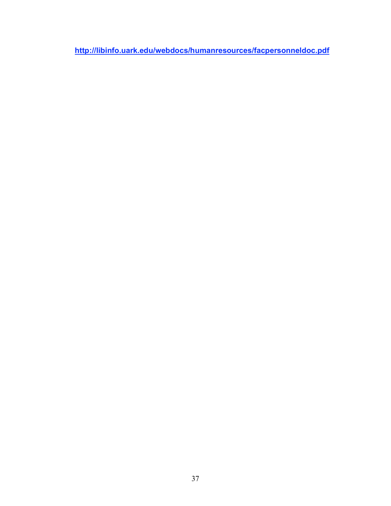**http://libinfo.uark.edu/webdocs/humanresources/facpersonneldoc.pdf**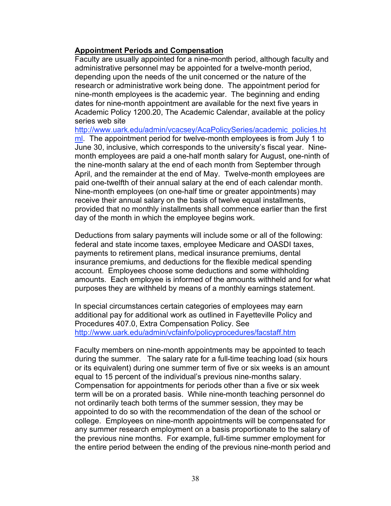#### **Appointment Periods and Compensation**

Faculty are usually appointed for a nine-month period, although faculty and administrative personnel may be appointed for a twelve-month period, depending upon the needs of the unit concerned or the nature of the research or administrative work being done. The appointment period for nine-month employees is the academic year. The beginning and ending dates for nine-month appointment are available for the next five years in Academic Policy 1200.20, The Academic Calendar, available at the policy series web site

http://www.uark.edu/admin/vcacsey/AcaPolicySeries/academic\_policies.ht ml. The appointment period for twelve-month employees is from July 1 to June 30, inclusive, which corresponds to the university's fiscal year. Ninemonth employees are paid a one-half month salary for August, one-ninth of the nine-month salary at the end of each month from September through April, and the remainder at the end of May. Twelve-month employees are paid one-twelfth of their annual salary at the end of each calendar month. Nine-month employees (on one-half time or greater appointments) may receive their annual salary on the basis of twelve equal installments, provided that no monthly installments shall commence earlier than the first day of the month in which the employee begins work.

Deductions from salary payments will include some or all of the following: federal and state income taxes, employee Medicare and OASDI taxes, payments to retirement plans, medical insurance premiums, dental insurance premiums, and deductions for the flexible medical spending account. Employees choose some deductions and some withholding amounts. Each employee is informed of the amounts withheld and for what purposes they are withheld by means of a monthly earnings statement.

In special circumstances certain categories of employees may earn additional pay for additional work as outlined in Fayetteville Policy and Procedures 407.0, Extra Compensation Policy. See http://www.uark.edu/admin/vcfainfo/policyprocedures/facstaff.htm

Faculty members on nine-month appointments may be appointed to teach during the summer. The salary rate for a full-time teaching load (six hours or its equivalent) during one summer term of five or six weeks is an amount equal to 15 percent of the individual's previous nine-months salary. Compensation for appointments for periods other than a five or six week term will be on a prorated basis. While nine-month teaching personnel do not ordinarily teach both terms of the summer session, they may be appointed to do so with the recommendation of the dean of the school or college. Employees on nine-month appointments will be compensated for any summer research employment on a basis proportionate to the salary of the previous nine months. For example, full-time summer employment for the entire period between the ending of the previous nine-month period and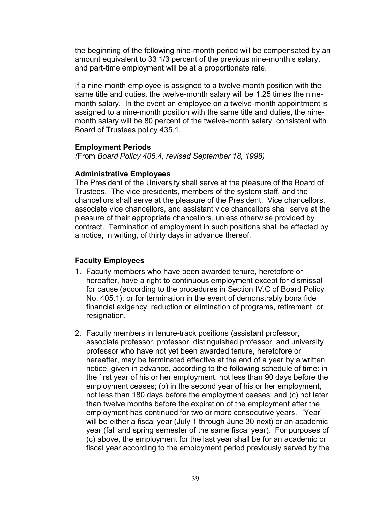the beginning of the following nine-month period will be compensated by an amount equivalent to 33 1/3 percent of the previous nine-month's salary, and part-time employment will be at a proportionate rate.

If a nine-month employee is assigned to a twelve-month position with the same title and duties, the twelve-month salary will be 1.25 times the ninemonth salary. In the event an employee on a twelve-month appointment is assigned to a nine-month position with the same title and duties, the ninemonth salary will be 80 percent of the twelve-month salary, consistent with Board of Trustees policy 435.1.

#### **Employment Periods**

*(*From *Board Policy 405.4, revised September 18, 1998)*

### **Administrative Employees**

The President of the University shall serve at the pleasure of the Board of Trustees. The vice presidents, members of the system staff, and the chancellors shall serve at the pleasure of the President. Vice chancellors, associate vice chancellors, and assistant vice chancellors shall serve at the pleasure of their appropriate chancellors, unless otherwise provided by contract. Termination of employment in such positions shall be effected by a notice, in writing, of thirty days in advance thereof.

### **Faculty Employees**

- 1. Faculty members who have been awarded tenure, heretofore or hereafter, have a right to continuous employment except for dismissal for cause (according to the procedures in Section IV.C of Board Policy No. 405.1), or for termination in the event of demonstrably bona fide financial exigency, reduction or elimination of programs, retirement, or resignation.
- 2. Faculty members in tenure-track positions (assistant professor, associate professor, professor, distinguished professor, and university professor who have not yet been awarded tenure, heretofore or hereafter, may be terminated effective at the end of a year by a written notice, given in advance, according to the following schedule of time: in the first year of his or her employment, not less than 90 days before the employment ceases; (b) in the second year of his or her employment, not less than 180 days before the employment ceases; and (c) not later than twelve months before the expiration of the employment after the employment has continued for two or more consecutive years. "Year" will be either a fiscal year (July 1 through June 30 next) or an academic year (fall and spring semester of the same fiscal year). For purposes of (c) above, the employment for the last year shall be for an academic or fiscal year according to the employment period previously served by the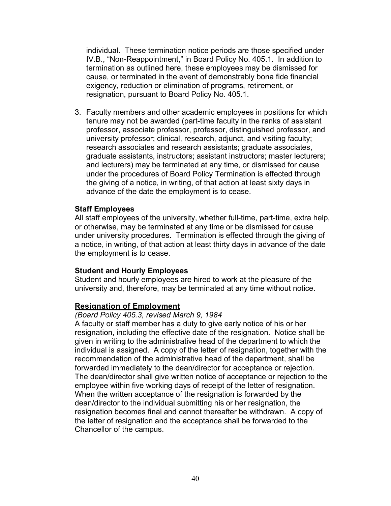individual. These termination notice periods are those specified under IV.B., "Non-Reappointment," in Board Policy No. 405.1. In addition to termination as outlined here, these employees may be dismissed for cause, or terminated in the event of demonstrably bona fide financial exigency, reduction or elimination of programs, retirement, or resignation, pursuant to Board Policy No. 405.1.

3. Faculty members and other academic employees in positions for which tenure may not be awarded (part-time faculty in the ranks of assistant professor, associate professor, professor, distinguished professor, and university professor; clinical, research, adjunct, and visiting faculty; research associates and research assistants; graduate associates, graduate assistants, instructors; assistant instructors; master lecturers; and lecturers) may be terminated at any time, or dismissed for cause under the procedures of Board Policy Termination is effected through the giving of a notice, in writing, of that action at least sixty days in advance of the date the employment is to cease.

#### **Staff Employees**

All staff employees of the university, whether full-time, part-time, extra help, or otherwise, may be terminated at any time or be dismissed for cause under university procedures. Termination is effected through the giving of a notice, in writing, of that action at least thirty days in advance of the date the employment is to cease.

#### **Student and Hourly Employees**

Student and hourly employees are hired to work at the pleasure of the university and, therefore, may be terminated at any time without notice.

#### **Resignation of Employment**

#### *(Board Policy 405.3, revised March 9, 1984*

A faculty or staff member has a duty to give early notice of his or her resignation, including the effective date of the resignation. Notice shall be given in writing to the administrative head of the department to which the individual is assigned. A copy of the letter of resignation, together with the recommendation of the administrative head of the department, shall be forwarded immediately to the dean/director for acceptance or rejection. The dean/director shall give written notice of acceptance or rejection to the employee within five working days of receipt of the letter of resignation. When the written acceptance of the resignation is forwarded by the dean/director to the individual submitting his or her resignation, the resignation becomes final and cannot thereafter be withdrawn. A copy of the letter of resignation and the acceptance shall be forwarded to the Chancellor of the campus.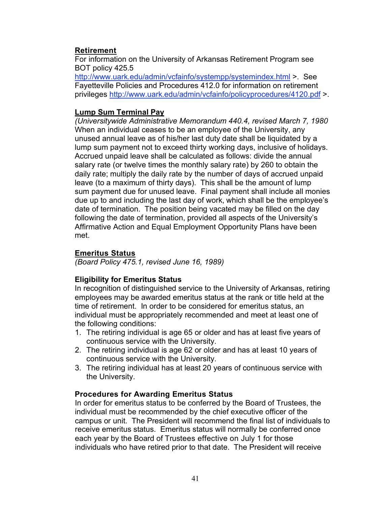### **Retirement**

For information on the University of Arkansas Retirement Program see BOT policy 425.5

http://www.uark.edu/admin/vcfainfo/systempp/systemindex.html >. See Fayetteville Policies and Procedures 412.0 for information on retirement privileges http://www.uark.edu/admin/vcfainfo/policyprocedures/4120.pdf >

## **Lump Sum Terminal Pay**

*(Universitywide Administrative Memorandum 440.4, revised March 7, 1980* When an individual ceases to be an employee of the University, any unused annual leave as of his/her last duty date shall be liquidated by a lump sum payment not to exceed thirty working days, inclusive of holidays. Accrued unpaid leave shall be calculated as follows: divide the annual salary rate (or twelve times the monthly salary rate) by 260 to obtain the daily rate; multiply the daily rate by the number of days of accrued unpaid leave (to a maximum of thirty days). This shall be the amount of lump sum payment due for unused leave. Final payment shall include all monies due up to and including the last day of work, which shall be the employee's date of termination. The position being vacated may be filled on the day following the date of termination, provided all aspects of the University's Affirmative Action and Equal Employment Opportunity Plans have been met.

### **Emeritus Status**

*(Board Policy 475.1, revised June 16, 1989)*

### **Eligibility for Emeritus Status**

In recognition of distinguished service to the University of Arkansas, retiring employees may be awarded emeritus status at the rank or title held at the time of retirement. In order to be considered for emeritus status, an individual must be appropriately recommended and meet at least one of the following conditions:

- 1. The retiring individual is age 65 or older and has at least five years of continuous service with the University.
- 2. The retiring individual is age 62 or older and has at least 10 years of continuous service with the University.
- 3. The retiring individual has at least 20 years of continuous service with the University.

### **Procedures for Awarding Emeritus Status**

In order for emeritus status to be conferred by the Board of Trustees, the individual must be recommended by the chief executive officer of the campus or unit. The President will recommend the final list of individuals to receive emeritus status. Emeritus status will normally be conferred once each year by the Board of Trustees effective on July 1 for those individuals who have retired prior to that date. The President will receive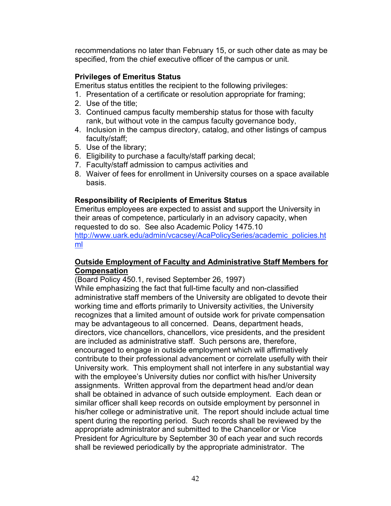recommendations no later than February 15, or such other date as may be specified, from the chief executive officer of the campus or unit.

### **Privileges of Emeritus Status**

Emeritus status entitles the recipient to the following privileges:

- 1. Presentation of a certificate or resolution appropriate for framing;
- 2. Use of the title;
- 3. Continued campus faculty membership status for those with faculty rank, but without vote in the campus faculty governance body,
- 4. Inclusion in the campus directory, catalog, and other listings of campus faculty/staff;
- 5. Use of the library;
- 6. Eligibility to purchase a faculty/staff parking decal;
- 7. Faculty/staff admission to campus activities and
- 8. Waiver of fees for enrollment in University courses on a space available basis.

### **Responsibility of Recipients of Emeritus Status**

Emeritus employees are expected to assist and support the University in their areas of competence, particularly in an advisory capacity, when requested to do so. See also Academic Policy 1475.10 http://www.uark.edu/admin/vcacsey/AcaPolicySeries/academic\_policies.ht ml

#### **Outside Employment of Faculty and Administrative Staff Members for Compensation**

(Board Policy 450.1, revised September 26, 1997)

While emphasizing the fact that full-time faculty and non-classified administrative staff members of the University are obligated to devote their working time and efforts primarily to University activities, the University recognizes that a limited amount of outside work for private compensation may be advantageous to all concerned. Deans, department heads, directors, vice chancellors, chancellors, vice presidents, and the president are included as administrative staff. Such persons are, therefore, encouraged to engage in outside employment which will affirmatively contribute to their professional advancement or correlate usefully with their University work. This employment shall not interfere in any substantial way with the employee's University duties nor conflict with his/her University assignments. Written approval from the department head and/or dean shall be obtained in advance of such outside employment. Each dean or similar officer shall keep records on outside employment by personnel in his/her college or administrative unit. The report should include actual time spent during the reporting period. Such records shall be reviewed by the appropriate administrator and submitted to the Chancellor or Vice President for Agriculture by September 30 of each year and such records shall be reviewed periodically by the appropriate administrator. The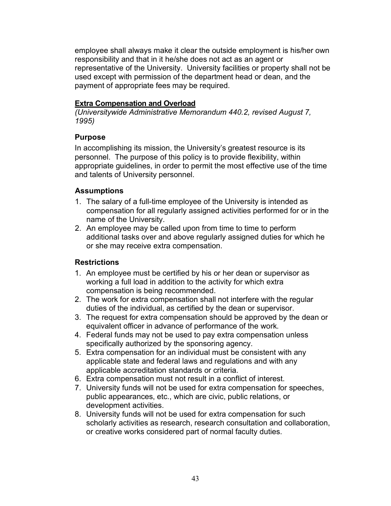employee shall always make it clear the outside employment is his/her own responsibility and that in it he/she does not act as an agent or representative of the University. University facilities or property shall not be used except with permission of the department head or dean, and the payment of appropriate fees may be required.

### **Extra Compensation and Overload**

*(Universitywide Administrative Memorandum 440.2, revised August 7, 1995)*

### **Purpose**

In accomplishing its mission, the University's greatest resource is its personnel. The purpose of this policy is to provide flexibility, within appropriate guidelines, in order to permit the most effective use of the time and talents of University personnel.

## **Assumptions**

- 1. The salary of a full-time employee of the University is intended as compensation for all regularly assigned activities performed for or in the name of the University.
- 2. An employee may be called upon from time to time to perform additional tasks over and above regularly assigned duties for which he or she may receive extra compensation.

## **Restrictions**

- 1. An employee must be certified by his or her dean or supervisor as working a full load in addition to the activity for which extra compensation is being recommended.
- 2. The work for extra compensation shall not interfere with the regular duties of the individual, as certified by the dean or supervisor.
- 3. The request for extra compensation should be approved by the dean or equivalent officer in advance of performance of the work.
- 4. Federal funds may not be used to pay extra compensation unless specifically authorized by the sponsoring agency.
- 5. Extra compensation for an individual must be consistent with any applicable state and federal laws and regulations and with any applicable accreditation standards or criteria.
- 6. Extra compensation must not result in a conflict of interest.
- 7. University funds will not be used for extra compensation for speeches, public appearances, etc., which are civic, public relations, or development activities.
- 8. University funds will not be used for extra compensation for such scholarly activities as research, research consultation and collaboration, or creative works considered part of normal faculty duties.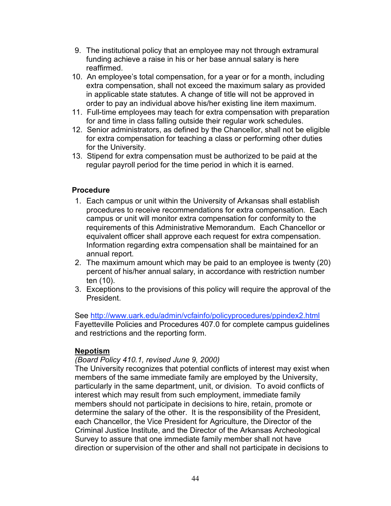- 9. The institutional policy that an employee may not through extramural funding achieve a raise in his or her base annual salary is here reaffirmed.
- 10. An employee's total compensation, for a year or for a month, including extra compensation, shall not exceed the maximum salary as provided in applicable state statutes. A change of title will not be approved in order to pay an individual above his/her existing line item maximum.
- 11. Full-time employees may teach for extra compensation with preparation for and time in class falling outside their regular work schedules.
- 12. Senior administrators, as defined by the Chancellor, shall not be eligible for extra compensation for teaching a class or performing other duties for the University.
- 13. Stipend for extra compensation must be authorized to be paid at the regular payroll period for the time period in which it is earned.

### **Procedure**

- 1. Each campus or unit within the University of Arkansas shall establish procedures to receive recommendations for extra compensation. Each campus or unit will monitor extra compensation for conformity to the requirements of this Administrative Memorandum. Each Chancellor or equivalent officer shall approve each request for extra compensation. Information regarding extra compensation shall be maintained for an annual report.
- 2. The maximum amount which may be paid to an employee is twenty (20) percent of his/her annual salary, in accordance with restriction number ten (10).
- 3. Exceptions to the provisions of this policy will require the approval of the President.

See http://www.uark.edu/admin/vcfainfo/policyprocedures/ppindex2.html Fayetteville Policies and Procedures 407.0 for complete campus guidelines and restrictions and the reporting form.

### **Nepotism**

#### *(Board Policy 410.1, revised June 9, 2000)*

The University recognizes that potential conflicts of interest may exist when members of the same immediate family are employed by the University, particularly in the same department, unit, or division. To avoid conflicts of interest which may result from such employment, immediate family members should not participate in decisions to hire, retain, promote or determine the salary of the other. It is the responsibility of the President, each Chancellor, the Vice President for Agriculture, the Director of the Criminal Justice Institute, and the Director of the Arkansas Archeological Survey to assure that one immediate family member shall not have direction or supervision of the other and shall not participate in decisions to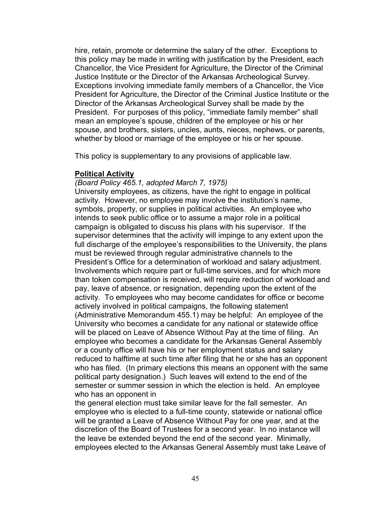hire, retain, promote or determine the salary of the other. Exceptions to this policy may be made in writing with justification by the President, each Chancellor, the Vice President for Agriculture, the Director of the Criminal Justice Institute or the Director of the Arkansas Archeological Survey. Exceptions involving immediate family members of a Chancellor, the Vice President for Agriculture, the Director of the Criminal Justice Institute or the Director of the Arkansas Archeological Survey shall be made by the President. For purposes of this policy, "immediate family member" shall mean an employee's spouse, children of the employee or his or her spouse, and brothers, sisters, uncles, aunts, nieces, nephews, or parents, whether by blood or marriage of the employee or his or her spouse.

This policy is supplementary to any provisions of applicable law.

#### **Political Activity**

#### *(Board Policy 465.1, adopted March 7, 1975)*

University employees, as citizens, have the right to engage in political activity. However, no employee may involve the institution's name, symbols, property, or supplies in political activities. An employee who intends to seek public office or to assume a major role in a political campaign is obligated to discuss his plans with his supervisor. If the supervisor determines that the activity will impinge to any extent upon the full discharge of the employee's responsibilities to the University, the plans must be reviewed through regular administrative channels to the President's Office for a determination of workload and salary adjustment. Involvements which require part or full-time services, and for which more than token compensation is received, will require reduction of workload and pay, leave of absence, or resignation, depending upon the extent of the activity. To employees who may become candidates for office or become actively involved in political campaigns, the following statement (Administrative Memorandum 455.1) may be helpful: An employee of the University who becomes a candidate for any national or statewide office will be placed on Leave of Absence Without Pay at the time of filing. An employee who becomes a candidate for the Arkansas General Assembly or a county office will have his or her employment status and salary reduced to halftime at such time after filing that he or she has an opponent who has filed. (In primary elections this means an opponent with the same political party designation.) Such leaves will extend to the end of the semester or summer session in which the election is held. An employee who has an opponent in

the general election must take similar leave for the fall semester. An employee who is elected to a full-time county, statewide or national office will be granted a Leave of Absence Without Pay for one year, and at the discretion of the Board of Trustees for a second year. In no instance will the leave be extended beyond the end of the second year. Minimally, employees elected to the Arkansas General Assembly must take Leave of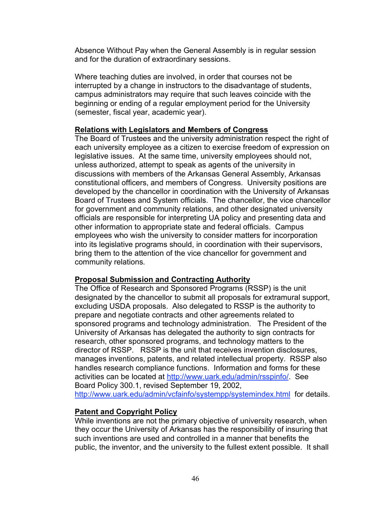Absence Without Pay when the General Assembly is in regular session and for the duration of extraordinary sessions.

Where teaching duties are involved, in order that courses not be interrupted by a change in instructors to the disadvantage of students, campus administrators may require that such leaves coincide with the beginning or ending of a regular employment period for the University (semester, fiscal year, academic year).

#### **Relations with Legislators and Members of Congress**

The Board of Trustees and the university administration respect the right of each university employee as a citizen to exercise freedom of expression on legislative issues. At the same time, university employees should not, unless authorized, attempt to speak as agents of the university in discussions with members of the Arkansas General Assembly, Arkansas constitutional officers, and members of Congress. University positions are developed by the chancellor in coordination with the University of Arkansas Board of Trustees and System officials. The chancellor, the vice chancellor for government and community relations, and other designated university officials are responsible for interpreting UA policy and presenting data and other information to appropriate state and federal officials. Campus employees who wish the university to consider matters for incorporation into its legislative programs should, in coordination with their supervisors, bring them to the attention of the vice chancellor for government and community relations.

#### **Proposal Submission and Contracting Authority**

The Office of Research and Sponsored Programs (RSSP) is the unit designated by the chancellor to submit all proposals for extramural support, excluding USDA proposals. Also delegated to RSSP is the authority to prepare and negotiate contracts and other agreements related to sponsored programs and technology administration. The President of the University of Arkansas has delegated the authority to sign contracts for research, other sponsored programs, and technology matters to the director of RSSP. RSSP is the unit that receives invention disclosures, manages inventions, patents, and related intellectual property. RSSP also handles research compliance functions. Information and forms for these activities can be located at http://www.uark.edu/admin/rsspinfo/. See Board Policy 300.1, revised September 19, 2002, http://www.uark.edu/admin/vcfainfo/systempp/systemindex.html for details.

#### **Patent and Copyright Policy**

While inventions are not the primary objective of university research, when they occur the University of Arkansas has the responsibility of insuring that such inventions are used and controlled in a manner that benefits the public, the inventor, and the university to the fullest extent possible. It shall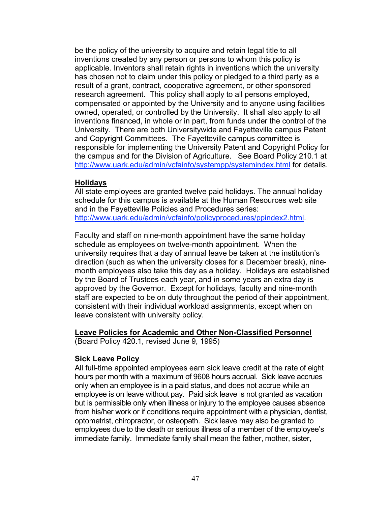be the policy of the university to acquire and retain legal title to all inventions created by any person or persons to whom this policy is applicable. Inventors shall retain rights in inventions which the university has chosen not to claim under this policy or pledged to a third party as a result of a grant, contract, cooperative agreement, or other sponsored research agreement. This policy shall apply to all persons employed, compensated or appointed by the University and to anyone using facilities owned, operated, or controlled by the University. It shall also apply to all inventions financed, in whole or in part, from funds under the control of the University. There are both Universitywide and Fayetteville campus Patent and Copyright Committees. The Fayetteville campus committee is responsible for implementing the University Patent and Copyright Policy for the campus and for the Division of Agriculture. See Board Policy 210.1 at http://www.uark.edu/admin/ycfainfo/systempp/systemindex.html for details.

#### **Holidays**

All state employees are granted twelve paid holidays. The annual holiday schedule for this campus is available at the Human Resources web site and in the Fayetteville Policies and Procedures series: http://www.uark.edu/admin/vcfainfo/policyprocedures/ppindex2.html.

Faculty and staff on nine-month appointment have the same holiday schedule as employees on twelve-month appointment. When the university requires that a day of annual leave be taken at the institution's direction (such as when the university closes for a December break), ninemonth employees also take this day as a holiday. Holidays are established by the Board of Trustees each year, and in some years an extra day is approved by the Governor. Except for holidays, faculty and nine-month staff are expected to be on duty throughout the period of their appointment, consistent with their individual workload assignments, except when on leave consistent with university policy.

#### **Leave Policies for Academic and Other Non-Classified Personnel**

(Board Policy 420.1, revised June 9, 1995)

#### **Sick Leave Policy**

All full-time appointed employees earn sick leave credit at the rate of eight hours per month with a maximum of 9608 hours accrual. Sick leave accrues only when an employee is in a paid status, and does not accrue while an employee is on leave without pay. Paid sick leave is not granted as vacation but is permissible only when illness or injury to the employee causes absence from his/her work or if conditions require appointment with a physician, dentist, optometrist, chiropractor, or osteopath. Sick leave may also be granted to employees due to the death or serious illness of a member of the employee's immediate family. Immediate family shall mean the father, mother, sister,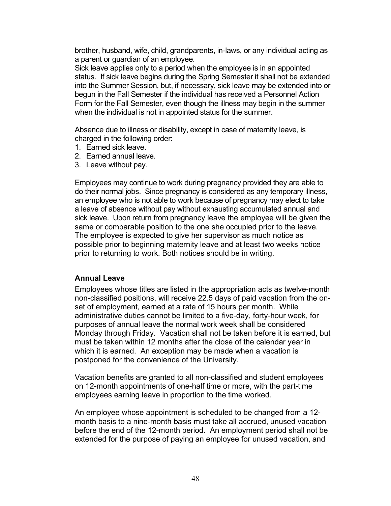brother, husband, wife, child, grandparents, in-laws, or any individual acting as a parent or guardian of an employee.

Sick leave applies only to a period when the employee is in an appointed status. If sick leave begins during the Spring Semester it shall not be extended into the Summer Session, but, if necessary, sick leave may be extended into or begun in the Fall Semester if the individual has received a Personnel Action Form for the Fall Semester, even though the illness may begin in the summer when the individual is not in appointed status for the summer.

Absence due to illness or disability, except in case of maternity leave, is charged in the following order:

- 1. Earned sick leave.
- 2. Earned annual leave.
- 3. Leave without pay.

Employees may continue to work during pregnancy provided they are able to do their normal jobs. Since pregnancy is considered as any temporary illness, an employee who is not able to work because of pregnancy may elect to take a leave of absence without pay without exhausting accumulated annual and sick leave. Upon return from pregnancy leave the employee will be given the same or comparable position to the one she occupied prior to the leave. The employee is expected to give her supervisor as much notice as possible prior to beginning maternity leave and at least two weeks notice prior to returning to work. Both notices should be in writing.

#### **Annual Leave**

Employees whose titles are listed in the appropriation acts as twelve-month non-classified positions, will receive 22.5 days of paid vacation from the onset of employment, earned at a rate of 15 hours per month. While administrative duties cannot be limited to a five-day, forty-hour week, for purposes of annual leave the normal work week shall be considered Monday through Friday. Vacation shall not be taken before it is earned, but must be taken within 12 months after the close of the calendar year in which it is earned. An exception may be made when a vacation is postponed for the convenience of the University.

Vacation benefits are granted to all non-classified and student employees on 12-month appointments of one-half time or more, with the part-time employees earning leave in proportion to the time worked.

An employee whose appointment is scheduled to be changed from a 12 month basis to a nine-month basis must take all accrued, unused vacation before the end of the 12-month period. An employment period shall not be extended for the purpose of paying an employee for unused vacation, and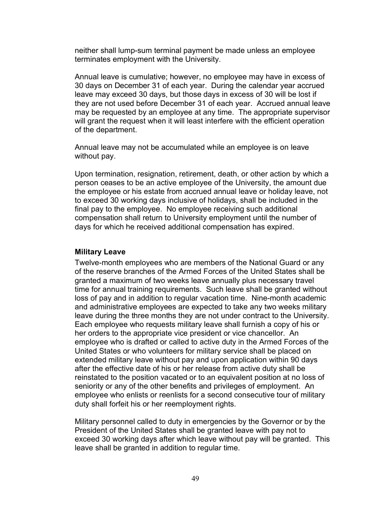neither shall lump-sum terminal payment be made unless an employee terminates employment with the University.

Annual leave is cumulative; however, no employee may have in excess of 30 days on December 31 of each year. During the calendar year accrued leave may exceed 30 days, but those days in excess of 30 will be lost if they are not used before December 31 of each year. Accrued annual leave may be requested by an employee at any time. The appropriate supervisor will grant the request when it will least interfere with the efficient operation of the department.

Annual leave may not be accumulated while an employee is on leave without pay.

Upon termination, resignation, retirement, death, or other action by which a person ceases to be an active employee of the University, the amount due the employee or his estate from accrued annual leave or holiday leave, not to exceed 30 working days inclusive of holidays, shall be included in the final pay to the employee. No employee receiving such additional compensation shall return to University employment until the number of days for which he received additional compensation has expired.

#### **Military Leave**

Twelve-month employees who are members of the National Guard or any of the reserve branches of the Armed Forces of the United States shall be granted a maximum of two weeks leave annually plus necessary travel time for annual training requirements. Such leave shall be granted without loss of pay and in addition to regular vacation time. Nine-month academic and administrative employees are expected to take any two weeks military leave during the three months they are not under contract to the University. Each employee who requests military leave shall furnish a copy of his or her orders to the appropriate vice president or vice chancellor. An employee who is drafted or called to active duty in the Armed Forces of the United States or who volunteers for military service shall be placed on extended military leave without pay and upon application within 90 days after the effective date of his or her release from active duty shall be reinstated to the position vacated or to an equivalent position at no loss of seniority or any of the other benefits and privileges of employment. An employee who enlists or reenlists for a second consecutive tour of military duty shall forfeit his or her reemployment rights.

Military personnel called to duty in emergencies by the Governor or by the President of the United States shall be granted leave with pay not to exceed 30 working days after which leave without pay will be granted. This leave shall be granted in addition to regular time.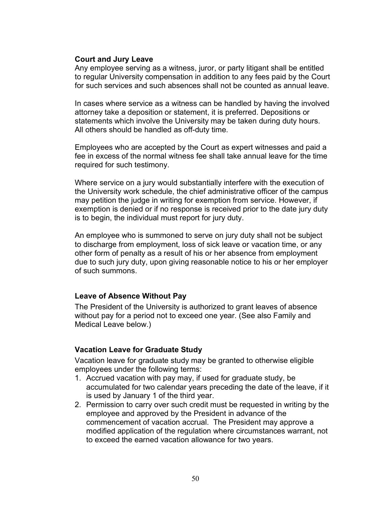#### **Court and Jury Leave**

Any employee serving as a witness, juror, or party litigant shall be entitled to regular University compensation in addition to any fees paid by the Court for such services and such absences shall not be counted as annual leave.

In cases where service as a witness can be handled by having the involved attorney take a deposition or statement, it is preferred. Depositions or statements which involve the University may be taken during duty hours. All others should be handled as off-duty time.

Employees who are accepted by the Court as expert witnesses and paid a fee in excess of the normal witness fee shall take annual leave for the time required for such testimony.

Where service on a jury would substantially interfere with the execution of the University work schedule, the chief administrative officer of the campus may petition the judge in writing for exemption from service. However, if exemption is denied or if no response is received prior to the date jury duty is to begin, the individual must report for jury duty.

An employee who is summoned to serve on jury duty shall not be subject to discharge from employment, loss of sick leave or vacation time, or any other form of penalty as a result of his or her absence from employment due to such jury duty, upon giving reasonable notice to his or her employer of such summons.

#### **Leave of Absence Without Pay**

The President of the University is authorized to grant leaves of absence without pay for a period not to exceed one year. (See also Family and Medical Leave below.)

#### **Vacation Leave for Graduate Study**

Vacation leave for graduate study may be granted to otherwise eligible employees under the following terms:

- 1. Accrued vacation with pay may, if used for graduate study, be accumulated for two calendar years preceding the date of the leave, if it is used by January 1 of the third year.
- 2. Permission to carry over such credit must be requested in writing by the employee and approved by the President in advance of the commencement of vacation accrual. The President may approve a modified application of the regulation where circumstances warrant, not to exceed the earned vacation allowance for two years.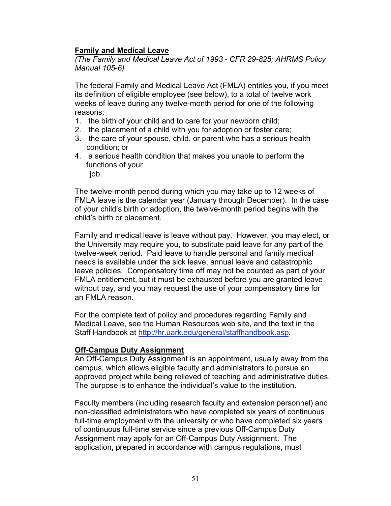### **Family and Medical Leave**

*(The Family and Medical Leave Act of 1993 - CFR 29-825; AHRMS Policy Manual 105-6)*

The federal Family and Medical Leave Act (FMLA) entitles you, if you meet its definition of eligible employee (see below), to a total of twelve work weeks of leave during any twelve-month period for one of the following reasons:

- 1. the birth of your child and to care for your newborn child;
- 2. the placement of a child with you for adoption or foster care;
- 3. the care of your spouse, child, or parent who has a serious health condition; or
- 4. a serious health condition that makes you unable to perform the functions of your
	- job.

The twelve-month period during which you may take up to 12 weeks of FMLA leave is the calendar year (January through December). In the case of your child's birth or adoption, the twelve-month period begins with the child's birth or placement.

Family and medical leave is leave without pay. However, you may elect, or the University may require you, to substitute paid leave for any part of the twelve-week period. Paid leave to handle personal and family medical needs is available under the sick leave, annual leave and catastrophic leave policies. Compensatory time off may not be counted as part of your FMLA entitlement, but it must be exhausted before you are granted leave without pay, and you may request the use of your compensatory time for an FMLA reason.

For the complete text of policy and procedures regarding Family and Medical Leave, see the Human Resources web site, and the text in the Staff Handbook at http://hr.uark.edu/general/staffhandbook.asp.

#### **Off-Campus Duty Assignment**

An Off-Campus Duty Assignment is an appointment, usually away from the campus, which allows eligible faculty and administrators to pursue an approved project while being relieved of teaching and administrative duties. The purpose is to enhance the individual's value to the institution.

Faculty members (including research faculty and extension personnel) and non-classified administrators who have completed six years of continuous full-time employment with the university or who have completed six years of continuous full-time service since a previous Off-Campus Duty Assignment may apply for an Off-Campus Duty Assignment. The application, prepared in accordance with campus regulations, must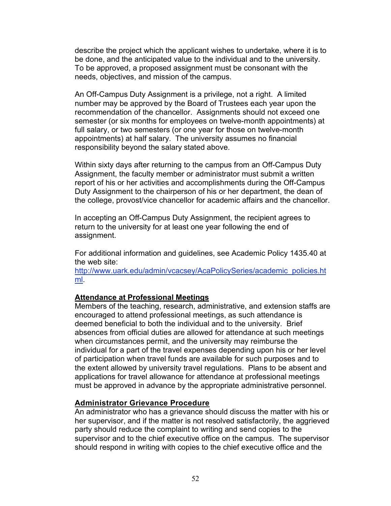describe the project which the applicant wishes to undertake, where it is to be done, and the anticipated value to the individual and to the university. To be approved, a proposed assignment must be consonant with the needs, objectives, and mission of the campus.

An Off-Campus Duty Assignment is a privilege, not a right. A limited number may be approved by the Board of Trustees each year upon the recommendation of the chancellor. Assignments should not exceed one semester (or six months for employees on twelve-month appointments) at full salary, or two semesters (or one year for those on twelve-month appointments) at half salary. The university assumes no financial responsibility beyond the salary stated above.

Within sixty days after returning to the campus from an Off-Campus Duty Assignment, the faculty member or administrator must submit a written report of his or her activities and accomplishments during the Off-Campus Duty Assignment to the chairperson of his or her department, the dean of the college, provost/vice chancellor for academic affairs and the chancellor.

In accepting an Off-Campus Duty Assignment, the recipient agrees to return to the university for at least one year following the end of assignment.

For additional information and guidelines, see Academic Policy 1435.40 at the web site:

http://www.uark.edu/admin/vcacsey/AcaPolicySeries/academic\_policies.ht ml.

#### **Attendance at Professional Meetings**

Members of the teaching, research, administrative, and extension staffs are encouraged to attend professional meetings, as such attendance is deemed beneficial to both the individual and to the university. Brief absences from official duties are allowed for attendance at such meetings when circumstances permit, and the university may reimburse the individual for a part of the travel expenses depending upon his or her level of participation when travel funds are available for such purposes and to the extent allowed by university travel regulations. Plans to be absent and applications for travel allowance for attendance at professional meetings must be approved in advance by the appropriate administrative personnel.

#### **Administrator Grievance Procedure**

An administrator who has a grievance should discuss the matter with his or her supervisor, and if the matter is not resolved satisfactorily, the aggrieved party should reduce the complaint to writing and send copies to the supervisor and to the chief executive office on the campus. The supervisor should respond in writing with copies to the chief executive office and the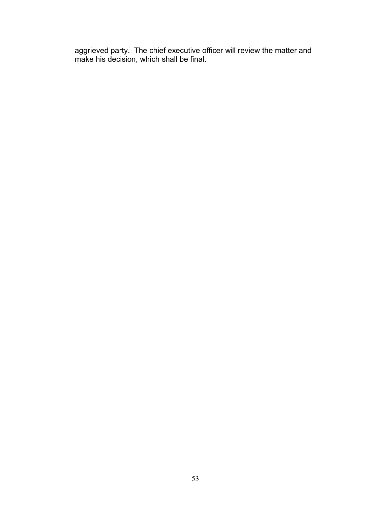aggrieved party. The chief executive officer will review the matter and make his decision, which shall be final.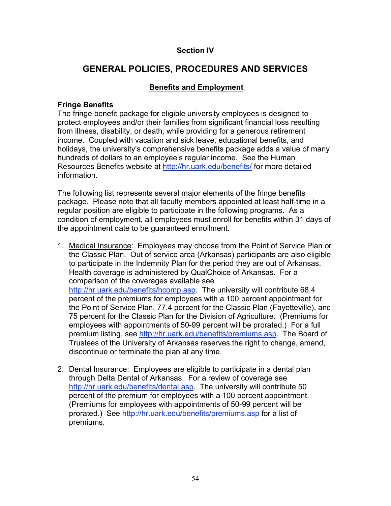### **Section IV**

# **GENERAL POLICIES, PROCEDURES AND SERVICES**

### **Benefits and Employment**

#### **Fringe Benefits**

The fringe benefit package for eligible university employees is designed to protect employees and/or their families from significant financial loss resulting from illness, disability, or death, while providing for a generous retirement income. Coupled with vacation and sick leave, educational benefits, and holidays, the university's comprehensive benefits package adds a value of many hundreds of dollars to an employee's regular income. See the Human Resources Benefits website at http://hr.uark.edu/benefits/ for more detailed information.

The following list represents several major elements of the fringe benefits package. Please note that all faculty members appointed at least half-time in a regular position are eligible to participate in the following programs. As a condition of employment, all employees must enroll for benefits within 31 days of the appointment date to be guaranteed enrollment.

- 1. Medical Insurance: Employees may choose from the Point of Service Plan or the Classic Plan. Out of service area (Arkansas) participants are also eligible to participate in the Indemnity Plan for the period they are out of Arkansas. Health coverage is administered by QualChoice of Arkansas. For a comparison of the coverages available see http://hr.uark.edu/benefits/hcomp.asp. The university will contribute 68.4 percent of the premiums for employees with a 100 percent appointment for the Point of Service Plan, 77.4 percent for the Classic Plan (Fayetteville), and 75 percent for the Classic Plan for the Division of Agriculture. (Premiums for employees with appointments of 50-99 percent will be prorated.) For a full premium listing, see http://hr.uark.edu/benefits/premiums.asp. The Board of Trustees of the University of Arkansas reserves the right to change, amend, discontinue or terminate the plan at any time.
- 2. Dental Insurance: Employees are eligible to participate in a dental plan through Delta Dental of Arkansas. For a review of coverage see http://hr.uark.edu/benefits/dental.asp. The university will contribute 50 percent of the premium for employees with a 100 percent appointment. (Premiums for employees with appointments of 50-99 percent will be prorated.) See http://hr.uark.edu/benefits/premiums.asp for a list of premiums.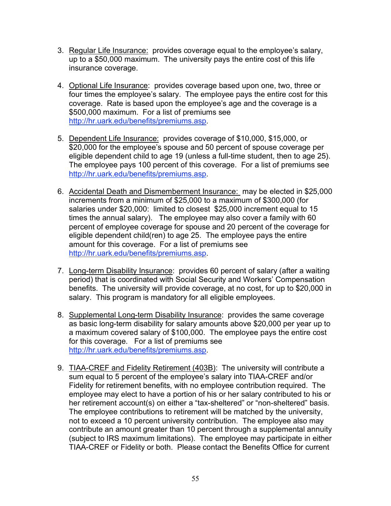- 3. Regular Life Insurance: provides coverage equal to the employee's salary, up to a \$50,000 maximum. The university pays the entire cost of this life insurance coverage.
- 4. Optional Life Insurance: provides coverage based upon one, two, three or four times the employee's salary. The employee pays the entire cost for this coverage. Rate is based upon the employee's age and the coverage is a \$500,000 maximum. For a list of premiums see http://hr.uark.edu/benefits/premiums.asp.
- 5. Dependent Life Insurance: provides coverage of \$10,000, \$15,000, or \$20,000 for the employee's spouse and 50 percent of spouse coverage per eligible dependent child to age 19 (unless a full-time student, then to age 25). The employee pays 100 percent of this coverage. For a list of premiums see http://hr.uark.edu/benefits/premiums.asp.
- 6. Accidental Death and Dismemberment Insurance: may be elected in \$25,000 increments from a minimum of \$25,000 to a maximum of \$300,000 (for salaries under \$20,000: limited to closest \$25,000 increment equal to 15 times the annual salary). The employee may also cover a family with 60 percent of employee coverage for spouse and 20 percent of the coverage for eligible dependent child(ren) to age 25. The employee pays the entire amount for this coverage. For a list of premiums see http://hr.uark.edu/benefits/premiums.asp.
- 7. Long-term Disability Insurance: provides 60 percent of salary (after a waiting period) that is coordinated with Social Security and Workers' Compensation benefits. The university will provide coverage, at no cost, for up to \$20,000 in salary. This program is mandatory for all eligible employees.
- 8. Supplemental Long-term Disability Insurance: provides the same coverage as basic long-term disability for salary amounts above \$20,000 per year up to a maximum covered salary of \$100,000. The employee pays the entire cost for this coverage. For a list of premiums see http://hr.uark.edu/benefits/premiums.asp.
- 9. TIAA-CREF and Fidelity Retirement (403B): The university will contribute a sum equal to 5 percent of the employee's salary into TIAA-CREF and/or Fidelity for retirement benefits, with no employee contribution required. The employee may elect to have a portion of his or her salary contributed to his or her retirement account(s) on either a "tax-sheltered" or "non-sheltered" basis. The employee contributions to retirement will be matched by the university, not to exceed a 10 percent university contribution. The employee also may contribute an amount greater than 10 percent through a supplemental annuity (subject to IRS maximum limitations). The employee may participate in either TIAA-CREF or Fidelity or both. Please contact the Benefits Office for current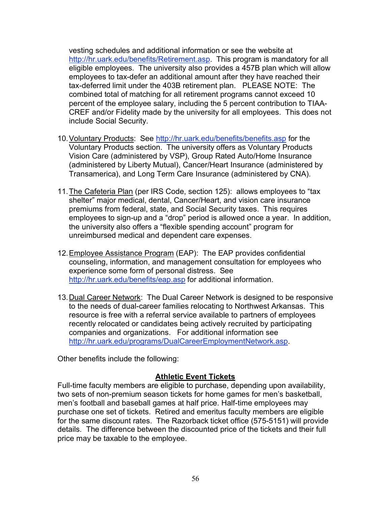vesting schedules and additional information or see the website at http://hr.uark.edu/benefits/Retirement.asp. This program is mandatory for all eligible employees. The university also provides a 457B plan which will allow employees to tax-defer an additional amount after they have reached their tax-deferred limit under the 403B retirement plan. PLEASE NOTE: The combined total of matching for all retirement programs cannot exceed 10 percent of the employee salary, including the 5 percent contribution to TIAA-CREF and/or Fidelity made by the university for all employees. This does not include Social Security.

- 10.Voluntary Products: See http://hr.uark.edu/benefits/benefits.asp for the Voluntary Products section. The university offers as Voluntary Products Vision Care (administered by VSP), Group Rated Auto/Home Insurance (administered by Liberty Mutual), Cancer/Heart Insurance (administered by Transamerica), and Long Term Care Insurance (administered by CNA).
- 11.The Cafeteria Plan (per IRS Code, section 125): allows employees to "tax shelter" major medical, dental, Cancer/Heart, and vision care insurance premiums from federal, state, and Social Security taxes. This requires employees to sign-up and a "drop" period is allowed once a year. In addition, the university also offers a "flexible spending account" program for unreimbursed medical and dependent care expenses.
- 12.Employee Assistance Program (EAP): The EAP provides confidential counseling, information, and management consultation for employees who experience some form of personal distress. See http://hr.uark.edu/benefits/eap.asp for additional information.
- 13. Dual Career Network: The Dual Career Network is designed to be responsive to the needs of dual-career families relocating to Northwest Arkansas. This resource is free with a referral service available to partners of employees recently relocated or candidates being actively recruited by participating companies and organizations. For additional information see http://hr.uark.edu/programs/DualCareerEmploymentNetwork.asp.

Other benefits include the following:

### **Athletic Event Tickets**

Full-time faculty members are eligible to purchase, depending upon availability, two sets of non-premium season tickets for home games for men's basketball, men's football and baseball games at half price. Half-time employees may purchase one set of tickets. Retired and emeritus faculty members are eligible for the same discount rates. The Razorback ticket office (575-5151) will provide details. The difference between the discounted price of the tickets and their full price may be taxable to the employee.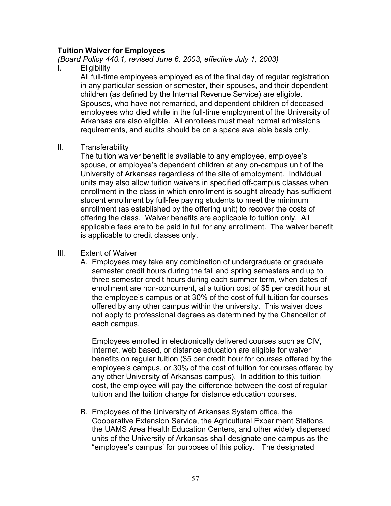#### **Tuition Waiver for Employees**

*(Board Policy 440.1, revised June 6, 2003, effective July 1, 2003)*

I. Eligibility

All full-time employees employed as of the final day of regular registration in any particular session or semester, their spouses, and their dependent children (as defined by the Internal Revenue Service) are eligible. Spouses, who have not remarried, and dependent children of deceased employees who died while in the full-time employment of the University of Arkansas are also eligible. All enrollees must meet normal admissions requirements, and audits should be on a space available basis only.

II. Transferability

The tuition waiver benefit is available to any employee, employee's spouse, or employee's dependent children at any on-campus unit of the University of Arkansas regardless of the site of employment. Individual units may also allow tuition waivers in specified off-campus classes when enrollment in the class in which enrollment is sought already has sufficient student enrollment by full-fee paying students to meet the minimum enrollment (as established by the offering unit) to recover the costs of offering the class. Waiver benefits are applicable to tuition only. All applicable fees are to be paid in full for any enrollment. The waiver benefit is applicable to credit classes only.

#### III. Extent of Waiver

A. Employees may take any combination of undergraduate or graduate semester credit hours during the fall and spring semesters and up to three semester credit hours during each summer term, when dates of enrollment are non-concurrent, at a tuition cost of \$5 per credit hour at the employee's campus or at 30% of the cost of full tuition for courses offered by any other campus within the university. This waiver does not apply to professional degrees as determined by the Chancellor of each campus.

Employees enrolled in electronically delivered courses such as CIV, Internet, web based, or distance education are eligible for waiver benefits on regular tuition (\$5 per credit hour for courses offered by the employee's campus, or 30% of the cost of tuition for courses offered by any other University of Arkansas campus). In addition to this tuition cost, the employee will pay the difference between the cost of regular tuition and the tuition charge for distance education courses.

B. Employees of the University of Arkansas System office, the Cooperative Extension Service, the Agricultural Experiment Stations, the UAMS Area Health Education Centers, and other widely dispersed units of the University of Arkansas shall designate one campus as the "employee's campus' for purposes of this policy. The designated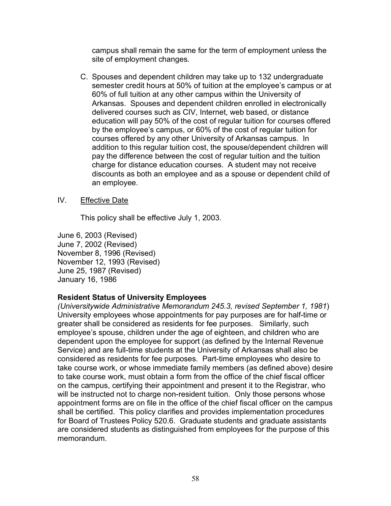campus shall remain the same for the term of employment unless the site of employment changes.

C. Spouses and dependent children may take up to 132 undergraduate semester credit hours at 50% of tuition at the employee's campus or at 60% of full tuition at any other campus within the University of Arkansas. Spouses and dependent children enrolled in electronically delivered courses such as CIV, Internet, web based, or distance education will pay 50% of the cost of regular tuition for courses offered by the employee's campus, or 60% of the cost of regular tuition for courses offered by any other University of Arkansas campus. In addition to this regular tuition cost, the spouse/dependent children will pay the difference between the cost of regular tuition and the tuition charge for distance education courses. A student may not receive discounts as both an employee and as a spouse or dependent child of an employee.

### IV. Effective Date

This policy shall be effective July 1, 2003.

June 6, 2003 (Revised) June 7, 2002 (Revised) November 8, 1996 (Revised) November 12, 1993 (Revised) June 25, 1987 (Revised) January 16, 1986

#### **Resident Status of University Employees**

*(Universitywide Administrative Memorandum 245.3, revised September 1, 1981*) University employees whose appointments for pay purposes are for half-time or greater shall be considered as residents for fee purposes. Similarly, such employee's spouse, children under the age of eighteen, and children who are dependent upon the employee for support (as defined by the Internal Revenue Service) and are full-time students at the University of Arkansas shall also be considered as residents for fee purposes. Part-time employees who desire to take course work, or whose immediate family members (as defined above) desire to take course work, must obtain a form from the office of the chief fiscal officer on the campus, certifying their appointment and present it to the Registrar, who will be instructed not to charge non-resident tuition. Only those persons whose appointment forms are on file in the office of the chief fiscal officer on the campus shall be certified. This policy clarifies and provides implementation procedures for Board of Trustees Policy 520.6. Graduate students and graduate assistants are considered students as distinguished from employees for the purpose of this memorandum.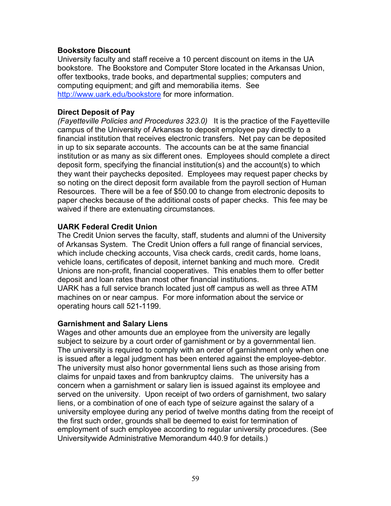#### **Bookstore Discount**

University faculty and staff receive a 10 percent discount on items in the UA bookstore. The Bookstore and Computer Store located in the Arkansas Union, offer textbooks, trade books, and departmental supplies; computers and computing equipment; and gift and memorabilia items. See http://www.uark.edu/bookstore for more information.

#### **Direct Deposit of Pay**

*(Fayetteville Policies and Procedures 323.0)* It is the practice of the Fayetteville campus of the University of Arkansas to deposit employee pay directly to a financial institution that receives electronic transfers. Net pay can be deposited in up to six separate accounts. The accounts can be at the same financial institution or as many as six different ones. Employees should complete a direct deposit form, specifying the financial institution(s) and the account(s) to which they want their paychecks deposited. Employees may request paper checks by so noting on the direct deposit form available from the payroll section of Human Resources. There will be a fee of \$50.00 to change from electronic deposits to paper checks because of the additional costs of paper checks. This fee may be waived if there are extenuating circumstances.

#### **UARK Federal Credit Union**

The Credit Union serves the faculty, staff, students and alumni of the University of Arkansas System. The Credit Union offers a full range of financial services, which include checking accounts, Visa check cards, credit cards, home loans, vehicle loans, certificates of deposit, internet banking and much more. Credit Unions are non-profit, financial cooperatives. This enables them to offer better deposit and loan rates than most other financial institutions.

UARK has a full service branch located just off campus as well as three ATM machines on or near campus. For more information about the service or operating hours call 521-1199.

#### **Garnishment and Salary Liens**

Wages and other amounts due an employee from the university are legally subject to seizure by a court order of garnishment or by a governmental lien. The university is required to comply with an order of garnishment only when one is issued after a legal judgment has been entered against the employee-debtor. The university must also honor governmental liens such as those arising from claims for unpaid taxes and from bankruptcy claims. The university has a concern when a garnishment or salary lien is issued against its employee and served on the university. Upon receipt of two orders of garnishment, two salary liens, or a combination of one of each type of seizure against the salary of a university employee during any period of twelve months dating from the receipt of the first such order, grounds shall be deemed to exist for termination of employment of such employee according to regular university procedures. (See Universitywide Administrative Memorandum 440.9 for details.)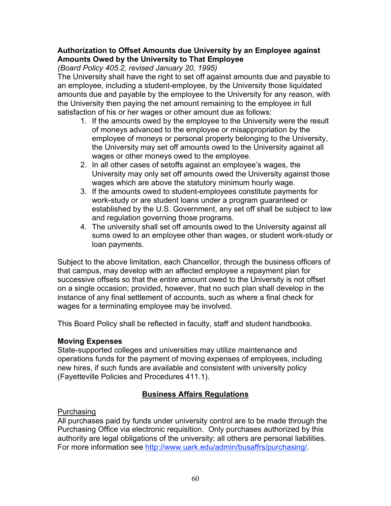#### **Authorization to Offset Amounts due University by an Employee against Amounts Owed by the University to That Employee**

*(Board Policy 405.2, revised January 20, 1995)*

The University shall have the right to set off against amounts due and payable to an employee, including a student-employee, by the University those liquidated amounts due and payable by the employee to the University for any reason, with the University then paying the net amount remaining to the employee in full satisfaction of his or her wages or other amount due as follows:

- 1. If the amounts owed by the employee to the University were the result of moneys advanced to the employee or misappropriation by the employee of moneys or personal property belonging to the University, the University may set off amounts owed to the University against all wages or other moneys owed to the employee.
- 2. In all other cases of setoffs against an employee's wages, the University may only set off amounts owed the University against those wages which are above the statutory minimum hourly wage.
- 3. If the amounts owed to student-employees constitute payments for work-study or are student loans under a program guaranteed or established by the U.S. Government, any set off shall be subject to law and regulation governing those programs.
- 4. The university shall set off amounts owed to the University against all sums owed to an employee other than wages, or student work-study or loan payments.

Subject to the above limitation, each Chancellor, through the business officers of that campus, may develop with an affected employee a repayment plan for successive offsets so that the entire amount owed to the University is not offset on a single occasion; provided, however, that no such plan shall develop in the instance of any final settlement of accounts, such as where a final check for wages for a terminating employee may be involved.

This Board Policy shall be reflected in faculty, staff and student handbooks.

### **Moving Expenses**

State-supported colleges and universities may utilize maintenance and operations funds for the payment of moving expenses of employees, including new hires, if such funds are available and consistent with university policy (Fayetteville Policies and Procedures 411.1).

## **Business Affairs Regulations**

### Purchasing

All purchases paid by funds under university control are to be made through the Purchasing Office via electronic requisition. Only purchases authorized by this authority are legal obligations of the university; all others are personal liabilities. For more information see http://www.uark.edu/admin/busaffrs/purchasing/.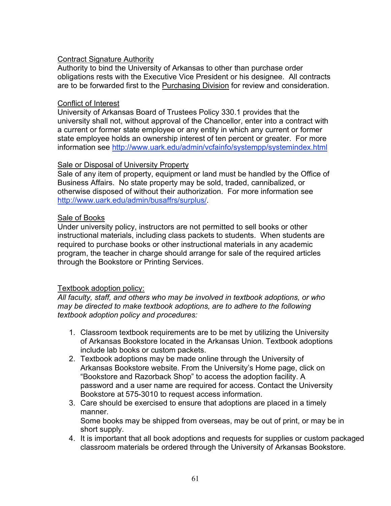### Contract Signature Authority

Authority to bind the University of Arkansas to other than purchase order obligations rests with the Executive Vice President or his designee. All contracts are to be forwarded first to the Purchasing Division for review and consideration.

#### Conflict of Interest

University of Arkansas Board of Trustees Policy 330.1 provides that the university shall not, without approval of the Chancellor, enter into a contract with a current or former state employee or any entity in which any current or former state employee holds an ownership interest of ten percent or greater. For more information see http://www.uark.edu/admin/vcfainfo/systempp/systemindex.html

#### **Sale or Disposal of University Property**

Sale of any item of property, equipment or land must be handled by the Office of Business Affairs. No state property may be sold, traded, cannibalized, or otherwise disposed of without their authorization. For more information see http://www.uark.edu/admin/busaffrs/surplus/.

### Sale of Books

Under university policy, instructors are not permitted to sell books or other instructional materials, including class packets to students. When students are required to purchase books or other instructional materials in any academic program, the teacher in charge should arrange for sale of the required articles through the Bookstore or Printing Services.

#### Textbook adoption policy:

*All faculty, staff, and others who may be involved in textbook adoptions, or who may be directed to make textbook adoptions, are to adhere to the following textbook adoption policy and procedures:*

- 1. Classroom textbook requirements are to be met by utilizing the University of Arkansas Bookstore located in the Arkansas Union. Textbook adoptions include lab books or custom packets.
- 2. Textbook adoptions may be made online through the University of Arkansas Bookstore website. From the University's Home page, click on "Bookstore and Razorback Shop" to access the adoption facility. A password and a user name are required for access. Contact the University Bookstore at 575-3010 to request access information.
- 3. Care should be exercised to ensure that adoptions are placed in a timely manner.

Some books may be shipped from overseas, may be out of print, or may be in short supply.

4. It is important that all book adoptions and requests for supplies or custom packaged classroom materials be ordered through the University of Arkansas Bookstore.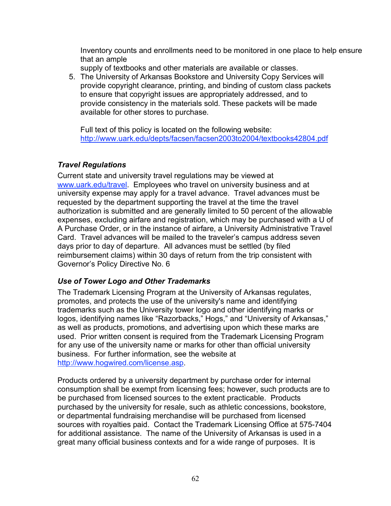Inventory counts and enrollments need to be monitored in one place to help ensure that an ample

supply of textbooks and other materials are available or classes.

5. The University of Arkansas Bookstore and University Copy Services will provide copyright clearance, printing, and binding of custom class packets to ensure that copyright issues are appropriately addressed, and to provide consistency in the materials sold. These packets will be made available for other stores to purchase.

Full text of this policy is located on the following website: http://www.uark.edu/depts/facsen/facsen2003to2004/textbooks42804.pdf

## *Travel Regulations*

Current state and university travel regulations may be viewed at www.uark.edu/travel. Employees who travel on university business and at university expense may apply for a travel advance. Travel advances must be requested by the department supporting the travel at the time the travel authorization is submitted and are generally limited to 50 percent of the allowable expenses, excluding airfare and registration, which may be purchased with a U of A Purchase Order, or in the instance of airfare, a University Administrative Travel Card. Travel advances will be mailed to the traveler's campus address seven days prior to day of departure. All advances must be settled (by filed reimbursement claims) within 30 days of return from the trip consistent with Governor's Policy Directive No. 6

## *Use of Tower Logo and Other Trademarks*

The Trademark Licensing Program at the University of Arkansas regulates, promotes, and protects the use of the university's name and identifying trademarks such as the University tower logo and other identifying marks or logos, identifying names like "Razorbacks," Hogs," and "University of Arkansas," as well as products, promotions, and advertising upon which these marks are used. Prior written consent is required from the Trademark Licensing Program for any use of the university name or marks for other than official university business. For further information, see the website at http://www.hogwired.com/license.asp.

Products ordered by a university department by purchase order for internal consumption shall be exempt from licensing fees; however, such products are to be purchased from licensed sources to the extent practicable. Products purchased by the university for resale, such as athletic concessions, bookstore, or departmental fundraising merchandise will be purchased from licensed sources with royalties paid. Contact the Trademark Licensing Office at 575-7404 for additional assistance. The name of the University of Arkansas is used in a great many official business contexts and for a wide range of purposes. It is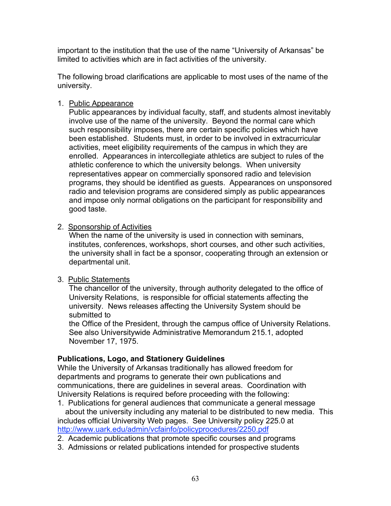important to the institution that the use of the name "University of Arkansas" be limited to activities which are in fact activities of the university.

The following broad clarifications are applicable to most uses of the name of the university.

### 1. Public Appearance

Public appearances by individual faculty, staff, and students almost inevitably involve use of the name of the university. Beyond the normal care which such responsibility imposes, there are certain specific policies which have been established. Students must, in order to be involved in extracurricular activities, meet eligibility requirements of the campus in which they are enrolled. Appearances in intercollegiate athletics are subject to rules of the athletic conference to which the university belongs. When university representatives appear on commercially sponsored radio and television programs, they should be identified as guests. Appearances on unsponsored radio and television programs are considered simply as public appearances and impose only normal obligations on the participant for responsibility and good taste.

#### 2. Sponsorship of Activities

When the name of the university is used in connection with seminars, institutes, conferences, workshops, short courses, and other such activities, the university shall in fact be a sponsor, cooperating through an extension or departmental unit.

#### 3. Public Statements

The chancellor of the university, through authority delegated to the office of University Relations, is responsible for official statements affecting the university. News releases affecting the University System should be submitted to

the Office of the President, through the campus office of University Relations. See also Universitywide Administrative Memorandum 215.1, adopted November 17, 1975.

### **Publications, Logo, and Stationery Guidelines**

While the University of Arkansas traditionally has allowed freedom for departments and programs to generate their own publications and communications, there are guidelines in several areas. Coordination with University Relations is required before proceeding with the following:

1. Publications for general audiences that communicate a general message about the university including any material to be distributed to new media. This includes official University Web pages. See University policy 225.0 at http://www.uark.edu/admin/vcfainfo/policyprocedures/2250.pdf

- 2. Academic publications that promote specific courses and programs
- 3. Admissions or related publications intended for prospective students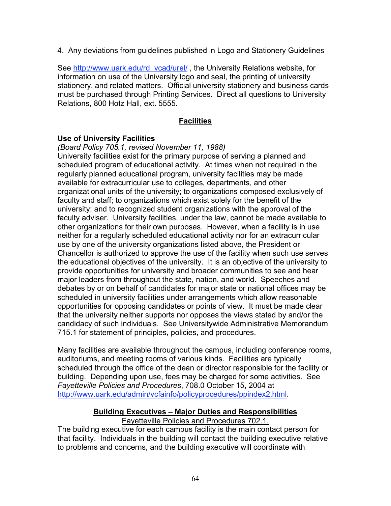4. Any deviations from guidelines published in Logo and Stationery Guidelines

See http://www.uark.edu/rd\_vcad/urel/, the University Relations website, for information on use of the University logo and seal, the printing of university stationery, and related matters. Official university stationery and business cards must be purchased through Printing Services. Direct all questions to University Relations, 800 Hotz Hall, ext. 5555.

### **Facilities**

#### **Use of University Facilities**

*(Board Policy 705.1, revised November 11, 1988)*

University facilities exist for the primary purpose of serving a planned and scheduled program of educational activity. At times when not required in the regularly planned educational program, university facilities may be made available for extracurricular use to colleges, departments, and other organizational units of the university; to organizations composed exclusively of faculty and staff; to organizations which exist solely for the benefit of the university; and to recognized student organizations with the approval of the faculty adviser. University facilities, under the law, cannot be made available to other organizations for their own purposes. However, when a facility is in use neither for a regularly scheduled educational activity nor for an extracurricular use by one of the university organizations listed above, the President or Chancellor is authorized to approve the use of the facility when such use serves the educational objectives of the university. It is an objective of the university to provide opportunities for university and broader communities to see and hear major leaders from throughout the state, nation, and world. Speeches and debates by or on behalf of candidates for major state or national offices may be scheduled in university facilities under arrangements which allow reasonable opportunities for opposing candidates or points of view. It must be made clear that the university neither supports nor opposes the views stated by and/or the candidacy of such individuals. See Universitywide Administrative Memorandum 715.1 for statement of principles, policies, and procedures.

Many facilities are available throughout the campus, including conference rooms, auditoriums, and meeting rooms of various kinds. Facilities are typically scheduled through the office of the dean or director responsible for the facility or building. Depending upon use, fees may be charged for some activities. See *Fayetteville Policies and Procedures*, 708.0 October 15, 2004 at http://www.uark.edu/admin/vcfainfo/policyprocedures/ppindex2.html.

## **Building Executives – Major Duties and Responsibilities**

#### Fayetteville Policies and Procedures 702.1.

The building executive for each campus facility is the main contact person for that facility. Individuals in the building will contact the building executive relative to problems and concerns, and the building executive will coordinate with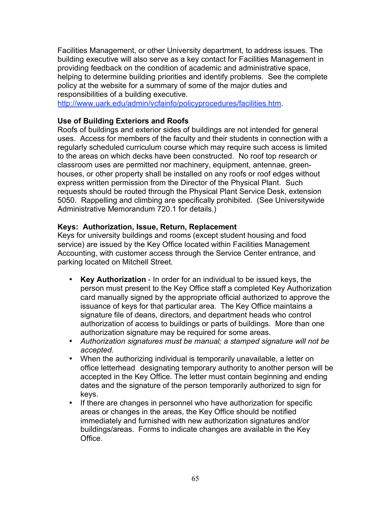Facilities Management, or other University department, to address issues. The building executive will also serve as a key contact for Facilities Management in providing feedback on the condition of academic and administrative space, helping to determine building priorities and identify problems. See the complete policy at the website for a summary of some of the major duties and responsibilities of a building executive.

http://www.uark.edu/admin/vcfainfo/policyprocedures/facilities.htm.

#### **Use of Building Exteriors and Roofs**

Roofs of buildings and exterior sides of buildings are not intended for general uses. Access for members of the faculty and their students in connection with a regularly scheduled curriculum course which may require such access is limited to the areas on which decks have been constructed. No roof top research or classroom uses are permitted nor machinery, equipment, antennae, greenhouses, or other property shall be installed on any roofs or roof edges without express written permission from the Director of the Physical Plant. Such requests should be routed through the Physical Plant Service Desk, extension 5050. Rappelling and climbing are specifically prohibited. (See Universitywide Administrative Memorandum 720.1 for details.)

#### **Keys: Authorization, Issue, Return, Replacement**

Keys for university buildings and rooms (except student housing and food service) are issued by the Key Office located within Facilities Management Accounting, with customer access through the Service Center entrance, and parking located on Mitchell Street.

- **Key Authorization** In order for an individual to be issued keys, the person must present to the Key Office staff a completed Key Authorization card manually signed by the appropriate official authorized to approve the issuance of keys for that particular area. The Key Office maintains a signature file of deans, directors, and department heads who control authorization of access to buildings or parts of buildings. More than one authorization signature may be required for some areas.
- *Authorization signatures must be manual; a stamped signature will not be accepted.*
- When the authorizing individual is temporarily unavailable, a letter on office letterhead designating temporary authority to another person will be accepted in the Key Office. The letter must contain beginning and ending dates and the signature of the person temporarily authorized to sign for keys.
- If there are changes in personnel who have authorization for specific areas or changes in the areas, the Key Office should be notified immediately and furnished with new authorization signatures and/or buildings/areas. Forms to indicate changes are available in the Key **Office**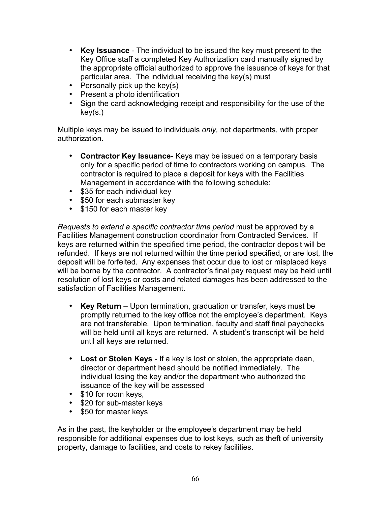- **Key Issuance** The individual to be issued the key must present to the Key Office staff a completed Key Authorization card manually signed by the appropriate official authorized to approve the issuance of keys for that particular area. The individual receiving the key(s) must
- Personally pick up the key(s)
- Present a photo identification
- Sign the card acknowledging receipt and responsibility for the use of the key(s.)

Multiple keys may be issued to individuals *only,* not departments, with proper authorization.

- **Contractor Key Issuance** Keys may be issued on a temporary basis only for a specific period of time to contractors working on campus. The contractor is required to place a deposit for keys with the Facilities Management in accordance with the following schedule:
- \$35 for each individual key
- \$50 for each submaster key
- \$150 for each master key

*Requests to extend a specific contractor time period* must be approved by a Facilities Management construction coordinator from Contracted Services. If keys are returned within the specified time period, the contractor deposit will be refunded. If keys are not returned within the time period specified, or are lost, the deposit will be forfeited. Any expenses that occur due to lost or misplaced keys will be borne by the contractor. A contractor's final pay request may be held until resolution of lost keys or costs and related damages has been addressed to the satisfaction of Facilities Management.

- **Key Return** Upon termination, graduation or transfer, keys must be promptly returned to the key office not the employee's department. Keys are not transferable. Upon termination, faculty and staff final paychecks will be held until all keys are returned. A student's transcript will be held until all keys are returned.
- **Lost or Stolen Keys** If a key is lost or stolen, the appropriate dean, director or department head should be notified immediately. The individual losing the key and/or the department who authorized the issuance of the key will be assessed
- \$10 for room keys,
- \$20 for sub-master keys
- \$50 for master keys

As in the past, the keyholder or the employee's department may be held responsible for additional expenses due to lost keys, such as theft of university property, damage to facilities, and costs to rekey facilities.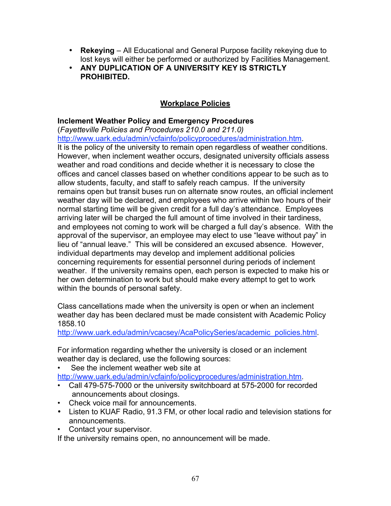- **Rekeying** All Educational and General Purpose facility rekeying due to lost keys will either be performed or authorized by Facilities Management.
- **ANY DUPLICATION OF A UNIVERSITY KEY IS STRICTLY PROHIBITED.**

# **Workplace Policies**

### **Inclement Weather Policy and Emergency Procedures**

(*Fayetteville Policies and Procedures 210.0 and 211.0)* http://www.uark.edu/admin/vcfainfo/policyprocedures/administration.htm. It is the policy of the university to remain open regardless of weather conditions. However, when inclement weather occurs, designated university officials assess weather and road conditions and decide whether it is necessary to close the offices and cancel classes based on whether conditions appear to be such as to allow students, faculty, and staff to safely reach campus. If the university remains open but transit buses run on alternate snow routes, an official inclement weather day will be declared, and employees who arrive within two hours of their normal starting time will be given credit for a full day's attendance. Employees arriving later will be charged the full amount of time involved in their tardiness, and employees not coming to work will be charged a full day's absence. With the approval of the supervisor, an employee may elect to use "leave without pay" in lieu of "annual leave." This will be considered an excused absence. However, individual departments may develop and implement additional policies concerning requirements for essential personnel during periods of inclement weather. If the university remains open, each person is expected to make his or her own determination to work but should make every attempt to get to work within the bounds of personal safety.

Class cancellations made when the university is open or when an inclement weather day has been declared must be made consistent with Academic Policy 1858.10

http://www.uark.edu/admin/vcacsey/AcaPolicySeries/academic\_policies.html.

For information regarding whether the university is closed or an inclement weather day is declared, use the following sources:

See the inclement weather web site at http://www.uark.edu/admin/vcfainfo/policyprocedures/administration.htm.

- Call 479-575-7000 or the university switchboard at 575-2000 for recorded announcements about closings.
- Check voice mail for announcements.
- Listen to KUAF Radio, 91.3 FM, or other local radio and television stations for announcements.
- Contact your supervisor.

If the university remains open, no announcement will be made.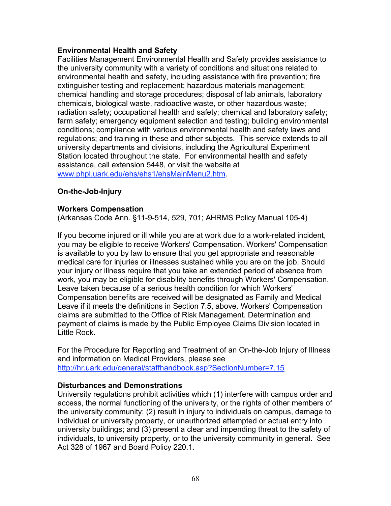#### **Environmental Health and Safety**

Facilities Management Environmental Health and Safety provides assistance to the university community with a variety of conditions and situations related to environmental health and safety, including assistance with fire prevention; fire extinguisher testing and replacement; hazardous materials management; chemical handling and storage procedures; disposal of lab animals, laboratory chemicals, biological waste, radioactive waste, or other hazardous waste; radiation safety; occupational health and safety; chemical and laboratory safety; farm safety; emergency equipment selection and testing; building environmental conditions; compliance with various environmental health and safety laws and regulations; and training in these and other subjects. This service extends to all university departments and divisions, including the Agricultural Experiment Station located throughout the state. For environmental health and safety assistance, call extension 5448, or visit the website at www.phpl.uark.edu/ehs/ehs1/ehsMainMenu2.htm.

### **On-the-Job-Injury**

#### **Workers Compensation**

(Arkansas Code Ann. §11-9-514, 529, 701; AHRMS Policy Manual 105-4)

If you become injured or ill while you are at work due to a work-related incident, you may be eligible to receive Workers' Compensation. Workers' Compensation is available to you by law to ensure that you get appropriate and reasonable medical care for injuries or illnesses sustained while you are on the job. Should your injury or illness require that you take an extended period of absence from work, you may be eligible for disability benefits through Workers' Compensation. Leave taken because of a serious health condition for which Workers' Compensation benefits are received will be designated as Family and Medical Leave if it meets the definitions in Section 7.5, above. Workers' Compensation claims are submitted to the Office of Risk Management. Determination and payment of claims is made by the Public Employee Claims Division located in Little Rock.

For the Procedure for Reporting and Treatment of an On-the-Job Injury of Illness and information on Medical Providers, please see http://hr.uark.edu/general/staffhandbook.asp?SectionNumber=7.15

#### **Disturbances and Demonstrations**

University regulations prohibit activities which (1) interfere with campus order and access, the normal functioning of the university, or the rights of other members of the university community; (2) result in injury to individuals on campus, damage to individual or university property, or unauthorized attempted or actual entry into university buildings; and (3) present a clear and impending threat to the safety of individuals, to university property, or to the university community in general. See Act 328 of 1967 and Board Policy 220.1.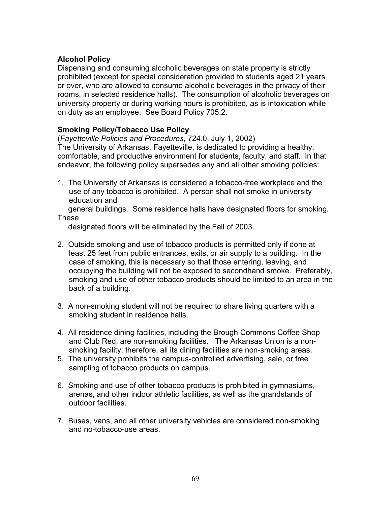### **Alcohol Policy**

Dispensing and consuming alcoholic beverages on state property is strictly prohibited (except for special consideration provided to students aged 21 years or over, who are allowed to consume alcoholic beverages in the privacy of their rooms, in selected residence halls). The consumption of alcoholic beverages on university property or during working hours is prohibited, as is intoxication while on duty as an employee. See Board Policy 705.2.

### **Smoking Policy/Tobacco Use Policy**

(*Fayetteville Policies and Procedures*, 724.0, July 1, 2002) The University of Arkansas, Fayetteville, is dedicated to providing a healthy, comfortable, and productive environment for students, faculty, and staff. In that endeavor, the following policy supersedes any and all other smoking policies:

1. The University of Arkansas is considered a tobacco-free workplace and the use of any tobacco is prohibited. A person shall not smoke in university education and

general buildings. Some residence halls have designated floors for smoking. These

designated floors will be eliminated by the Fall of 2003.

- 2. Outside smoking and use of tobacco products is permitted only if done at least 25 feet from public entrances, exits, or air supply to a building. In the case of smoking, this is necessary so that those entering, leaving, and occupying the building will not be exposed to secondhand smoke. Preferably, smoking and use of other tobacco products should be limited to an area in the back of a building.
- 3. A non-smoking student will not be required to share living quarters with a smoking student in residence halls.
- 4. All residence dining facilities, including the Brough Commons Coffee Shop and Club Red, are non-smoking facilities. The Arkansas Union is a nonsmoking facility; therefore, all its dining facilities are non-smoking areas.
- 5. The university prohibits the campus-controlled advertising, sale, or free sampling of tobacco products on campus.
- 6. Smoking and use of other tobacco products is prohibited in gymnasiums, arenas, and other indoor athletic facilities, as well as the grandstands of outdoor facilities.
- 7. Buses, vans, and all other university vehicles are considered non-smoking and no-tobacco-use areas.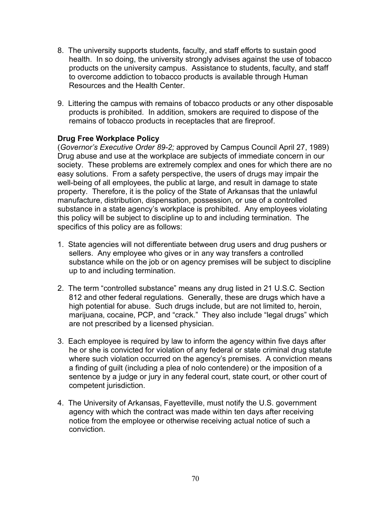- 8. The university supports students, faculty, and staff efforts to sustain good health. In so doing, the university strongly advises against the use of tobacco products on the university campus. Assistance to students, faculty, and staff to overcome addiction to tobacco products is available through Human Resources and the Health Center.
- 9. Littering the campus with remains of tobacco products or any other disposable products is prohibited. In addition, smokers are required to dispose of the remains of tobacco products in receptacles that are fireproof.

### **Drug Free Workplace Policy**

(*Governor's Executive Order 89-2;* approved by Campus Council April 27, 1989) Drug abuse and use at the workplace are subjects of immediate concern in our society. These problems are extremely complex and ones for which there are no easy solutions. From a safety perspective, the users of drugs may impair the well-being of all employees, the public at large, and result in damage to state property. Therefore, it is the policy of the State of Arkansas that the unlawful manufacture, distribution, dispensation, possession, or use of a controlled substance in a state agency's workplace is prohibited. Any employees violating this policy will be subject to discipline up to and including termination. The specifics of this policy are as follows:

- 1. State agencies will not differentiate between drug users and drug pushers or sellers. Any employee who gives or in any way transfers a controlled substance while on the job or on agency premises will be subject to discipline up to and including termination.
- 2. The term "controlled substance" means any drug listed in 21 U.S.C. Section 812 and other federal regulations. Generally, these are drugs which have a high potential for abuse. Such drugs include, but are not limited to, heroin, marijuana, cocaine, PCP, and "crack." They also include "legal drugs" which are not prescribed by a licensed physician.
- 3. Each employee is required by law to inform the agency within five days after he or she is convicted for violation of any federal or state criminal drug statute where such violation occurred on the agency's premises. A conviction means a finding of guilt (including a plea of nolo contendere) or the imposition of a sentence by a judge or jury in any federal court, state court, or other court of competent jurisdiction.
- 4. The University of Arkansas, Fayetteville, must notify the U.S. government agency with which the contract was made within ten days after receiving notice from the employee or otherwise receiving actual notice of such a conviction.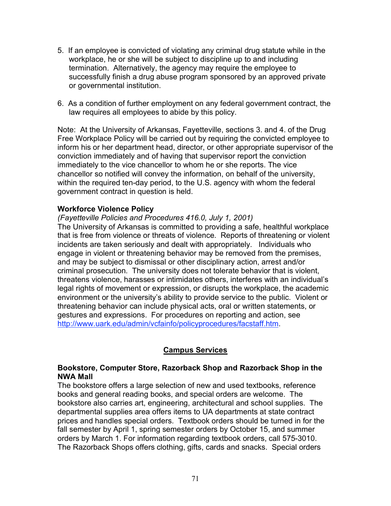- 5. If an employee is convicted of violating any criminal drug statute while in the workplace, he or she will be subject to discipline up to and including termination. Alternatively, the agency may require the employee to successfully finish a drug abuse program sponsored by an approved private or governmental institution.
- 6. As a condition of further employment on any federal government contract, the law requires all employees to abide by this policy.

Note: At the University of Arkansas, Fayetteville, sections 3. and 4. of the Drug Free Workplace Policy will be carried out by requiring the convicted employee to inform his or her department head, director, or other appropriate supervisor of the conviction immediately and of having that supervisor report the conviction immediately to the vice chancellor to whom he or she reports. The vice chancellor so notified will convey the information, on behalf of the university, within the required ten-day period, to the U.S. agency with whom the federal government contract in question is held.

### **Workforce Violence Policy**

*(Fayetteville Policies and Procedures 416.0, July 1, 2001)*

The University of Arkansas is committed to providing a safe, healthful workplace that is free from violence or threats of violence. Reports of threatening or violent incidents are taken seriously and dealt with appropriately. Individuals who engage in violent or threatening behavior may be removed from the premises, and may be subject to dismissal or other disciplinary action, arrest and/or criminal prosecution. The university does not tolerate behavior that is violent, threatens violence, harasses or intimidates others, interferes with an individual's legal rights of movement or expression, or disrupts the workplace, the academic environment or the university's ability to provide service to the public. Violent or threatening behavior can include physical acts, oral or written statements, or gestures and expressions. For procedures on reporting and action, see http://www.uark.edu/admin/vcfainfo/policyprocedures/facstaff.htm.

## **Campus Services**

#### **Bookstore, Computer Store, Razorback Shop and Razorback Shop in the NWA Mall**

The bookstore offers a large selection of new and used textbooks, reference books and general reading books, and special orders are welcome. The bookstore also carries art, engineering, architectural and school supplies. The departmental supplies area offers items to UA departments at state contract prices and handles special orders. Textbook orders should be turned in for the fall semester by April 1, spring semester orders by October 15, and summer orders by March 1. For information regarding textbook orders, call 575-3010. The Razorback Shops offers clothing, gifts, cards and snacks. Special orders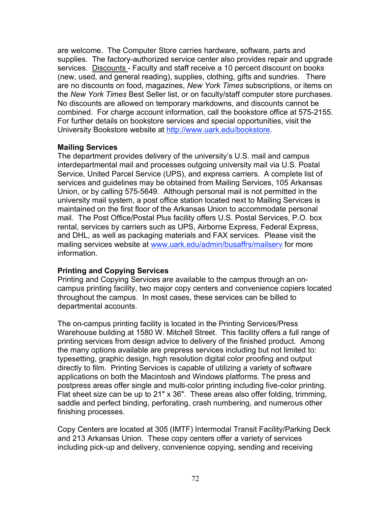are welcome. The Computer Store carries hardware, software, parts and supplies. The factory-authorized service center also provides repair and upgrade services. Discounts - Faculty and staff receive a 10 percent discount on books (new, used, and general reading), supplies, clothing, gifts and sundries. There are no discounts on food, magazines, *New York Times* subscriptions, or items on the *New York Times* Best Seller list, or on faculty/staff computer store purchases. No discounts are allowed on temporary markdowns, and discounts cannot be combined. For charge account information, call the bookstore office at 575-2155. For further details on bookstore services and special opportunities, visit the University Bookstore website at http://www.uark.edu/bookstore.

### **Mailing Services**

The department provides delivery of the university's U.S. mail and campus interdepartmental mail and processes outgoing university mail via U.S. Postal Service, United Parcel Service (UPS), and express carriers. A complete list of services and guidelines may be obtained from Mailing Services, 105 Arkansas Union, or by calling 575-5649. Although personal mail is not permitted in the university mail system, a post office station located next to Mailing Services is maintained on the first floor of the Arkansas Union to accommodate personal mail. The Post Office/Postal Plus facility offers U.S. Postal Services, P.O. box rental, services by carriers such as UPS, Airborne Express, Federal Express, and DHL, as well as packaging materials and FAX services. Please visit the mailing services website at www.uark.edu/admin/busaffrs/mailserv for more information.

### **Printing and Copying Services**

Printing and Copying Services are available to the campus through an oncampus printing facility, two major copy centers and convenience copiers located throughout the campus. In most cases, these services can be billed to departmental accounts.

The on-campus printing facility is located in the Printing Services/Press Warehouse building at 1580 W. Mitchell Street. This facility offers a full range of printing services from design advice to delivery of the finished product. Among the many options available are prepress services including but not limited to: typesetting, graphic design, high resolution digital color proofing and output directly to film. Printing Services is capable of utilizing a variety of software applications on both the Macintosh and Windows platforms. The press and postpress areas offer single and multi-color printing including five-color printing. Flat sheet size can be up to 21" x 36". These areas also offer folding, trimming, saddle and perfect binding, perforating, crash numbering, and numerous other finishing processes.

Copy Centers are located at 305 (IMTF) Intermodal Transit Facility/Parking Deck and 213 Arkansas Union. These copy centers offer a variety of services including pick-up and delivery, convenience copying, sending and receiving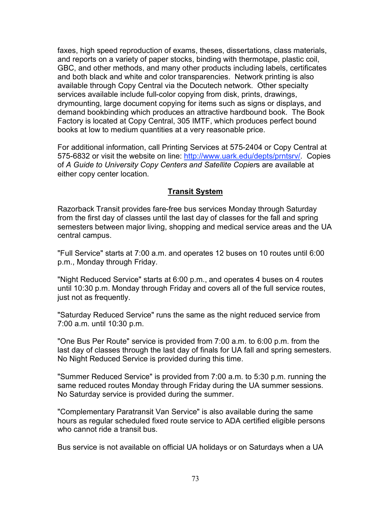faxes, high speed reproduction of exams, theses, dissertations, class materials, and reports on a variety of paper stocks, binding with thermotape, plastic coil, GBC, and other methods, and many other products including labels, certificates and both black and white and color transparencies. Network printing is also available through Copy Central via the Docutech network. Other specialty services available include full-color copying from disk, prints, drawings, drymounting, large document copying for items such as signs or displays, and demand bookbinding which produces an attractive hardbound book. The Book Factory is located at Copy Central, 305 IMTF, which produces perfect bound books at low to medium quantities at a very reasonable price.

For additional information, call Printing Services at 575-2404 or Copy Central at 575-6832 or visit the website on line: http://www.uark.edu/depts/prntsrv/. Copies of *A Guide to University Copy Centers and Satellite Copier*s are available at either copy center location.

# **Transit System**

Razorback Transit provides fare-free bus services Monday through Saturday from the first day of classes until the last day of classes for the fall and spring semesters between major living, shopping and medical service areas and the UA central campus.

"Full Service" starts at 7:00 a.m. and operates 12 buses on 10 routes until 6:00 p.m., Monday through Friday.

"Night Reduced Service" starts at 6:00 p.m., and operates 4 buses on 4 routes until 10:30 p.m. Monday through Friday and covers all of the full service routes, just not as frequently.

"Saturday Reduced Service" runs the same as the night reduced service from 7:00 a.m. until 10:30 p.m.

"One Bus Per Route" service is provided from 7:00 a.m. to 6:00 p.m. from the last day of classes through the last day of finals for UA fall and spring semesters. No Night Reduced Service is provided during this time.

"Summer Reduced Service" is provided from 7:00 a.m. to 5:30 p.m. running the same reduced routes Monday through Friday during the UA summer sessions. No Saturday service is provided during the summer.

"Complementary Paratransit Van Service" is also available during the same hours as regular scheduled fixed route service to ADA certified eligible persons who cannot ride a transit bus.

Bus service is not available on official UA holidays or on Saturdays when a UA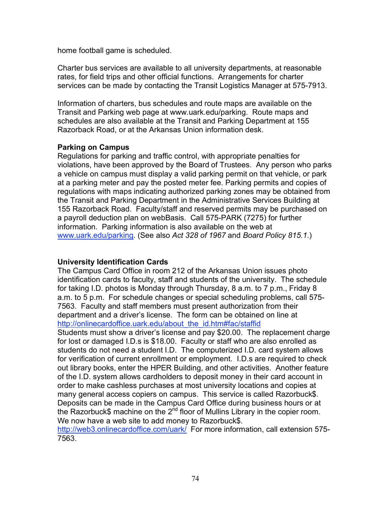home football game is scheduled.

Charter bus services are available to all university departments, at reasonable rates, for field trips and other official functions. Arrangements for charter services can be made by contacting the Transit Logistics Manager at 575-7913.

Information of charters, bus schedules and route maps are available on the Transit and Parking web page at www.uark.edu/parking. Route maps and schedules are also available at the Transit and Parking Department at 155 Razorback Road, or at the Arkansas Union information desk.

### **Parking on Campus**

Regulations for parking and traffic control, with appropriate penalties for violations, have been approved by the Board of Trustees. Any person who parks a vehicle on campus must display a valid parking permit on that vehicle, or park at a parking meter and pay the posted meter fee. Parking permits and copies of regulations with maps indicating authorized parking zones may be obtained from the Transit and Parking Department in the Administrative Services Building at 155 Razorback Road. Faculty/staff and reserved permits may be purchased on a payroll deduction plan on webBasis. Call 575-PARK (7275) for further information. Parking information is also available on the web at www.uark.edu/parking. (See also *Act 328 of 1967* and *Board Policy 815.1*.)

# **University Identification Cards**

The Campus Card Office in room 212 of the Arkansas Union issues photo identification cards to faculty, staff and students of the university. The schedule for taking I.D. photos is Monday through Thursday, 8 a.m. to 7 p.m., Friday 8 a.m. to 5 p.m. For schedule changes or special scheduling problems, call 575- 7563. Faculty and staff members must present authorization from their department and a driver's license. The form can be obtained on line at http://onlinecardoffice.uark.edu/about\_the\_id.htm#fac/staffid

Students must show a driver's license and pay \$20.00. The replacement charge for lost or damaged I.D.s is \$18.00. Faculty or staff who are also enrolled as students do not need a student I.D. The computerized I.D. card system allows for verification of current enrollment or employment. I.D.s are required to check out library books, enter the HPER Building, and other activities. Another feature of the I.D. system allows cardholders to deposit money in their card account in order to make cashless purchases at most university locations and copies at many general access copiers on campus. This service is called Razorbuck\$. Deposits can be made in the Campus Card Office during business hours or at the Razorbuck\$ machine on the  $2<sup>nd</sup>$  floor of Mullins Library in the copier room. We now have a web site to add money to Razorbuck\$.

http://web3.onlinecardoffice.com/uark/ For more information, call extension 575-7563.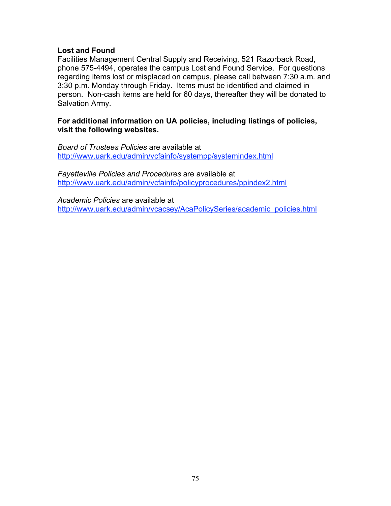### **Lost and Found**

Facilities Management Central Supply and Receiving, 521 Razorback Road, phone 575-4494, operates the campus Lost and Found Service. For questions regarding items lost or misplaced on campus, please call between 7:30 a.m. and 3:30 p.m. Monday through Friday. Items must be identified and claimed in person. Non-cash items are held for 60 days, thereafter they will be donated to Salvation Army.

### **For additional information on UA policies, including listings of policies, visit the following websites.**

*Board of Trustees Policies* are available at http://www.uark.edu/admin/vcfainfo/systempp/systemindex.html

*Fayetteville Policies and Procedures* are available at http://www.uark.edu/admin/vcfainfo/policyprocedures/ppindex2.html

*Academic Policies* are available at http://www.uark.edu/admin/vcacsey/AcaPolicySeries/academic\_policies.html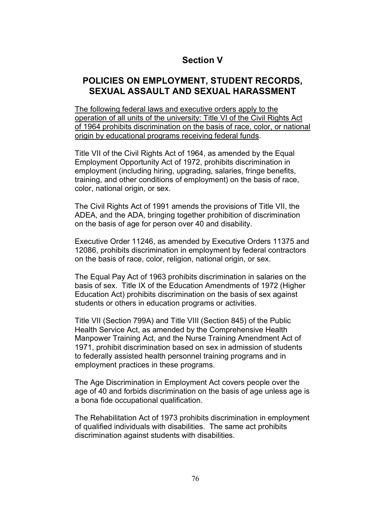# **Section V**

# **POLICIES ON EMPLOYMENT, STUDENT RECORDS, SEXUAL ASSAULT AND SEXUAL HARASSMENT**

The following federal laws and executive orders apply to the operation of all units of the university: Title VI of the Civil Rights Act of 1964 prohibits discrimination on the basis of race, color, or national origin by educational programs receiving federal funds.

Title VII of the Civil Rights Act of 1964, as amended by the Equal Employment Opportunity Act of 1972, prohibits discrimination in employment (including hiring, upgrading, salaries, fringe benefits, training, and other conditions of employment) on the basis of race, color, national origin, or sex.

The Civil Rights Act of 1991 amends the provisions of Title VII, the ADEA, and the ADA, bringing together prohibition of discrimination on the basis of age for person over 40 and disability.

Executive Order 11246, as amended by Executive Orders 11375 and 12086, prohibits discrimination in employment by federal contractors on the basis of race, color, religion, national origin, or sex.

The Equal Pay Act of 1963 prohibits discrimination in salaries on the basis of sex. Title IX of the Education Amendments of 1972 (Higher Education Act) prohibits discrimination on the basis of sex against students or others in education programs or activities.

Title VII (Section 799A) and Title VIII (Section 845) of the Public Health Service Act, as amended by the Comprehensive Health Manpower Training Act, and the Nurse Training Amendment Act of 1971, prohibit discrimination based on sex in admission of students to federally assisted health personnel training programs and in employment practices in these programs.

The Age Discrimination in Employment Act covers people over the age of 40 and forbids discrimination on the basis of age unless age is a bona fide occupational qualification.

The Rehabilitation Act of 1973 prohibits discrimination in employment of qualified individuals with disabilities. The same act prohibits discrimination against students with disabilities.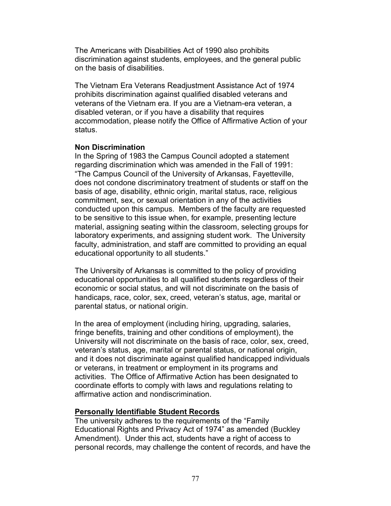The Americans with Disabilities Act of 1990 also prohibits discrimination against students, employees, and the general public on the basis of disabilities.

The Vietnam Era Veterans Readjustment Assistance Act of 1974 prohibits discrimination against qualified disabled veterans and veterans of the Vietnam era. If you are a Vietnam-era veteran, a disabled veteran, or if you have a disability that requires accommodation, please notify the Office of Affirmative Action of your status.

### **Non Discrimination**

In the Spring of 1983 the Campus Council adopted a statement regarding discrimination which was amended in the Fall of 1991: "The Campus Council of the University of Arkansas, Fayetteville, does not condone discriminatory treatment of students or staff on the basis of age, disability, ethnic origin, marital status, race, religious commitment, sex, or sexual orientation in any of the activities conducted upon this campus. Members of the faculty are requested to be sensitive to this issue when, for example, presenting lecture material, assigning seating within the classroom, selecting groups for laboratory experiments, and assigning student work. The University faculty, administration, and staff are committed to providing an equal educational opportunity to all students."

The University of Arkansas is committed to the policy of providing educational opportunities to all qualified students regardless of their economic or social status, and will not discriminate on the basis of handicaps, race, color, sex, creed, veteran's status, age, marital or parental status, or national origin.

In the area of employment (including hiring, upgrading, salaries, fringe benefits, training and other conditions of employment), the University will not discriminate on the basis of race, color, sex, creed, veteran's status, age, marital or parental status, or national origin, and it does not discriminate against qualified handicapped individuals or veterans, in treatment or employment in its programs and activities. The Office of Affirmative Action has been designated to coordinate efforts to comply with laws and regulations relating to affirmative action and nondiscrimination.

### **Personally Identifiable Student Records**

The university adheres to the requirements of the "Family Educational Rights and Privacy Act of 1974" as amended (Buckley Amendment). Under this act, students have a right of access to personal records, may challenge the content of records, and have the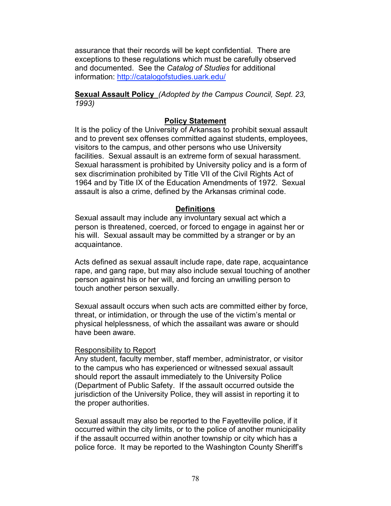assurance that their records will be kept confidential. There are exceptions to these regulations which must be carefully observed and documented. See the *Catalog of Studies* for additional information: http://catalogofstudies.uark.edu/

**Sexual Assault Policy** *(Adopted by the Campus Council, Sept. 23, 1993)*

# **Policy Statement**

It is the policy of the University of Arkansas to prohibit sexual assault and to prevent sex offenses committed against students, employees, visitors to the campus, and other persons who use University facilities. Sexual assault is an extreme form of sexual harassment. Sexual harassment is prohibited by University policy and is a form of sex discrimination prohibited by Title VII of the Civil Rights Act of 1964 and by Title IX of the Education Amendments of 1972. Sexual assault is also a crime, defined by the Arkansas criminal code.

### **Definitions**

Sexual assault may include any involuntary sexual act which a person is threatened, coerced, or forced to engage in against her or his will. Sexual assault may be committed by a stranger or by an acquaintance.

Acts defined as sexual assault include rape, date rape, acquaintance rape, and gang rape, but may also include sexual touching of another person against his or her will, and forcing an unwilling person to touch another person sexually.

Sexual assault occurs when such acts are committed either by force, threat, or intimidation, or through the use of the victim's mental or physical helplessness, of which the assailant was aware or should have been aware.

### Responsibility to Report

Any student, faculty member, staff member, administrator, or visitor to the campus who has experienced or witnessed sexual assault should report the assault immediately to the University Police (Department of Public Safety. If the assault occurred outside the jurisdiction of the University Police, they will assist in reporting it to the proper authorities.

Sexual assault may also be reported to the Fayetteville police, if it occurred within the city limits, or to the police of another municipality if the assault occurred within another township or city which has a police force. It may be reported to the Washington County Sheriff's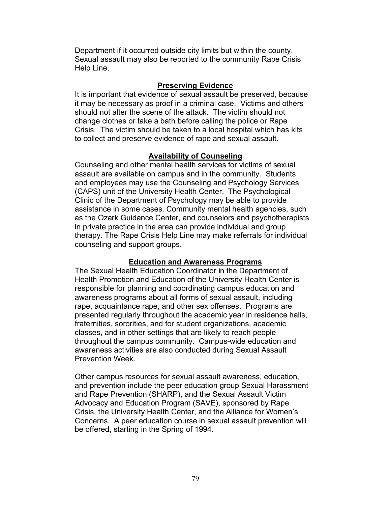Department if it occurred outside city limits but within the county. Sexual assault may also be reported to the community Rape Crisis Help Line.

# **Preserving Evidence**

It is important that evidence of sexual assault be preserved, because it may be necessary as proof in a criminal case. Victims and others should not alter the scene of the attack. The victim should not change clothes or take a bath before calling the police or Rape Crisis. The victim should be taken to a local hospital which has kits to collect and preserve evidence of rape and sexual assault.

# **Availability of Counseling**

Counseling and other mental health services for victims of sexual assault are available on campus and in the community. Students and employees may use the Counseling and Psychology Services (CAPS) unit of the University Health Center. The Psychological Clinic of the Department of Psychology may be able to provide assistance in some cases. Community mental health agencies, such as the Ozark Guidance Center, and counselors and psychotherapists in private practice in the area can provide individual and group therapy. The Rape Crisis Help Line may make referrals for individual counseling and support groups.

# **Education and Awareness Programs**

The Sexual Health Education Coordinator in the Department of Health Promotion and Education of the University Health Center is responsible for planning and coordinating campus education and awareness programs about all forms of sexual assault, including rape, acquaintance rape, and other sex offenses. Programs are presented regularly throughout the academic year in residence halls, fraternities, sororities, and for student organizations, academic classes, and in other settings that are likely to reach people throughout the campus community. Campus-wide education and awareness activities are also conducted during Sexual Assault Prevention Week.

Other campus resources for sexual assault awareness, education, and prevention include the peer education group Sexual Harassment and Rape Prevention (SHARP), and the Sexual Assault Victim Advocacy and Education Program (SAVE), sponsored by Rape Crisis, the University Health Center, and the Alliance for Women's Concerns. A peer education course in sexual assault prevention will be offered, starting in the Spring of 1994.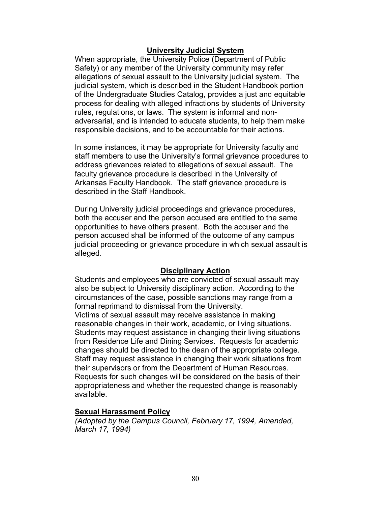### **University Judicial System**

When appropriate, the University Police (Department of Public Safety) or any member of the University community may refer allegations of sexual assault to the University judicial system. The judicial system, which is described in the Student Handbook portion of the Undergraduate Studies Catalog, provides a just and equitable process for dealing with alleged infractions by students of University rules, regulations, or laws. The system is informal and nonadversarial, and is intended to educate students, to help them make responsible decisions, and to be accountable for their actions.

In some instances, it may be appropriate for University faculty and staff members to use the University's formal grievance procedures to address grievances related to allegations of sexual assault. The faculty grievance procedure is described in the University of Arkansas Faculty Handbook. The staff grievance procedure is described in the Staff Handbook.

During University judicial proceedings and grievance procedures, both the accuser and the person accused are entitled to the same opportunities to have others present. Both the accuser and the person accused shall be informed of the outcome of any campus judicial proceeding or grievance procedure in which sexual assault is alleged.

### **Disciplinary Action**

Students and employees who are convicted of sexual assault may also be subject to University disciplinary action. According to the circumstances of the case, possible sanctions may range from a formal reprimand to dismissal from the University.

Victims of sexual assault may receive assistance in making reasonable changes in their work, academic, or living situations. Students may request assistance in changing their living situations from Residence Life and Dining Services. Requests for academic changes should be directed to the dean of the appropriate college. Staff may request assistance in changing their work situations from their supervisors or from the Department of Human Resources. Requests for such changes will be considered on the basis of their appropriateness and whether the requested change is reasonably available.

### **Sexual Harassment Policy**

*(Adopted by the Campus Council, February 17, 1994, Amended, March 17, 1994)*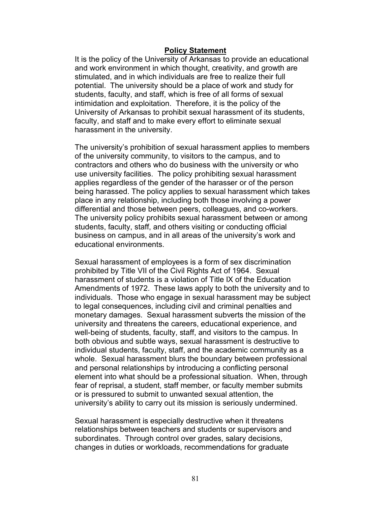### **Policy Statement**

It is the policy of the University of Arkansas to provide an educational and work environment in which thought, creativity, and growth are stimulated, and in which individuals are free to realize their full potential. The university should be a place of work and study for students, faculty, and staff, which is free of all forms of sexual intimidation and exploitation. Therefore, it is the policy of the University of Arkansas to prohibit sexual harassment of its students, faculty, and staff and to make every effort to eliminate sexual harassment in the university.

The university's prohibition of sexual harassment applies to members of the university community, to visitors to the campus, and to contractors and others who do business with the university or who use university facilities. The policy prohibiting sexual harassment applies regardless of the gender of the harasser or of the person being harassed. The policy applies to sexual harassment which takes place in any relationship, including both those involving a power differential and those between peers, colleagues, and co-workers. The university policy prohibits sexual harassment between or among students, faculty, staff, and others visiting or conducting official business on campus, and in all areas of the university's work and educational environments.

Sexual harassment of employees is a form of sex discrimination prohibited by Title VII of the Civil Rights Act of 1964. Sexual harassment of students is a violation of Title IX of the Education Amendments of 1972. These laws apply to both the university and to individuals. Those who engage in sexual harassment may be subject to legal consequences, including civil and criminal penalties and monetary damages. Sexual harassment subverts the mission of the university and threatens the careers, educational experience, and well-being of students, faculty, staff, and visitors to the campus. In both obvious and subtle ways, sexual harassment is destructive to individual students, faculty, staff, and the academic community as a whole. Sexual harassment blurs the boundary between professional and personal relationships by introducing a conflicting personal element into what should be a professional situation. When, through fear of reprisal, a student, staff member, or faculty member submits or is pressured to submit to unwanted sexual attention, the university's ability to carry out its mission is seriously undermined.

Sexual harassment is especially destructive when it threatens relationships between teachers and students or supervisors and subordinates. Through control over grades, salary decisions, changes in duties or workloads, recommendations for graduate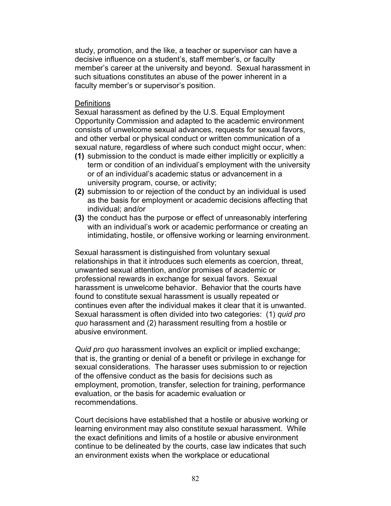study, promotion, and the like, a teacher or supervisor can have a decisive influence on a student's, staff member's, or faculty member's career at the university and beyond. Sexual harassment in such situations constitutes an abuse of the power inherent in a faculty member's or supervisor's position.

### **Definitions**

Sexual harassment as defined by the U.S. Equal Employment Opportunity Commission and adapted to the academic environment consists of unwelcome sexual advances, requests for sexual favors, and other verbal or physical conduct or written communication of a sexual nature, regardless of where such conduct might occur, when:

- **(1)** submission to the conduct is made either implicitly or explicitly a term or condition of an individual's employment with the university or of an individual's academic status or advancement in a university program, course, or activity;
- **(2)** submission to or rejection of the conduct by an individual is used as the basis for employment or academic decisions affecting that individual; and/or
- **(3)** the conduct has the purpose or effect of unreasonably interfering with an individual's work or academic performance or creating an intimidating, hostile, or offensive working or learning environment.

Sexual harassment is distinguished from voluntary sexual relationships in that it introduces such elements as coercion, threat, unwanted sexual attention, and/or promises of academic or professional rewards in exchange for sexual favors. Sexual harassment is unwelcome behavior. Behavior that the courts have found to constitute sexual harassment is usually repeated or continues even after the individual makes it clear that it is unwanted. Sexual harassment is often divided into two categories: (1) *quid pro quo* harassment and (2) harassment resulting from a hostile or abusive environment.

*Quid pro quo* harassment involves an explicit or implied exchange; that is, the granting or denial of a benefit or privilege in exchange for sexual considerations. The harasser uses submission to or rejection of the offensive conduct as the basis for decisions such as employment, promotion, transfer, selection for training, performance evaluation, or the basis for academic evaluation or recommendations.

Court decisions have established that a hostile or abusive working or learning environment may also constitute sexual harassment. While the exact definitions and limits of a hostile or abusive environment continue to be delineated by the courts, case law indicates that such an environment exists when the workplace or educational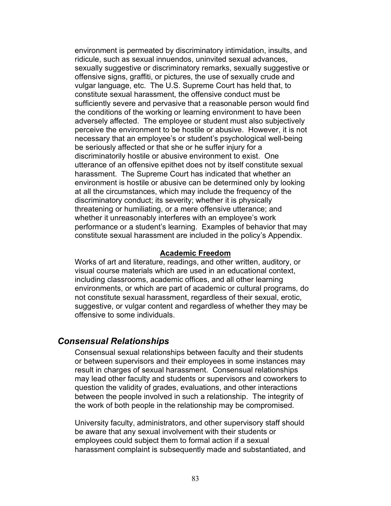environment is permeated by discriminatory intimidation, insults, and ridicule, such as sexual innuendos, uninvited sexual advances, sexually suggestive or discriminatory remarks, sexually suggestive or offensive signs, graffiti, or pictures, the use of sexually crude and vulgar language, etc. The U.S. Supreme Court has held that, to constitute sexual harassment, the offensive conduct must be sufficiently severe and pervasive that a reasonable person would find the conditions of the working or learning environment to have been adversely affected. The employee or student must also subjectively perceive the environment to be hostile or abusive. However, it is not necessary that an employee's or student's psychological well-being be seriously affected or that she or he suffer injury for a discriminatorily hostile or abusive environment to exist. One utterance of an offensive epithet does not by itself constitute sexual harassment. The Supreme Court has indicated that whether an environment is hostile or abusive can be determined only by looking at all the circumstances, which may include the frequency of the discriminatory conduct; its severity; whether it is physically threatening or humiliating, or a mere offensive utterance; and whether it unreasonably interferes with an employee's work performance or a student's learning. Examples of behavior that may constitute sexual harassment are included in the policy's Appendix.

#### **Academic Freedom**

Works of art and literature, readings, and other written, auditory, or visual course materials which are used in an educational context, including classrooms, academic offices, and all other learning environments, or which are part of academic or cultural programs, do not constitute sexual harassment, regardless of their sexual, erotic, suggestive, or vulgar content and regardless of whether they may be offensive to some individuals.

# *Consensual Relationships*

Consensual sexual relationships between faculty and their students or between supervisors and their employees in some instances may result in charges of sexual harassment. Consensual relationships may lead other faculty and students or supervisors and coworkers to question the validity of grades, evaluations, and other interactions between the people involved in such a relationship. The integrity of the work of both people in the relationship may be compromised.

University faculty, administrators, and other supervisory staff should be aware that any sexual involvement with their students or employees could subject them to formal action if a sexual harassment complaint is subsequently made and substantiated, and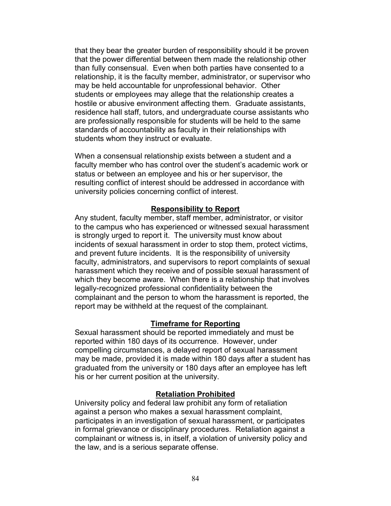that they bear the greater burden of responsibility should it be proven that the power differential between them made the relationship other than fully consensual. Even when both parties have consented to a relationship, it is the faculty member, administrator, or supervisor who may be held accountable for unprofessional behavior. Other students or employees may allege that the relationship creates a hostile or abusive environment affecting them. Graduate assistants, residence hall staff, tutors, and undergraduate course assistants who are professionally responsible for students will be held to the same standards of accountability as faculty in their relationships with students whom they instruct or evaluate.

When a consensual relationship exists between a student and a faculty member who has control over the student's academic work or status or between an employee and his or her supervisor, the resulting conflict of interest should be addressed in accordance with university policies concerning conflict of interest.

### **Responsibility to Report**

Any student, faculty member, staff member, administrator, or visitor to the campus who has experienced or witnessed sexual harassment is strongly urged to report it. The university must know about incidents of sexual harassment in order to stop them, protect victims, and prevent future incidents. It is the responsibility of university faculty, administrators, and supervisors to report complaints of sexual harassment which they receive and of possible sexual harassment of which they become aware. When there is a relationship that involves legally-recognized professional confidentiality between the complainant and the person to whom the harassment is reported, the report may be withheld at the request of the complainant.

### **Timeframe for Reporting**

Sexual harassment should be reported immediately and must be reported within 180 days of its occurrence. However, under compelling circumstances, a delayed report of sexual harassment may be made, provided it is made within 180 days after a student has graduated from the university or 180 days after an employee has left his or her current position at the university.

### **Retaliation Prohibited**

University policy and federal law prohibit any form of retaliation against a person who makes a sexual harassment complaint, participates in an investigation of sexual harassment, or participates in formal grievance or disciplinary procedures. Retaliation against a complainant or witness is, in itself, a violation of university policy and the law, and is a serious separate offense.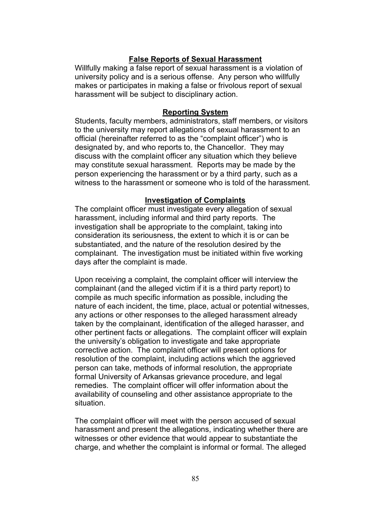# **False Reports of Sexual Harassment**

Willfully making a false report of sexual harassment is a violation of university policy and is a serious offense. Any person who willfully makes or participates in making a false or frivolous report of sexual harassment will be subject to disciplinary action.

### **Reporting System**

Students, faculty members, administrators, staff members, or visitors to the university may report allegations of sexual harassment to an official (hereinafter referred to as the "complaint officer") who is designated by, and who reports to, the Chancellor. They may discuss with the complaint officer any situation which they believe may constitute sexual harassment. Reports may be made by the person experiencing the harassment or by a third party, such as a witness to the harassment or someone who is told of the harassment.

### **Investigation of Complaints**

The complaint officer must investigate every allegation of sexual harassment, including informal and third party reports. The investigation shall be appropriate to the complaint, taking into consideration its seriousness, the extent to which it is or can be substantiated, and the nature of the resolution desired by the complainant. The investigation must be initiated within five working days after the complaint is made.

Upon receiving a complaint, the complaint officer will interview the complainant (and the alleged victim if it is a third party report) to compile as much specific information as possible, including the nature of each incident, the time, place, actual or potential witnesses, any actions or other responses to the alleged harassment already taken by the complainant, identification of the alleged harasser, and other pertinent facts or allegations. The complaint officer will explain the university's obligation to investigate and take appropriate corrective action. The complaint officer will present options for resolution of the complaint, including actions which the aggrieved person can take, methods of informal resolution, the appropriate formal University of Arkansas grievance procedure, and legal remedies. The complaint officer will offer information about the availability of counseling and other assistance appropriate to the situation.

The complaint officer will meet with the person accused of sexual harassment and present the allegations, indicating whether there are witnesses or other evidence that would appear to substantiate the charge, and whether the complaint is informal or formal. The alleged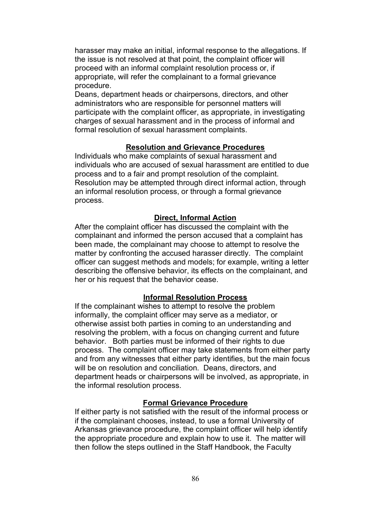harasser may make an initial, informal response to the allegations. If the issue is not resolved at that point, the complaint officer will proceed with an informal complaint resolution process or, if appropriate, will refer the complainant to a formal grievance procedure.

Deans, department heads or chairpersons, directors, and other administrators who are responsible for personnel matters will participate with the complaint officer, as appropriate, in investigating charges of sexual harassment and in the process of informal and formal resolution of sexual harassment complaints.

# **Resolution and Grievance Procedures**

Individuals who make complaints of sexual harassment and individuals who are accused of sexual harassment are entitled to due process and to a fair and prompt resolution of the complaint. Resolution may be attempted through direct informal action, through an informal resolution process, or through a formal grievance process.

# **Direct, Informal Action**

After the complaint officer has discussed the complaint with the complainant and informed the person accused that a complaint has been made, the complainant may choose to attempt to resolve the matter by confronting the accused harasser directly. The complaint officer can suggest methods and models; for example, writing a letter describing the offensive behavior, its effects on the complainant, and her or his request that the behavior cease.

### **Informal Resolution Process**

If the complainant wishes to attempt to resolve the problem informally, the complaint officer may serve as a mediator, or otherwise assist both parties in coming to an understanding and resolving the problem, with a focus on changing current and future behavior. Both parties must be informed of their rights to due process. The complaint officer may take statements from either party and from any witnesses that either party identifies, but the main focus will be on resolution and conciliation. Deans, directors, and department heads or chairpersons will be involved, as appropriate, in the informal resolution process.

### **Formal Grievance Procedure**

If either party is not satisfied with the result of the informal process or if the complainant chooses, instead, to use a formal University of Arkansas grievance procedure, the complaint officer will help identify the appropriate procedure and explain how to use it. The matter will then follow the steps outlined in the Staff Handbook, the Faculty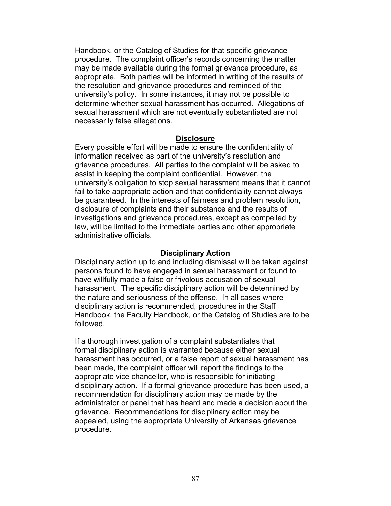Handbook, or the Catalog of Studies for that specific grievance procedure. The complaint officer's records concerning the matter may be made available during the formal grievance procedure, as appropriate. Both parties will be informed in writing of the results of the resolution and grievance procedures and reminded of the university's policy. In some instances, it may not be possible to determine whether sexual harassment has occurred. Allegations of sexual harassment which are not eventually substantiated are not necessarily false allegations.

### **Disclosure**

Every possible effort will be made to ensure the confidentiality of information received as part of the university's resolution and grievance procedures. All parties to the complaint will be asked to assist in keeping the complaint confidential. However, the university's obligation to stop sexual harassment means that it cannot fail to take appropriate action and that confidentiality cannot always be guaranteed. In the interests of fairness and problem resolution, disclosure of complaints and their substance and the results of investigations and grievance procedures, except as compelled by law, will be limited to the immediate parties and other appropriate administrative officials.

### **Disciplinary Action**

Disciplinary action up to and including dismissal will be taken against persons found to have engaged in sexual harassment or found to have willfully made a false or frivolous accusation of sexual harassment. The specific disciplinary action will be determined by the nature and seriousness of the offense. In all cases where disciplinary action is recommended, procedures in the Staff Handbook, the Faculty Handbook, or the Catalog of Studies are to be followed.

If a thorough investigation of a complaint substantiates that formal disciplinary action is warranted because either sexual harassment has occurred, or a false report of sexual harassment has been made, the complaint officer will report the findings to the appropriate vice chancellor, who is responsible for initiating disciplinary action. If a formal grievance procedure has been used, a recommendation for disciplinary action may be made by the administrator or panel that has heard and made a decision about the grievance. Recommendations for disciplinary action may be appealed, using the appropriate University of Arkansas grievance procedure.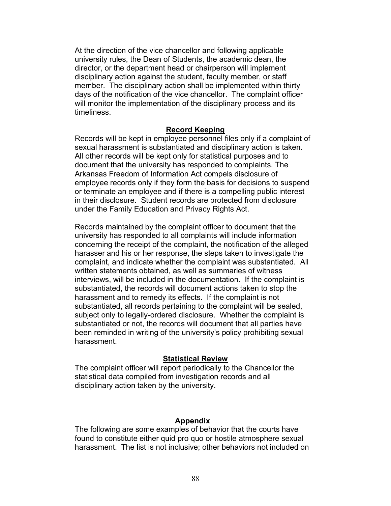At the direction of the vice chancellor and following applicable university rules, the Dean of Students, the academic dean, the director, or the department head or chairperson will implement disciplinary action against the student, faculty member, or staff member. The disciplinary action shall be implemented within thirty days of the notification of the vice chancellor. The complaint officer will monitor the implementation of the disciplinary process and its timeliness.

#### **Record Keeping**

Records will be kept in employee personnel files only if a complaint of sexual harassment is substantiated and disciplinary action is taken. All other records will be kept only for statistical purposes and to document that the university has responded to complaints. The Arkansas Freedom of Information Act compels disclosure of employee records only if they form the basis for decisions to suspend or terminate an employee and if there is a compelling public interest in their disclosure. Student records are protected from disclosure under the Family Education and Privacy Rights Act.

Records maintained by the complaint officer to document that the university has responded to all complaints will include information concerning the receipt of the complaint, the notification of the alleged harasser and his or her response, the steps taken to investigate the complaint, and indicate whether the complaint was substantiated. All written statements obtained, as well as summaries of witness interviews, will be included in the documentation. If the complaint is substantiated, the records will document actions taken to stop the harassment and to remedy its effects. If the complaint is not substantiated, all records pertaining to the complaint will be sealed, subject only to legally-ordered disclosure. Whether the complaint is substantiated or not, the records will document that all parties have been reminded in writing of the university's policy prohibiting sexual harassment.

#### **Statistical Review**

The complaint officer will report periodically to the Chancellor the statistical data compiled from investigation records and all disciplinary action taken by the university.

#### **Appendix**

The following are some examples of behavior that the courts have found to constitute either quid pro quo or hostile atmosphere sexual harassment. The list is not inclusive; other behaviors not included on